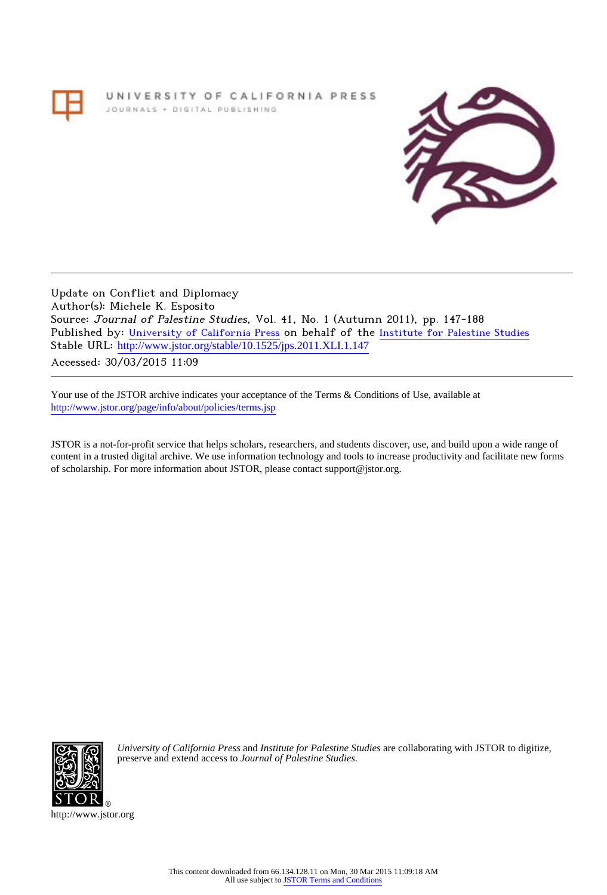## UNIVERSITY OF CALIFORNIA PRESS JOURNALS + DIGITAL PUBLISHING



Update on Conflict and Diplomacy Author(s): Michele K. Esposito Source: Journal of Palestine Studies, Vol. 41, No. 1 (Autumn 2011), pp. 147-188 Published by: [University of California Press](http://www.jstor.org/action/showPublisher?publisherCode=ucal) on behalf of the [Institute for Palestine Studies](http://www.jstor.org/action/showPublisher?publisherCode=palstud) Stable URL: http://www.jstor.org/stable/10.1525/jps.2011.XLI.1.147

Accessed: 30/03/2015 11:09

Your use of the JSTOR archive indicates your acceptance of the Terms & Conditions of Use, available at <http://www.jstor.org/page/info/about/policies/terms.jsp>

JSTOR is a not-for-profit service that helps scholars, researchers, and students discover, use, and build upon a wide range of content in a trusted digital archive. We use information technology and tools to increase productivity and facilitate new forms of scholarship. For more information about JSTOR, please contact support@jstor.org.



*University of California Press* and *Institute for Palestine Studies* are collaborating with JSTOR to digitize, preserve and extend access to *Journal of Palestine Studies.*

http://www.jstor.org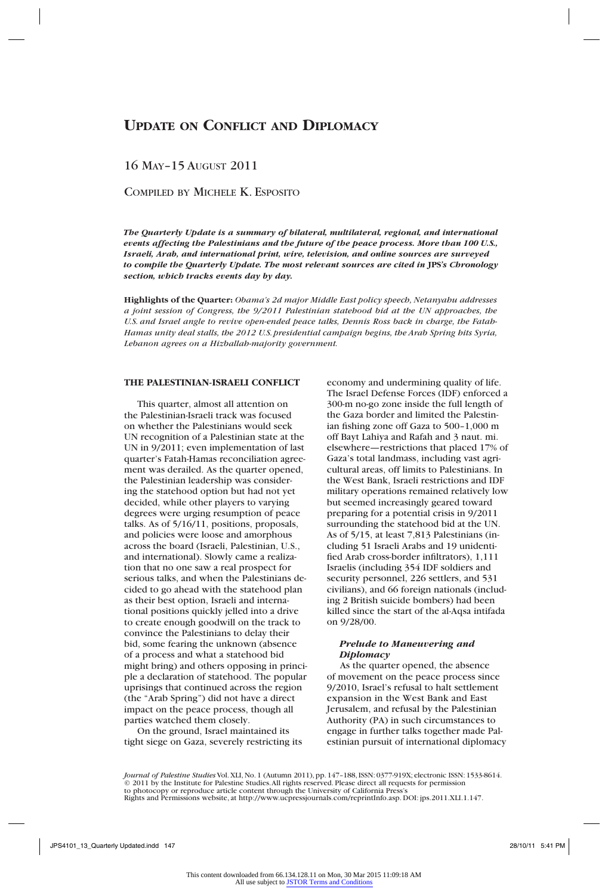# **Update on Conflict and Diplomacy**

## 16 May–15 August 2011

## Compiled by Michele K. Esposito

*The Quarterly Update is a summary of bilateral, multilateral, regional, and international events affecting the Palestinians and the future of the peace process. More than 100 U.S., Israeli, Arab, and international print, wire, television, and online sources are surveyed to compile the Quarterly Update. The most relevant sources are cited in IPS's Chronology section, which tracks events day by day.*

**Highlights of the Quarter:** *Obama's 2d major Middle East policy speech, Netanyahu addresses a joint session of Congress, the 9/2011 Palestinian statehood bid at the UN approaches, the U.S. and Israel angle to revive open-ended peace talks, Dennis Ross back in charge, the Fatah-Hamas unity deal stalls, the 2012 U.S. presidential campaign begins, the Arab Spring hits Syria, Lebanon agrees on a Hizballah-majority government.*

## **THE PALESTINIAN-ISRAELI CONFLICT**

This quarter, almost all attention on the Palestinian-Israeli track was focused on whether the Palestinians would seek UN recognition of a Palestinian state at the UN in 9/2011; even implementation of last quarter's Fatah-Hamas reconciliation agreement was derailed. As the quarter opened, the Palestinian leadership was considering the statehood option but had not yet decided, while other players to varying degrees were urging resumption of peace talks. As of 5/16/11, positions, proposals, and policies were loose and amorphous across the board (Israeli, Palestinian, U.S., and international). Slowly came a realization that no one saw a real prospect for serious talks, and when the Palestinians decided to go ahead with the statehood plan as their best option, Israeli and international positions quickly jelled into a drive to create enough goodwill on the track to convince the Palestinians to delay their bid, some fearing the unknown (absence of a process and what a statehood bid might bring) and others opposing in principle a declaration of statehood. The popular uprisings that continued across the region (the "Arab Spring") did not have a direct impact on the peace process, though all parties watched them closely.

On the ground, Israel maintained its tight siege on Gaza, severely restricting its economy and undermining quality of life. The Israel Defense Forces (IDF) enforced a 300-m no-go zone inside the full length of the Gaza border and limited the Palestinian fishing zone off Gaza to 500–1,000 m off Bayt Lahiya and Rafah and 3 naut. mi. elsewhere—restrictions that placed 17% of Gaza's total landmass, including vast agricultural areas, off limits to Palestinians. In the West Bank, Israeli restrictions and IDF military operations remained relatively low but seemed increasingly geared toward preparing for a potential crisis in 9/2011 surrounding the statehood bid at the UN. As of 5/15, at least 7,813 Palestinians (including 51 Israeli Arabs and 19 unidentified Arab cross-border infiltrators), 1,111 Israelis (including 354 IDF soldiers and security personnel, 226 settlers, and 531 civilians), and 66 foreign nationals (including 2 British suicide bombers) had been killed since the start of the al-Aqsa intifada on 9/28/00.

## *Prelude to Maneuvering and Diplomacy*

As the quarter opened, the absence of movement on the peace process since 9/2010, Israel's refusal to halt settlement expansion in the West Bank and East Jerusalem, and refusal by the Palestinian Authority (PA) in such circumstances to engage in further talks together made Palestinian pursuit of international diplomacy

*Journal of Palestine Studies* Vol. XLI, No. 1 (Autumn 2011), pp. 147–188, ISSN: 0377-919X; electronic ISSN: 1533-8614. © 2011 by the Institute for Palestine Studies. All rights reserved. Please direct all requests for permission to photocopy or reproduce article content through the University of California Press's Rights and Permissions website, at http://www.ucpressjournals.com/reprintInfo.asp. DOI: jps.2011.XLI.1.147.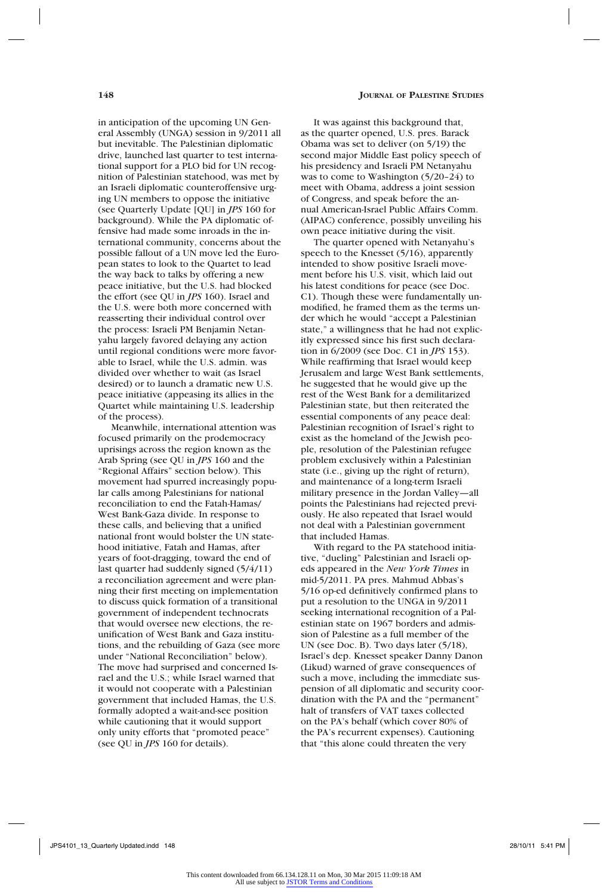in anticipation of the upcoming UN General Assembly (UNGA) session in 9/2011 all but inevitable. The Palestinian diplomatic drive, launched last quarter to test international support for a PLO bid for UN recognition of Palestinian statehood, was met by an Israeli diplomatic counteroffensive urging UN members to oppose the initiative (see Quarterly Update [QU] in *JPS* 160 for background). While the PA diplomatic offensive had made some inroads in the international community, concerns about the possible fallout of a UN move led the European states to look to the Quartet to lead the way back to talks by offering a new peace initiative, but the U.S. had blocked the effort (see QU in *JPS* 160). Israel and the U.S. were both more concerned with reasserting their individual control over the process: Israeli PM Benjamin Netanyahu largely favored delaying any action until regional conditions were more favorable to Israel, while the U.S. admin. was divided over whether to wait (as Israel desired) or to launch a dramatic new U.S. peace initiative (appeasing its allies in the Quartet while maintaining U.S. leadership of the process).

Meanwhile, international attention was focused primarily on the prodemocracy uprisings across the region known as the Arab Spring (see QU in *JPS* 160 and the "Regional Affairs" section below). This movement had spurred increasingly popular calls among Palestinians for national reconciliation to end the Fatah-Hamas/ West Bank-Gaza divide. In response to these calls, and believing that a unified national front would bolster the UN statehood initiative, Fatah and Hamas, after years of foot-dragging, toward the end of last quarter had suddenly signed (5/4/11) a reconciliation agreement and were planning their first meeting on implementation to discuss quick formation of a transitional government of independent technocrats that would oversee new elections, the reunification of West Bank and Gaza institutions, and the rebuilding of Gaza (see more under "National Reconciliation" below). The move had surprised and concerned Israel and the U.S.; while Israel warned that it would not cooperate with a Palestinian government that included Hamas, the U.S. formally adopted a wait-and-see position while cautioning that it would support only unity efforts that "promoted peace" (see QU in *JPS* 160 for details).

It was against this background that, as the quarter opened, U.S. pres. Barack Obama was set to deliver (on 5/19) the second major Middle East policy speech of his presidency and Israeli PM Netanyahu was to come to Washington (5/20–24) to meet with Obama, address a joint session of Congress, and speak before the annual American-Israel Public Affairs Comm. (AIPAC) conference, possibly unveiling his own peace initiative during the visit.

The quarter opened with Netanyahu's speech to the Knesset (5/16), apparently intended to show positive Israeli movement before his U.S. visit, which laid out his latest conditions for peace (see Doc. C1). Though these were fundamentally unmodified, he framed them as the terms under which he would "accept a Palestinian state," a willingness that he had not explicitly expressed since his first such declaration in 6/2009 (see Doc. C1 in *JPS* 153). While reaffirming that Israel would keep Jerusalem and large West Bank settlements, he suggested that he would give up the rest of the West Bank for a demilitarized Palestinian state, but then reiterated the essential components of any peace deal: Palestinian recognition of Israel's right to exist as the homeland of the Jewish people, resolution of the Palestinian refugee problem exclusively within a Palestinian state (i.e., giving up the right of return), and maintenance of a long-term Israeli military presence in the Jordan Valley—all points the Palestinians had rejected previously. He also repeated that Israel would not deal with a Palestinian government that included Hamas.

With regard to the PA statehood initiative, "dueling" Palestinian and Israeli opeds appeared in the *New York Times* in mid-5/2011. PA pres. Mahmud Abbas's 5/16 op-ed definitively confirmed plans to put a resolution to the UNGA in 9/2011 seeking international recognition of a Palestinian state on 1967 borders and admission of Palestine as a full member of the UN (see Doc. B). Two days later (5/18), Israel's dep. Knesset speaker Danny Danon (Likud) warned of grave consequences of such a move, including the immediate suspension of all diplomatic and security coordination with the PA and the "permanent" halt of transfers of VAT taxes collected on the PA's behalf (which cover 80% of the PA's recurrent expenses). Cautioning that "this alone could threaten the very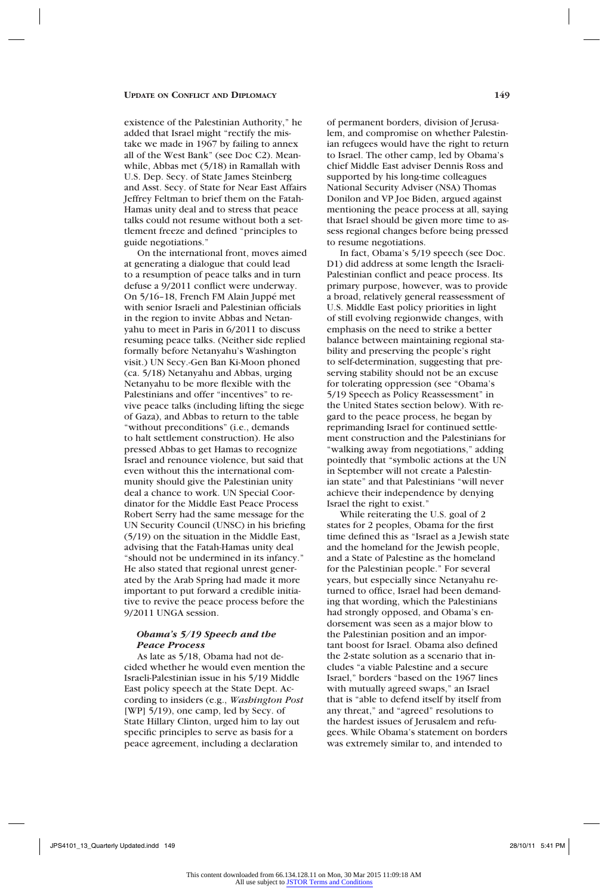existence of the Palestinian Authority," he added that Israel might "rectify the mistake we made in 1967 by failing to annex all of the West Bank" (see Doc C2). Meanwhile, Abbas met (5/18) in Ramallah with U.S. Dep. Secy. of State James Steinberg and Asst. Secy. of State for Near East Affairs Jeffrey Feltman to brief them on the Fatah-Hamas unity deal and to stress that peace talks could not resume without both a settlement freeze and defined "principles to guide negotiations."

On the international front, moves aimed at generating a dialogue that could lead to a resumption of peace talks and in turn defuse a 9/2011 conflict were underway. On 5/16–18, French FM Alain Juppé met with senior Israeli and Palestinian officials in the region to invite Abbas and Netanyahu to meet in Paris in 6/2011 to discuss resuming peace talks. (Neither side replied formally before Netanyahu's Washington visit.) UN Secy.-Gen Ban Ki-Moon phoned (ca. 5/18) Netanyahu and Abbas, urging Netanyahu to be more flexible with the Palestinians and offer "incentives" to revive peace talks (including lifting the siege of Gaza), and Abbas to return to the table "without preconditions" (i.e., demands to halt settlement construction). He also pressed Abbas to get Hamas to recognize Israel and renounce violence, but said that even without this the international community should give the Palestinian unity deal a chance to work. UN Special Coordinator for the Middle East Peace Process Robert Serry had the same message for the UN Security Council (UNSC) in his briefing (5/19) on the situation in the Middle East, advising that the Fatah-Hamas unity deal "should not be undermined in its infancy." He also stated that regional unrest generated by the Arab Spring had made it more important to put forward a credible initiative to revive the peace process before the 9/2011 UNGA session.

### *Obama's 5/19 Speech and the Peace Process*

As late as 5/18, Obama had not decided whether he would even mention the Israeli-Palestinian issue in his 5/19 Middle East policy speech at the State Dept. According to insiders (e.g., *Washington Post* [WP] 5/19), one camp, led by Secy. of State Hillary Clinton, urged him to lay out specific principles to serve as basis for a peace agreement, including a declaration

of permanent borders, division of Jerusalem, and compromise on whether Palestinian refugees would have the right to return to Israel. The other camp, led by Obama's chief Middle East adviser Dennis Ross and supported by his long-time colleagues National Security Adviser (NSA) Thomas Donilon and VP Joe Biden, argued against mentioning the peace process at all, saying that Israel should be given more time to assess regional changes before being pressed to resume negotiations.

In fact, Obama's 5/19 speech (see Doc. D1) did address at some length the Israeli-Palestinian conflict and peace process. Its primary purpose, however, was to provide a broad, relatively general reassessment of U.S. Middle East policy priorities in light of still evolving regionwide changes, with emphasis on the need to strike a better balance between maintaining regional stability and preserving the people's right to self-determination, suggesting that preserving stability should not be an excuse for tolerating oppression (see "Obama's 5/19 Speech as Policy Reassessment" in the United States section below). With regard to the peace process, he began by reprimanding Israel for continued settlement construction and the Palestinians for "walking away from negotiations," adding pointedly that "symbolic actions at the UN in September will not create a Palestinian state" and that Palestinians "will never achieve their independence by denying Israel the right to exist."

While reiterating the U.S. goal of 2 states for 2 peoples, Obama for the first time defined this as "Israel as a Jewish state and the homeland for the Jewish people, and a State of Palestine as the homeland for the Palestinian people." For several years, but especially since Netanyahu returned to office, Israel had been demanding that wording, which the Palestinians had strongly opposed, and Obama's endorsement was seen as a major blow to the Palestinian position and an important boost for Israel. Obama also defined the 2-state solution as a scenario that includes "a viable Palestine and a secure Israel," borders "based on the 1967 lines with mutually agreed swaps," an Israel that is "able to defend itself by itself from any threat," and "agreed" resolutions to the hardest issues of Jerusalem and refugees. While Obama's statement on borders was extremely similar to, and intended to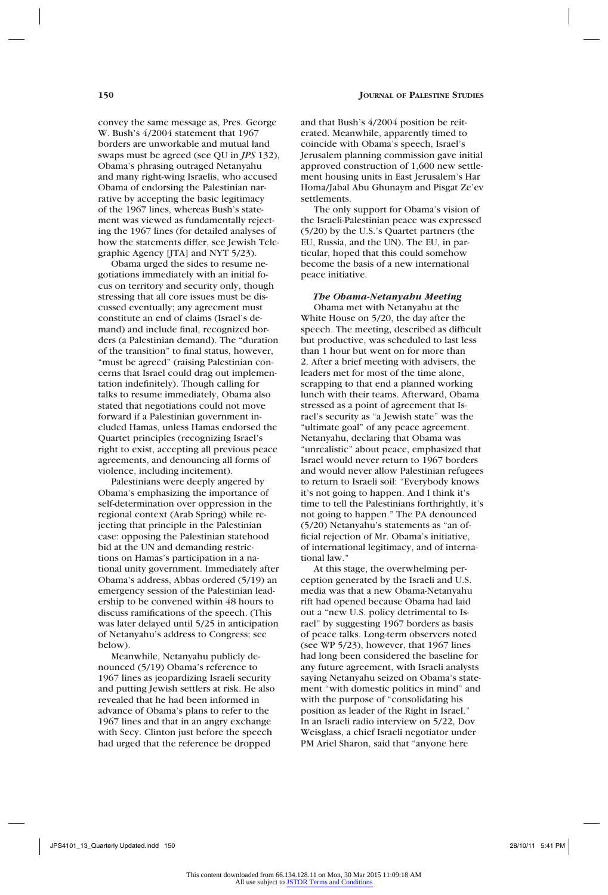convey the same message as, Pres. George W. Bush's 4/2004 statement that 1967 borders are unworkable and mutual land swaps must be agreed (see QU in *JPS* 132), Obama's phrasing outraged Netanyahu and many right-wing Israelis, who accused Obama of endorsing the Palestinian narrative by accepting the basic legitimacy of the 1967 lines, whereas Bush's statement was viewed as fundamentally rejecting the 1967 lines (for detailed analyses of how the statements differ, see Jewish Telegraphic Agency [JTA] and NYT 5/23).

Obama urged the sides to resume negotiations immediately with an initial focus on territory and security only, though stressing that all core issues must be discussed eventually; any agreement must constitute an end of claims (Israel's demand) and include final, recognized borders (a Palestinian demand). The "duration of the transition" to final status, however, "must be agreed" (raising Palestinian concerns that Israel could drag out implementation indefinitely). Though calling for talks to resume immediately, Obama also stated that negotiations could not move forward if a Palestinian government included Hamas, unless Hamas endorsed the Quartet principles (recognizing Israel's right to exist, accepting all previous peace agreements, and denouncing all forms of violence, including incitement).

Palestinians were deeply angered by Obama's emphasizing the importance of self-determination over oppression in the regional context (Arab Spring) while rejecting that principle in the Palestinian case: opposing the Palestinian statehood bid at the UN and demanding restrictions on Hamas's participation in a national unity government. Immediately after Obama's address, Abbas ordered (5/19) an emergency session of the Palestinian leadership to be convened within 48 hours to discuss ramifications of the speech. (This was later delayed until 5/25 in anticipation of Netanyahu's address to Congress; see below).

Meanwhile, Netanyahu publicly denounced (5/19) Obama's reference to 1967 lines as jeopardizing Israeli security and putting Jewish settlers at risk. He also revealed that he had been informed in advance of Obama's plans to refer to the 1967 lines and that in an angry exchange with Secy. Clinton just before the speech had urged that the reference be dropped

and that Bush's 4/2004 position be reiterated. Meanwhile, apparently timed to coincide with Obama's speech, Israel's Jerusalem planning commission gave initial approved construction of 1,600 new settlement housing units in East Jerusalem's Har Homa/Jabal Abu Ghunaym and Pisgat Ze'ev settlements.

The only support for Obama's vision of the Israeli-Palestinian peace was expressed (5/20) by the U.S.'s Quartet partners (the EU, Russia, and the UN). The EU, in particular, hoped that this could somehow become the basis of a new international peace initiative.

#### *The Obama-Netanyahu Meeting*

Obama met with Netanyahu at the White House on 5/20, the day after the speech. The meeting, described as difficult but productive, was scheduled to last less than 1 hour but went on for more than 2. After a brief meeting with advisers, the leaders met for most of the time alone, scrapping to that end a planned working lunch with their teams. Afterward, Obama stressed as a point of agreement that Israel's security as "a Jewish state" was the "ultimate goal" of any peace agreement. Netanyahu, declaring that Obama was "unrealistic" about peace, emphasized that Israel would never return to 1967 borders and would never allow Palestinian refugees to return to Israeli soil: "Everybody knows it's not going to happen. And I think it's time to tell the Palestinians forthrightly, it's not going to happen." The PA denounced (5/20) Netanyahu's statements as "an official rejection of Mr. Obama's initiative, of international legitimacy, and of international law."

At this stage, the overwhelming perception generated by the Israeli and U.S. media was that a new Obama-Netanyahu rift had opened because Obama had laid out a "new U.S. policy detrimental to Israel" by suggesting 1967 borders as basis of peace talks. Long-term observers noted (see WP 5/23), however, that 1967 lines had long been considered the baseline for any future agreement, with Israeli analysts saying Netanyahu seized on Obama's statement "with domestic politics in mind" and with the purpose of "consolidating his position as leader of the Right in Israel." In an Israeli radio interview on 5/22, Dov Weisglass, a chief Israeli negotiator under PM Ariel Sharon, said that "anyone here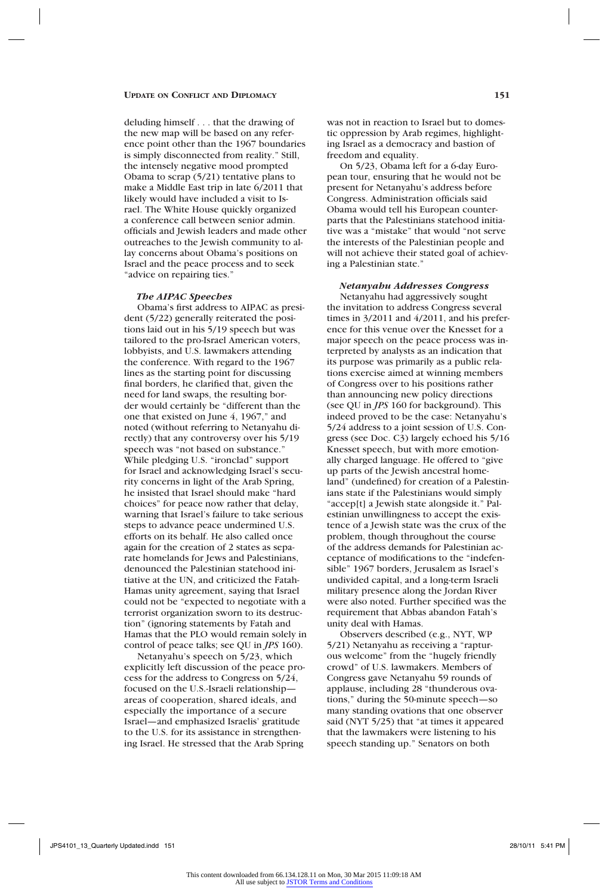deluding himself . . . that the drawing of the new map will be based on any reference point other than the 1967 boundaries is simply disconnected from reality." Still, the intensely negative mood prompted Obama to scrap (5/21) tentative plans to make a Middle East trip in late 6/2011 that likely would have included a visit to Israel. The White House quickly organized a conference call between senior admin. officials and Jewish leaders and made other outreaches to the Jewish community to allay concerns about Obama's positions on Israel and the peace process and to seek "advice on repairing ties."

#### *The AIPAC Speeches*

Obama's first address to AIPAC as president (5/22) generally reiterated the positions laid out in his 5/19 speech but was tailored to the pro-Israel American voters, lobbyists, and U.S. lawmakers attending the conference. With regard to the 1967 lines as the starting point for discussing final borders, he clarified that, given the need for land swaps, the resulting border would certainly be "different than the one that existed on June 4, 1967," and noted (without referring to Netanyahu directly) that any controversy over his 5/19 speech was "not based on substance." While pledging U.S. "ironclad" support for Israel and acknowledging Israel's security concerns in light of the Arab Spring, he insisted that Israel should make "hard choices" for peace now rather that delay, warning that Israel's failure to take serious steps to advance peace undermined U.S. efforts on its behalf. He also called once again for the creation of 2 states as separate homelands for Jews and Palestinians, denounced the Palestinian statehood initiative at the UN, and criticized the Fatah-Hamas unity agreement, saying that Israel could not be "expected to negotiate with a terrorist organization sworn to its destruction" (ignoring statements by Fatah and Hamas that the PLO would remain solely in control of peace talks; see QU in *JPS* 160).

Netanyahu's speech on 5/23, which explicitly left discussion of the peace process for the address to Congress on 5/24, focused on the U.S.-Israeli relationship areas of cooperation, shared ideals, and especially the importance of a secure Israel—and emphasized Israelis' gratitude to the U.S. for its assistance in strengthening Israel. He stressed that the Arab Spring

was not in reaction to Israel but to domestic oppression by Arab regimes, highlighting Israel as a democracy and bastion of freedom and equality.

On 5/23, Obama left for a 6-day European tour, ensuring that he would not be present for Netanyahu's address before Congress. Administration officials said Obama would tell his European counterparts that the Palestinians statehood initiative was a "mistake" that would "not serve the interests of the Palestinian people and will not achieve their stated goal of achieving a Palestinian state."

#### *Netanyahu Addresses Congress*

Netanyahu had aggressively sought the invitation to address Congress several times in 3/2011 and 4/2011, and his preference for this venue over the Knesset for a major speech on the peace process was interpreted by analysts as an indication that its purpose was primarily as a public relations exercise aimed at winning members of Congress over to his positions rather than announcing new policy directions (see QU in *JPS* 160 for background). This indeed proved to be the case: Netanyahu's 5/24 address to a joint session of U.S. Congress (see Doc. C3) largely echoed his 5/16 Knesset speech, but with more emotionally charged language. He offered to "give up parts of the Jewish ancestral homeland" (undefined) for creation of a Palestinians state if the Palestinians would simply "accep[t] a Jewish state alongside it." Palestinian unwillingness to accept the existence of a Jewish state was the crux of the problem, though throughout the course of the address demands for Palestinian acceptance of modifications to the "indefensible" 1967 borders, Jerusalem as Israel's undivided capital, and a long-term Israeli military presence along the Jordan River were also noted. Further specified was the requirement that Abbas abandon Fatah's unity deal with Hamas.

Observers described (e.g., NYT, WP 5/21) Netanyahu as receiving a "rapturous welcome" from the "hugely friendly crowd" of U.S. lawmakers. Members of Congress gave Netanyahu 59 rounds of applause, including 28 "thunderous ovations," during the 50-minute speech—so many standing ovations that one observer said (NYT 5/25) that "at times it appeared that the lawmakers were listening to his speech standing up." Senators on both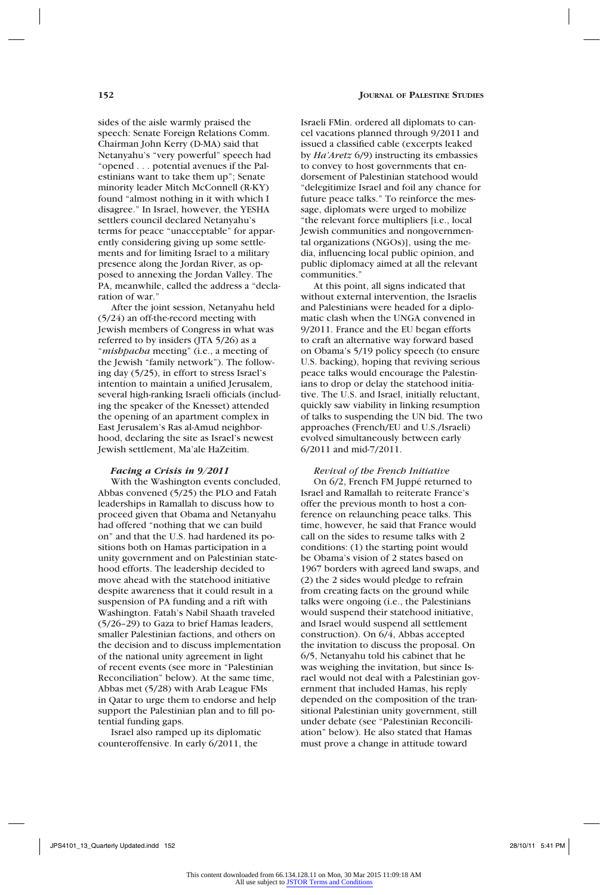sides of the aisle warmly praised the speech: Senate Foreign Relations Comm. Chairman John Kerry (D-MA) said that Netanyahu's "very powerful" speech had "opened . . . potential avenues if the Palestinians want to take them up"; Senate minority leader Mitch McConnell (R-KY) found "almost nothing in it with which I disagree." In Israel, however, the YESHA settlers council declared Netanyahu's terms for peace "unacceptable" for apparently considering giving up some settlements and for limiting Israel to a military presence along the Jordan River, as opposed to annexing the Jordan Valley. The PA, meanwhile, called the address a "declaration of war."

After the joint session, Netanyahu held (5/24) an off-the-record meeting with Jewish members of Congress in what was referred to by insiders (JTA 5/26) as a "*mishpacha* meeting" (i.e., a meeting of the Jewish "family network"). The following day (5/25), in effort to stress Israel's intention to maintain a unified Jerusalem, several high-ranking Israeli officials (including the speaker of the Knesset) attended the opening of an apartment complex in East Jerusalem's Ras al-Amud neighborhood, declaring the site as Israel's newest Jewish settlement, Ma'ale HaZeitim.

## *Facing a Crisis in 9/2011*

With the Washington events concluded, Abbas convened (5/25) the PLO and Fatah leaderships in Ramallah to discuss how to proceed given that Obama and Netanyahu had offered "nothing that we can build on" and that the U.S. had hardened its positions both on Hamas participation in a unity government and on Palestinian statehood efforts. The leadership decided to move ahead with the statehood initiative despite awareness that it could result in a suspension of PA funding and a rift with Washington. Fatah's Nabil Shaath traveled (5/26–29) to Gaza to brief Hamas leaders, smaller Palestinian factions, and others on the decision and to discuss implementation of the national unity agreement in light of recent events (see more in "Palestinian Reconciliation" below). At the same time, Abbas met (5/28) with Arab League FMs in Qatar to urge them to endorse and help support the Palestinian plan and to fill potential funding gaps.

Israel also ramped up its diplomatic counteroffensive. In early 6/2011, the

Israeli FMin. ordered all diplomats to cancel vacations planned through 9/2011 and issued a classified cable (excerpts leaked by *Ha'Aretz* 6/9) instructing its embassies to convey to host governments that endorsement of Palestinian statehood would "delegitimize Israel and foil any chance for future peace talks." To reinforce the message, diplomats were urged to mobilize "the relevant force multipliers [i.e., local Jewish communities and nongovernmental organizations (NGOs)], using the media, influencing local public opinion, and public diplomacy aimed at all the relevant communities."

At this point, all signs indicated that without external intervention, the Israelis and Palestinians were headed for a diplomatic clash when the UNGA convened in 9/2011. France and the EU began efforts to craft an alternative way forward based on Obama's 5/19 policy speech (to ensure U.S. backing), hoping that reviving serious peace talks would encourage the Palestinians to drop or delay the statehood initiative. The U.S. and Israel, initially reluctant, quickly saw viability in linking resumption of talks to suspending the UN bid. The two approaches (French/EU and U.S./Israeli) evolved simultaneously between early 6/2011 and mid-7/2011.

*Revival of the French Initiative* On 6/2, French FM Juppé returned to Israel and Ramallah to reiterate France's offer the previous month to host a conference on relaunching peace talks. This time, however, he said that France would call on the sides to resume talks with 2 conditions: (1) the starting point would be Obama's vision of 2 states based on 1967 borders with agreed land swaps, and (2) the 2 sides would pledge to refrain from creating facts on the ground while talks were ongoing (i.e., the Palestinians would suspend their statehood initiative, and Israel would suspend all settlement construction). On 6/4, Abbas accepted the invitation to discuss the proposal. On 6/5, Netanyahu told his cabinet that he was weighing the invitation, but since Israel would not deal with a Palestinian government that included Hamas, his reply depended on the composition of the transitional Palestinian unity government, still under debate (see "Palestinian Reconciliation" below). He also stated that Hamas must prove a change in attitude toward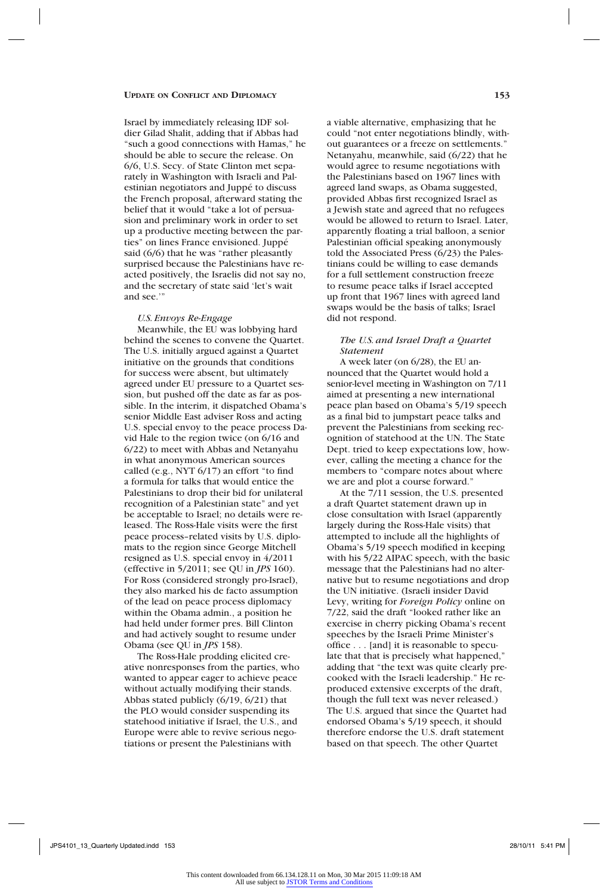Israel by immediately releasing IDF soldier Gilad Shalit, adding that if Abbas had "such a good connections with Hamas," he should be able to secure the release. On 6/6, U.S. Secy. of State Clinton met separately in Washington with Israeli and Palestinian negotiators and Juppé to discuss the French proposal, afterward stating the belief that it would "take a lot of persuasion and preliminary work in order to set up a productive meeting between the parties" on lines France envisioned. Juppé said (6/6) that he was "rather pleasantly surprised because the Palestinians have reacted positively, the Israelis did not say no, and the secretary of state said 'let's wait and see.'

#### *U.S. Envoys Re-Engage*

Meanwhile, the EU was lobbying hard behind the scenes to convene the Quartet. The U.S. initially argued against a Quartet initiative on the grounds that conditions for success were absent, but ultimately agreed under EU pressure to a Quartet session, but pushed off the date as far as possible. In the interim, it dispatched Obama's senior Middle East adviser Ross and acting U.S. special envoy to the peace process David Hale to the region twice (on 6/16 and 6/22) to meet with Abbas and Netanyahu in what anonymous American sources called (e.g., NYT 6/17) an effort "to find a formula for talks that would entice the Palestinians to drop their bid for unilateral recognition of a Palestinian state" and yet be acceptable to Israel; no details were released. The Ross-Hale visits were the first peace process–related visits by U.S. diplomats to the region since George Mitchell resigned as U.S. special envoy in 4/2011 (effective in 5/2011; see QU in *JPS* 160). For Ross (considered strongly pro-Israel), they also marked his de facto assumption of the lead on peace process diplomacy within the Obama admin., a position he had held under former pres. Bill Clinton and had actively sought to resume under Obama (see QU in *JPS* 158).

The Ross-Hale prodding elicited creative nonresponses from the parties, who wanted to appear eager to achieve peace without actually modifying their stands. Abbas stated publicly (6/19, 6/21) that the PLO would consider suspending its statehood initiative if Israel, the U.S., and Europe were able to revive serious negotiations or present the Palestinians with

a viable alternative, emphasizing that he could "not enter negotiations blindly, without guarantees or a freeze on settlements." Netanyahu, meanwhile, said (6/22) that he would agree to resume negotiations with the Palestinians based on 1967 lines with agreed land swaps, as Obama suggested, provided Abbas first recognized Israel as a Jewish state and agreed that no refugees would be allowed to return to Israel. Later, apparently floating a trial balloon, a senior Palestinian official speaking anonymously told the Associated Press (6/23) the Palestinians could be willing to ease demands for a full settlement construction freeze to resume peace talks if Israel accepted up front that 1967 lines with agreed land swaps would be the basis of talks; Israel did not respond.

## *The U.S. and Israel Draft a Quartet Statement*

A week later (on 6/28), the EU announced that the Quartet would hold a senior-level meeting in Washington on 7/11 aimed at presenting a new international peace plan based on Obama's 5/19 speech as a final bid to jumpstart peace talks and prevent the Palestinians from seeking recognition of statehood at the UN. The State Dept. tried to keep expectations low, however, calling the meeting a chance for the members to "compare notes about where we are and plot a course forward."

At the 7/11 session, the U.S. presented a draft Quartet statement drawn up in close consultation with Israel (apparently largely during the Ross-Hale visits) that attempted to include all the highlights of Obama's 5/19 speech modified in keeping with his 5/22 AIPAC speech, with the basic message that the Palestinians had no alternative but to resume negotiations and drop the UN initiative. (Israeli insider David Levy, writing for *Foreign Policy* online on 7/22, said the draft "looked rather like an exercise in cherry picking Obama's recent speeches by the Israeli Prime Minister's office . . . [and] it is reasonable to speculate that that is precisely what happened," adding that "the text was quite clearly precooked with the Israeli leadership." He reproduced extensive excerpts of the draft, though the full text was never released.) The U.S. argued that since the Quartet had endorsed Obama's 5/19 speech, it should therefore endorse the U.S. draft statement based on that speech. The other Quartet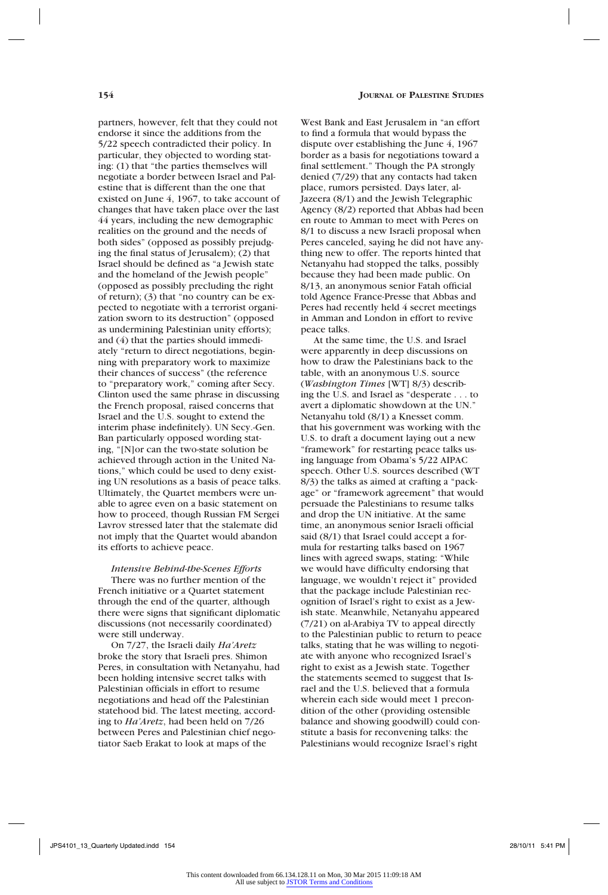partners, however, felt that they could not endorse it since the additions from the 5/22 speech contradicted their policy. In particular, they objected to wording stating: (1) that "the parties themselves will negotiate a border between Israel and Palestine that is different than the one that existed on June 4, 1967, to take account of changes that have taken place over the last 44 years, including the new demographic realities on the ground and the needs of both sides" (opposed as possibly prejudging the final status of Jerusalem); (2) that Israel should be defined as "a Jewish state and the homeland of the Jewish people" (opposed as possibly precluding the right of return); (3) that "no country can be expected to negotiate with a terrorist organization sworn to its destruction" (opposed as undermining Palestinian unity efforts); and (4) that the parties should immediately "return to direct negotiations, beginning with preparatory work to maximize their chances of success" (the reference to "preparatory work," coming after Secy. Clinton used the same phrase in discussing the French proposal, raised concerns that Israel and the U.S. sought to extend the interim phase indefinitely). UN Secy.-Gen. Ban particularly opposed wording stating, "[N]or can the two-state solution be achieved through action in the United Nations," which could be used to deny existing UN resolutions as a basis of peace talks. Ultimately, the Quartet members were unable to agree even on a basic statement on how to proceed, though Russian FM Sergei Lavrov stressed later that the stalemate did not imply that the Quartet would abandon its efforts to achieve peace.

#### *Intensive Behind-the-Scenes Efforts*

There was no further mention of the French initiative or a Quartet statement through the end of the quarter, although there were signs that significant diplomatic discussions (not necessarily coordinated) were still underway.

On 7/27, the Israeli daily *Ha'Aretz* broke the story that Israeli pres. Shimon Peres, in consultation with Netanyahu, had been holding intensive secret talks with Palestinian officials in effort to resume negotiations and head off the Palestinian statehood bid. The latest meeting, according to *Ha'Aretz*, had been held on 7/26 between Peres and Palestinian chief negotiator Saeb Erakat to look at maps of the

West Bank and East Jerusalem in "an effort to find a formula that would bypass the dispute over establishing the June 4, 1967 border as a basis for negotiations toward a final settlement." Though the PA strongly denied (7/29) that any contacts had taken place, rumors persisted. Days later, al-Jazeera (8/1) and the Jewish Telegraphic Agency (8/2) reported that Abbas had been en route to Amman to meet with Peres on 8/1 to discuss a new Israeli proposal when Peres canceled, saying he did not have anything new to offer. The reports hinted that Netanyahu had stopped the talks, possibly because they had been made public. On 8/13, an anonymous senior Fatah official told Agence France-Presse that Abbas and Peres had recently held 4 secret meetings in Amman and London in effort to revive peace talks.

At the same time, the U.S. and Israel were apparently in deep discussions on how to draw the Palestinians back to the table, with an anonymous U.S. source (*Washington Times* [WT] 8/3) describing the U.S. and Israel as "desperate . . . to avert a diplomatic showdown at the UN." Netanyahu told (8/1) a Knesset comm. that his government was working with the U.S. to draft a document laying out a new "framework" for restarting peace talks using language from Obama's 5/22 AIPAC speech. Other U.S. sources described (WT 8/3) the talks as aimed at crafting a "package" or "framework agreement" that would persuade the Palestinians to resume talks and drop the UN initiative. At the same time, an anonymous senior Israeli official said (8/1) that Israel could accept a formula for restarting talks based on 1967 lines with agreed swaps, stating: "While we would have difficulty endorsing that language, we wouldn't reject it" provided that the package include Palestinian recognition of Israel's right to exist as a Jewish state. Meanwhile, Netanyahu appeared (7/21) on al-Arabiya TV to appeal directly to the Palestinian public to return to peace talks, stating that he was willing to negotiate with anyone who recognized Israel's right to exist as a Jewish state. Together the statements seemed to suggest that Israel and the U.S. believed that a formula wherein each side would meet 1 precondition of the other (providing ostensible balance and showing goodwill) could constitute a basis for reconvening talks: the Palestinians would recognize Israel's right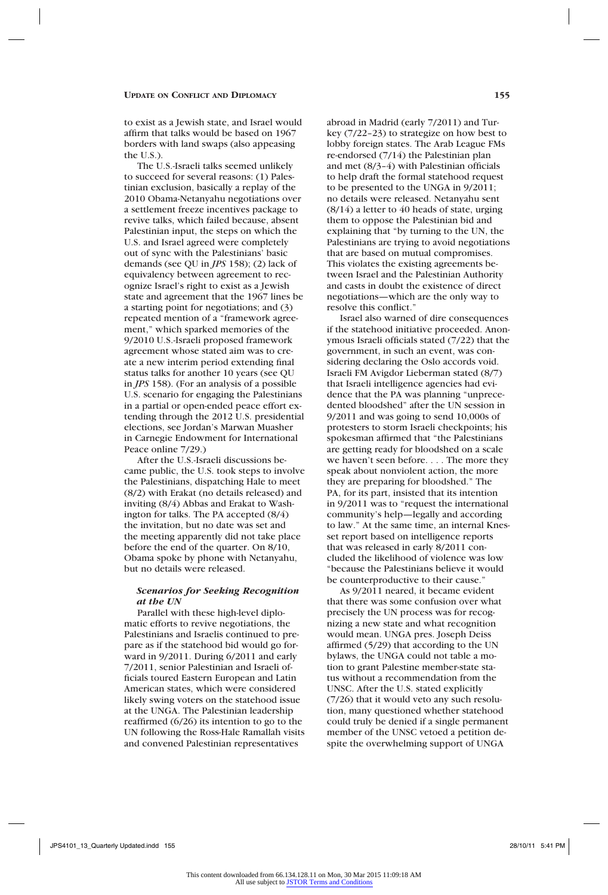to exist as a Jewish state, and Israel would affirm that talks would be based on 1967 borders with land swaps (also appeasing the U.S.).

The U.S.-Israeli talks seemed unlikely to succeed for several reasons: (1) Palestinian exclusion, basically a replay of the 2010 Obama-Netanyahu negotiations over a settlement freeze incentives package to revive talks, which failed because, absent Palestinian input, the steps on which the U.S. and Israel agreed were completely out of sync with the Palestinians' basic demands (see QU in *JPS* 158); (2) lack of equivalency between agreement to recognize Israel's right to exist as a Jewish state and agreement that the 1967 lines be a starting point for negotiations; and (3) repeated mention of a "framework agreement," which sparked memories of the 9/2010 U.S.-Israeli proposed framework agreement whose stated aim was to create a new interim period extending final status talks for another 10 years (see QU in *JPS* 158). (For an analysis of a possible U.S. scenario for engaging the Palestinians in a partial or open-ended peace effort extending through the 2012 U.S. presidential elections, see Jordan's Marwan Muasher in Carnegie Endowment for International Peace online 7/29.)

After the U.S.-Israeli discussions became public, the U.S. took steps to involve the Palestinians, dispatching Hale to meet (8/2) with Erakat (no details released) and inviting (8/4) Abbas and Erakat to Washington for talks. The PA accepted (8/4) the invitation, but no date was set and the meeting apparently did not take place before the end of the quarter. On 8/10, Obama spoke by phone with Netanyahu, but no details were released.

## *Scenarios for Seeking Recognition at the UN*

Parallel with these high-level diplomatic efforts to revive negotiations, the Palestinians and Israelis continued to prepare as if the statehood bid would go forward in 9/2011. During 6/2011 and early 7/2011, senior Palestinian and Israeli officials toured Eastern European and Latin American states, which were considered likely swing voters on the statehood issue at the UNGA. The Palestinian leadership reaffirmed (6/26) its intention to go to the UN following the Ross-Hale Ramallah visits and convened Palestinian representatives

abroad in Madrid (early 7/2011) and Turkey (7/22–23) to strategize on how best to lobby foreign states. The Arab League FMs re-endorsed (7/14) the Palestinian plan and met (8/3–4) with Palestinian officials to help draft the formal statehood request to be presented to the UNGA in 9/2011; no details were released. Netanyahu sent  $(8/14)$  a letter to 40 heads of state, urging them to oppose the Palestinian bid and explaining that "by turning to the UN, the Palestinians are trying to avoid negotiations that are based on mutual compromises. This violates the existing agreements between Israel and the Palestinian Authority and casts in doubt the existence of direct negotiations—which are the only way to resolve this conflict."

Israel also warned of dire consequences if the statehood initiative proceeded. Anonymous Israeli officials stated (7/22) that the government, in such an event, was considering declaring the Oslo accords void. Israeli FM Avigdor Lieberman stated (8/7) that Israeli intelligence agencies had evidence that the PA was planning "unprecedented bloodshed" after the UN session in 9/2011 and was going to send 10,000s of protesters to storm Israeli checkpoints; his spokesman affirmed that "the Palestinians are getting ready for bloodshed on a scale we haven't seen before. . . . The more they speak about nonviolent action, the more they are preparing for bloodshed." The PA, for its part, insisted that its intention in 9/2011 was to "request the international community's help—legally and according to law." At the same time, an internal Knesset report based on intelligence reports that was released in early 8/2011 concluded the likelihood of violence was low "because the Palestinians believe it would be counterproductive to their cause.'

As 9/2011 neared, it became evident that there was some confusion over what precisely the UN process was for recognizing a new state and what recognition would mean. UNGA pres. Joseph Deiss affirmed (5/29) that according to the UN bylaws, the UNGA could not table a motion to grant Palestine member-state status without a recommendation from the UNSC. After the U.S. stated explicitly (7/26) that it would veto any such resolution, many questioned whether statehood could truly be denied if a single permanent member of the UNSC vetoed a petition despite the overwhelming support of UNGA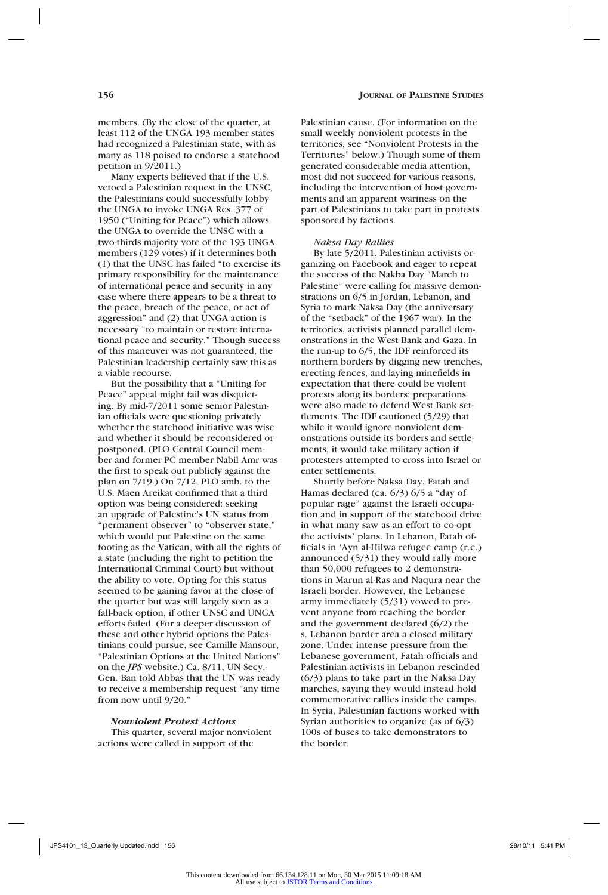members. (By the close of the quarter, at least 112 of the UNGA 193 member states had recognized a Palestinian state, with as many as 118 poised to endorse a statehood petition in 9/2011.)

Many experts believed that if the U.S. vetoed a Palestinian request in the UNSC, the Palestinians could successfully lobby the UNGA to invoke UNGA Res. 377 of 1950 ("Uniting for Peace") which allows the UNGA to override the UNSC with a two-thirds majority vote of the 193 UNGA members (129 votes) if it determines both (1) that the UNSC has failed "to exercise its primary responsibility for the maintenance of international peace and security in any case where there appears to be a threat to the peace, breach of the peace, or act of aggression" and (2) that UNGA action is necessary "to maintain or restore international peace and security." Though success of this maneuver was not guaranteed, the Palestinian leadership certainly saw this as a viable recourse.

But the possibility that a "Uniting for Peace" appeal might fail was disquieting. By mid-7/2011 some senior Palestinian officials were questioning privately whether the statehood initiative was wise and whether it should be reconsidered or postponed. (PLO Central Council member and former PC member Nabil Amr was the first to speak out publicly against the plan on 7/19.) On 7/12, PLO amb. to the U.S. Maen Areikat confirmed that a third option was being considered: seeking an upgrade of Palestine's UN status from "permanent observer" to "observer state," which would put Palestine on the same footing as the Vatican, with all the rights of a state (including the right to petition the International Criminal Court) but without the ability to vote. Opting for this status seemed to be gaining favor at the close of the quarter but was still largely seen as a fall-back option, if other UNSC and UNGA efforts failed. (For a deeper discussion of these and other hybrid options the Palestinians could pursue, see [Camille Mansour,](http://www.palestine-studies.org/columndetails.aspx?t=1&id=34)  ["Palestinian Options at the United Nations"](http://www.palestine-studies.org/columndetails.aspx?t=1&id=34) on the *JPS* website.) Ca. 8/11, UN Secy.- Gen. Ban told Abbas that the UN was ready to receive a membership request "any time from now until 9/20."

#### *Nonviolent Protest Actions*

This quarter, several major nonviolent actions were called in support of the

Palestinian cause. (For information on the small weekly nonviolent protests in the territories, see "Nonviolent Protests in the Territories" below.) Though some of them generated considerable media attention, most did not succeed for various reasons, including the intervention of host governments and an apparent wariness on the part of Palestinians to take part in protests sponsored by factions.

#### *Naksa Day Rallies*

By late 5/2011, Palestinian activists organizing on Facebook and eager to repeat the success of the Nakba Day "March to Palestine" were calling for massive demonstrations on 6/5 in Jordan, Lebanon, and Syria to mark Naksa Day (the anniversary of the "setback" of the 1967 war). In the territories, activists planned parallel demonstrations in the West Bank and Gaza. In the run-up to 6/5, the IDF reinforced its northern borders by digging new trenches, erecting fences, and laying minefields in expectation that there could be violent protests along its borders; preparations were also made to defend West Bank settlements. The IDF cautioned (5/29) that while it would ignore nonviolent demonstrations outside its borders and settlements, it would take military action if protesters attempted to cross into Israel or enter settlements.

Shortly before Naksa Day, Fatah and Hamas declared (ca. 6/3) 6/5 a "day of popular rage" against the Israeli occupation and in support of the statehood drive in what many saw as an effort to co-opt the activists' plans. In Lebanon, Fatah officials in 'Ayn al-Hilwa refugee camp (r.c.) announced (5/31) they would rally more than 50,000 refugees to 2 demonstrations in Marun al-Ras and Naqura near the Israeli border. However, the Lebanese army immediately (5/31) vowed to prevent anyone from reaching the border and the government declared (6/2) the s. Lebanon border area a closed military zone. Under intense pressure from the Lebanese government, Fatah officials and Palestinian activists in Lebanon rescinded (6/3) plans to take part in the Naksa Day marches, saying they would instead hold commemorative rallies inside the camps. In Syria, Palestinian factions worked with Syrian authorities to organize (as of 6/3) 100s of buses to take demonstrators to the border.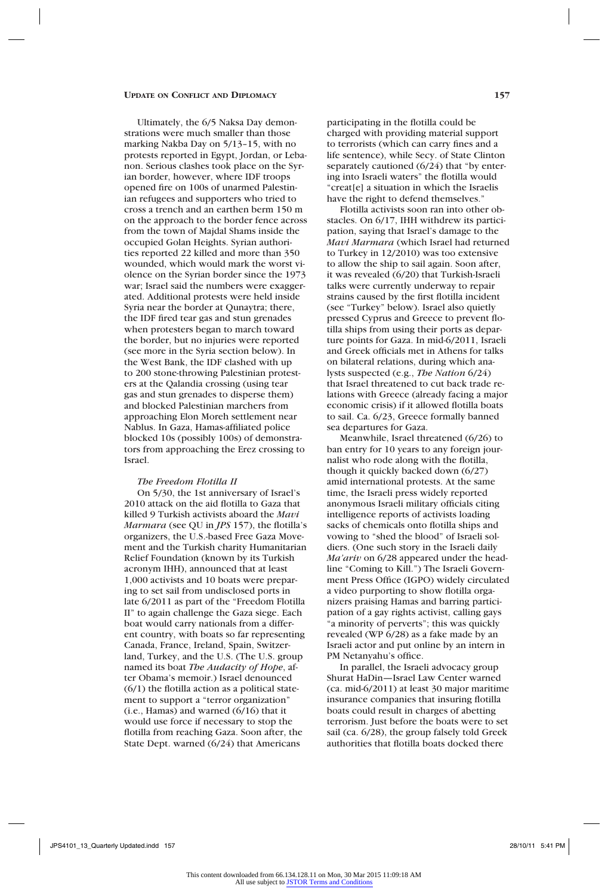Ultimately, the 6/5 Naksa Day demonstrations were much smaller than those marking Nakba Day on 5/13–15, with no protests reported in Egypt, Jordan, or Lebanon. Serious clashes took place on the Syrian border, however, where IDF troops opened fire on 100s of unarmed Palestinian refugees and supporters who tried to cross a trench and an earthen berm 150 m on the approach to the border fence across from the town of Majdal Shams inside the occupied Golan Heights. Syrian authorities reported 22 killed and more than 350 wounded, which would mark the worst violence on the Syrian border since the 1973 war; Israel said the numbers were exaggerated. Additional protests were held inside Syria near the border at Qunaytra; there, the IDF fired tear gas and stun grenades when protesters began to march toward the border, but no injuries were reported (see more in the Syria section below). In the West Bank, the IDF clashed with up to 200 stone-throwing Palestinian protesters at the Qalandia crossing (using tear gas and stun grenades to disperse them) and blocked Palestinian marchers from approaching Elon Moreh settlement near Nablus. In Gaza, Hamas-affiliated police blocked 10s (possibly 100s) of demonstrators from approaching the Erez crossing to Israel.

## *The Freedom Flotilla II*

On 5/30, the 1st anniversary of Israel's 2010 attack on the aid flotilla to Gaza that killed 9 Turkish activists aboard the *Mavi Marmara* (see QU in *JPS* 157), the flotilla's organizers, the U.S.-based Free Gaza Movement and the Turkish charity Humanitarian Relief Foundation (known by its Turkish acronym IHH), announced that at least 1,000 activists and 10 boats were preparing to set sail from undisclosed ports in late 6/2011 as part of the "Freedom Flotilla II" to again challenge the Gaza siege. Each boat would carry nationals from a different country, with boats so far representing Canada, France, Ireland, Spain, Switzerland, Turkey, and the U.S. (The U.S. group named its boat *The Audacity of Hope*, after Obama's memoir.) Israel denounced  $(6/1)$  the flotilla action as a political statement to support a "terror organization" (i.e., Hamas) and warned (6/16) that it would use force if necessary to stop the flotilla from reaching Gaza. Soon after, the State Dept. warned (6/24) that Americans

participating in the flotilla could be charged with providing material support to terrorists (which can carry fines and a life sentence), while Secy. of State Clinton separately cautioned (6/24) that "by entering into Israeli waters" the flotilla would "creat[e] a situation in which the Israelis have the right to defend themselves.<sup>"</sup>

Flotilla activists soon ran into other obstacles. On 6/17, IHH withdrew its participation, saying that Israel's damage to the *Mavi Marmara* (which Israel had returned to Turkey in 12/2010) was too extensive to allow the ship to sail again. Soon after, it was revealed (6/20) that Turkish-Israeli talks were currently underway to repair strains caused by the first flotilla incident (see "Turkey" below). Israel also quietly pressed Cyprus and Greece to prevent flotilla ships from using their ports as departure points for Gaza. In mid-6/2011, Israeli and Greek officials met in Athens for talks on bilateral relations, during which analysts suspected (e.g., *The Nation* 6/24) that Israel threatened to cut back trade relations with Greece (already facing a major economic crisis) if it allowed flotilla boats to sail. Ca. 6/23, Greece formally banned sea departures for Gaza.

Meanwhile, Israel threatened (6/26) to ban entry for 10 years to any foreign journalist who rode along with the flotilla, though it quickly backed down (6/27) amid international protests. At the same time, the Israeli press widely reported anonymous Israeli military officials citing intelligence reports of activists loading sacks of chemicals onto flotilla ships and vowing to "shed the blood" of Israeli soldiers. (One such story in the Israeli daily *Ma'ariv* on 6/28 appeared under the headline "Coming to Kill.") The Israeli Government Press Office (IGPO) widely circulated a video purporting to show flotilla organizers praising Hamas and barring participation of a gay rights activist, calling gays 'a minority of perverts"; this was quickly revealed (WP 6/28) as a fake made by an Israeli actor and put online by an intern in PM Netanyahu's office.

In parallel, the Israeli advocacy group Shurat HaDin—Israel Law Center warned (ca. mid-6/2011) at least 30 major maritime insurance companies that insuring flotilla boats could result in charges of abetting terrorism. Just before the boats were to set sail (ca. 6/28), the group falsely told Greek authorities that flotilla boats docked there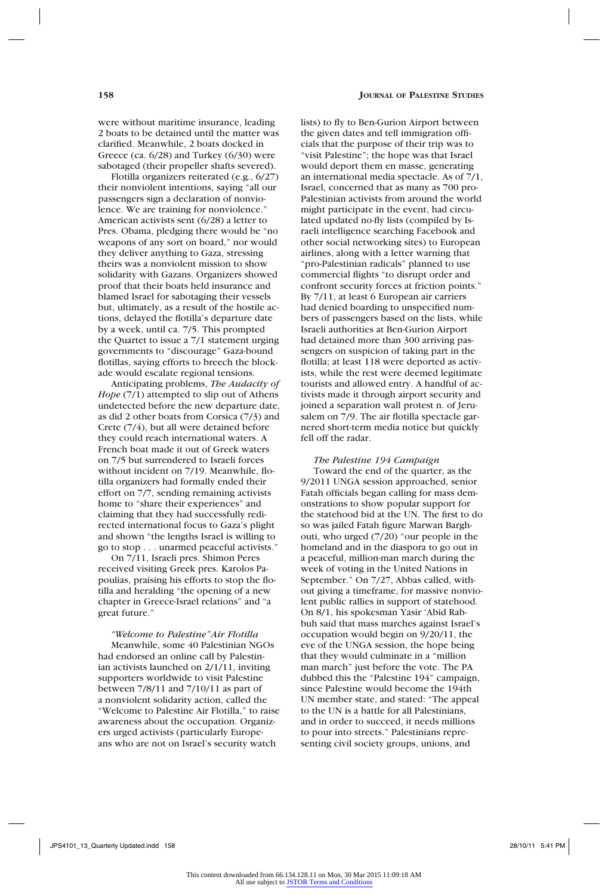sabotaged (their propeller shafts severed). Flotilla organizers reiterated (e.g., 6/27) their nonviolent intentions, saying "all our passengers sign a declaration of nonviolence. We are training for nonviolence." American activists sent (6/28) a letter to Pres. Obama, pledging there would be "no weapons of any sort on board," nor would they deliver anything to Gaza, stressing theirs was a nonviolent mission to show solidarity with Gazans. Organizers showed proof that their boats held insurance and blamed Israel for sabotaging their vessels but, ultimately, as a result of the hostile actions, delayed the flotilla's departure date by a week, until ca. 7/5. This prompted the Quartet to issue a 7/1 statement urging governments to "discourage" Gaza-bound flotillas, saying efforts to breech the block-

were without maritime insurance, leading 2 boats to be detained until the matter was clarified. Meanwhile, 2 boats docked in Greece (ca. 6/28) and Turkey (6/30) were

Anticipating problems, *The Audacity of Hope* (7/1) attempted to slip out of Athens undetected before the new departure date, as did 2 other boats from Corsica (7/3) and Crete (7/4), but all were detained before they could reach international waters. A French boat made it out of Greek waters on 7/5 but surrendered to Israeli forces without incident on 7/19. Meanwhile, flotilla organizers had formally ended their effort on 7/7, sending remaining activists home to "share their experiences" and claiming that they had successfully redirected international focus to Gaza's plight and shown "the lengths Israel is willing to go to stop . . . unarmed peaceful activists."

ade would escalate regional tensions.

On 7/11, Israeli pres. Shimon Peres received visiting Greek pres. Karolos Papoulias, praising his efforts to stop the flotilla and heralding "the opening of a new chapter in Greece-Israel relations" and "a great future."

*"Welcome to Palestine" Air Flotilla* Meanwhile, some 40 Palestinian NGOs had endorsed an online call by Palestinian activists launched on 2/1/11, inviting supporters worldwide to visit Palestine between 7/8/11 and 7/10/11 as part of a nonviolent solidarity action, called the "Welcome to Palestine Air Flotilla," to raise awareness about the occupation. Organizers urged activists (particularly Europeans who are not on Israel's security watch

the given dates and tell immigration officials that the purpose of their trip was to "visit Palestine"; the hope was that Israel would deport them en masse, generating an international media spectacle. As of 7/1, Israel, concerned that as many as 700 pro-Palestinian activists from around the world might participate in the event, had circulated updated no-fly lists (compiled by Israeli intelligence searching Facebook and other social networking sites) to European airlines, along with a letter warning that "pro-Palestinian radicals" planned to use commercial flights "to disrupt order and confront security forces at friction points." By 7/11, at least 6 European air carriers had denied boarding to unspecified numbers of passengers based on the lists, while Israeli authorities at Ben-Gurion Airport had detained more than 300 arriving passengers on suspicion of taking part in the flotilla; at least 118 were deported as activists, while the rest were deemed legitimate tourists and allowed entry. A handful of activists made it through airport security and joined a separation wall protest n. of Jerusalem on 7/9. The air flotilla spectacle garnered short-term media notice but quickly fell off the radar.

#### *The Palestine 194 Campaign*

Toward the end of the quarter, as the 9/2011 UNGA session approached, senior Fatah officials began calling for mass demonstrations to show popular support for the statehood bid at the UN. The first to do so was jailed Fatah figure Marwan Barghouti, who urged (7/20) "our people in the homeland and in the diaspora to go out in a peaceful, million-man march during the week of voting in the United Nations in September." On 7/27, Abbas called, without giving a timeframe, for massive nonviolent public rallies in support of statehood. On 8/1, his spokesman Yasir 'Abid Rabbuh said that mass marches against Israel's occupation would begin on 9/20/11, the eve of the UNGA session, the hope being that they would culminate in a "million man march" just before the vote. The PA dubbed this the "Palestine 194" campaign, since Palestine would become the 194th UN member state, and stated: "The appeal to the UN is a battle for all Palestinians, and in order to succeed, it needs millions to pour into streets." Palestinians representing civil society groups, unions, and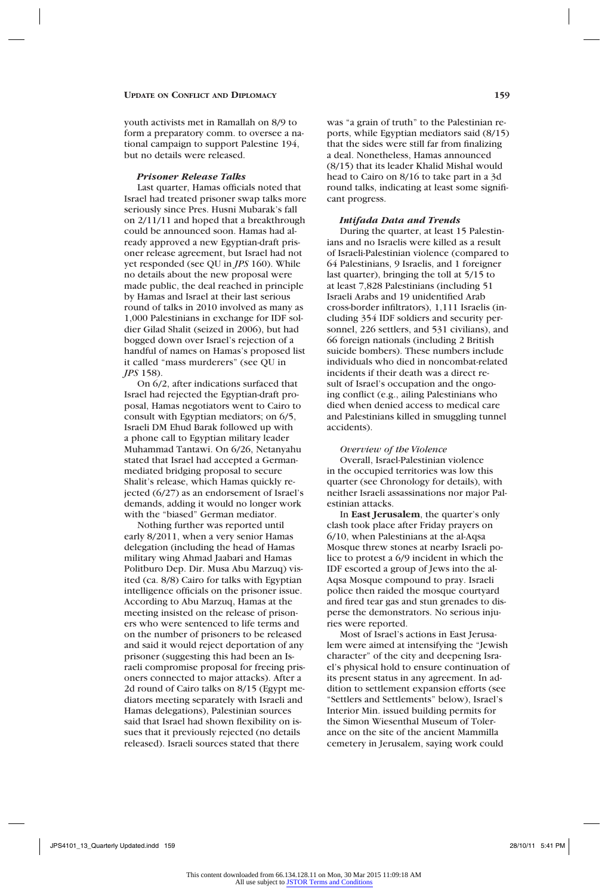youth activists met in Ramallah on 8/9 to form a preparatory comm. to oversee a national campaign to support Palestine 194, but no details were released.

#### *Prisoner Release Talks*

Last quarter, Hamas officials noted that Israel had treated prisoner swap talks more seriously since Pres. Husni Mubarak's fall on 2/11/11 and hoped that a breakthrough could be announced soon. Hamas had already approved a new Egyptian-draft prisoner release agreement, but Israel had not yet responded (see QU in *JPS* 160). While no details about the new proposal were made public, the deal reached in principle by Hamas and Israel at their last serious round of talks in 2010 involved as many as 1,000 Palestinians in exchange for IDF soldier Gilad Shalit (seized in 2006), but had bogged down over Israel's rejection of a handful of names on Hamas's proposed list it called "mass murderers" (see QU in *JPS* 158).

On 6/2, after indications surfaced that Israel had rejected the Egyptian-draft proposal, Hamas negotiators went to Cairo to consult with Egyptian mediators; on 6/5, Israeli DM Ehud Barak followed up with a phone call to Egyptian military leader Muhammad Tantawi. On 6/26, Netanyahu stated that Israel had accepted a Germanmediated bridging proposal to secure Shalit's release, which Hamas quickly rejected (6/27) as an endorsement of Israel's demands, adding it would no longer work with the "biased" German mediator.

Nothing further was reported until early 8/2011, when a very senior Hamas delegation (including the head of Hamas military wing Ahmad Jaabari and Hamas Politburo Dep. Dir. Musa Abu Marzuq) visited (ca. 8/8) Cairo for talks with Egyptian intelligence officials on the prisoner issue. According to Abu Marzuq, Hamas at the meeting insisted on the release of prisoners who were sentenced to life terms and on the number of prisoners to be released and said it would reject deportation of any prisoner (suggesting this had been an Israeli compromise proposal for freeing prisoners connected to major attacks). After a 2d round of Cairo talks on 8/15 (Egypt mediators meeting separately with Israeli and Hamas delegations), Palestinian sources said that Israel had shown flexibility on issues that it previously rejected (no details released). Israeli sources stated that there

was "a grain of truth" to the Palestinian reports, while Egyptian mediators said (8/15) that the sides were still far from finalizing a deal. Nonetheless, Hamas announced (8/15) that its leader Khalid Mishal would head to Cairo on 8/16 to take part in a 3d round talks, indicating at least some significant progress.

#### *Intifada Data and Trends*

During the quarter, at least 15 Palestinians and no Israelis were killed as a result of Israeli-Palestinian violence (compared to 64 Palestinians, 9 Israelis, and 1 foreigner last quarter), bringing the toll at 5/15 to at least 7,828 Palestinians (including 51 Israeli Arabs and 19 unidentified Arab cross-border infiltrators), 1,111 Israelis (including 354 IDF soldiers and security personnel, 226 settlers, and 531 civilians), and 66 foreign nationals (including 2 British suicide bombers). These numbers include individuals who died in noncombat-related incidents if their death was a direct result of Israel's occupation and the ongoing conflict (e.g., ailing Palestinians who died when denied access to medical care and Palestinians killed in smuggling tunnel accidents).

#### *Overview of the Violence*

Overall, Israel-Palestinian violence in the occupied territories was low this quarter (see Chronology for details), with neither Israeli assassinations nor major Palestinian attacks.

In **East Jerusalem**, the quarter's only clash took place after Friday prayers on 6/10, when Palestinians at the al-Aqsa Mosque threw stones at nearby Israeli police to protest a 6/9 incident in which the IDF escorted a group of Jews into the al-Aqsa Mosque compound to pray. Israeli police then raided the mosque courtyard and fired tear gas and stun grenades to disperse the demonstrators. No serious injuries were reported.

Most of Israel's actions in East Jerusalem were aimed at intensifying the "Jewish character" of the city and deepening Israel's physical hold to ensure continuation of its present status in any agreement. In addition to settlement expansion efforts (see "Settlers and Settlements" below), Israel's Interior Min. issued building permits for the Simon Wiesenthal Museum of Tolerance on the site of the ancient Mammilla cemetery in Jerusalem, saying work could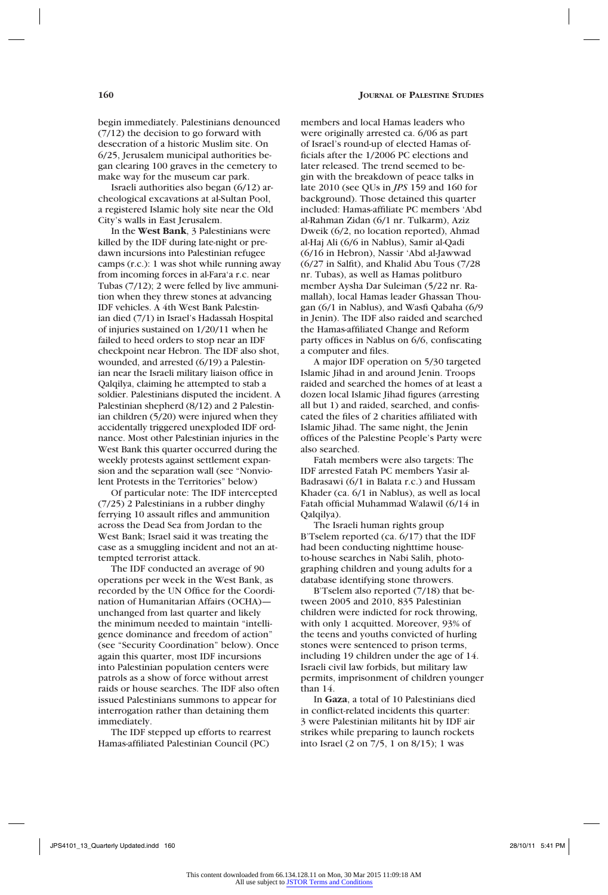begin immediately. Palestinians denounced (7/12) the decision to go forward with desecration of a historic Muslim site. On 6/25, Jerusalem municipal authorities began clearing 100 graves in the cemetery to make way for the museum car park.

Israeli authorities also began (6/12) archeological excavations at al-Sultan Pool, a registered Islamic holy site near the Old City's walls in East Jerusalem.

In the **West Bank**, 3 Palestinians were killed by the IDF during late-night or predawn incursions into Palestinian refugee camps (r.c.): 1 was shot while running away from incoming forces in al-Fara'a r.c. near Tubas (7/12); 2 were felled by live ammunition when they threw stones at advancing IDF vehicles. A 4th West Bank Palestinian died (7/1) in Israel's Hadassah Hospital of injuries sustained on 1/20/11 when he failed to heed orders to stop near an IDF checkpoint near Hebron. The IDF also shot, wounded, and arrested (6/19) a Palestinian near the Israeli military liaison office in Qalqilya, claiming he attempted to stab a soldier. Palestinians disputed the incident. A Palestinian shepherd (8/12) and 2 Palestinian children  $(5/20)$  were injured when they accidentally triggered unexploded IDF ordnance. Most other Palestinian injuries in the West Bank this quarter occurred during the weekly protests against settlement expansion and the separation wall (see "Nonviolent Protests in the Territories" below)

Of particular note: The IDF intercepted (7/25) 2 Palestinians in a rubber dinghy ferrying 10 assault rifles and ammunition across the Dead Sea from Jordan to the West Bank; Israel said it was treating the case as a smuggling incident and not an attempted terrorist attack.

The IDF conducted an average of 90 operations per week in the West Bank, as recorded by the UN Office for the Coordination of Humanitarian Affairs (OCHA) unchanged from last quarter and likely the minimum needed to maintain "intelligence dominance and freedom of action" (see "Security Coordination" below). Once again this quarter, most IDF incursions into Palestinian population centers were patrols as a show of force without arrest raids or house searches. The IDF also often issued Palestinians summons to appear for interrogation rather than detaining them immediately.

The IDF stepped up efforts to rearrest Hamas-affiliated Palestinian Council (PC)

members and local Hamas leaders who were originally arrested ca. 6/06 as part of Israel's round-up of elected Hamas officials after the 1/2006 PC elections and later released. The trend seemed to begin with the breakdown of peace talks in late 2010 (see QUs in *JPS* 159 and 160 for background). Those detained this quarter included: Hamas-affiliate PC members 'Abd al-Rahman Zidan (6/1 nr. Tulkarm), Aziz Dweik (6/2, no location reported), Ahmad al-Haj Ali (6/6 in Nablus), Samir al-Qadi (6/16 in Hebron), Nassir 'Abd al-Jawwad (6/27 in Salfit), and Khalid Abu Tous (7/28 nr. Tubas), as well as Hamas politburo member Aysha Dar Suleiman (5/22 nr. Ramallah), local Hamas leader Ghassan Thougan (6/1 in Nablus), and Wasfi Qabaha (6/9 in Jenin). The IDF also raided and searched the Hamas-affiliated Change and Reform party offices in Nablus on 6/6, confiscating a computer and files.

A major IDF operation on 5/30 targeted Islamic Jihad in and around Jenin. Troops raided and searched the homes of at least a dozen local Islamic Jihad figures (arresting all but 1) and raided, searched, and confiscated the files of 2 charities affiliated with Islamic Jihad. The same night, the Jenin offices of the Palestine People's Party were also searched.

Fatah members were also targets: The IDF arrested Fatah PC members Yasir al-Badrasawi (6/1 in Balata r.c.) and Hussam Khader (ca. 6/1 in Nablus), as well as local Fatah official Muhammad Walawil (6/14 in Oalqilya).

The Israeli human rights group B'Tselem reported (ca. 6/17) that the IDF had been conducting nighttime houseto-house searches in Nabi Salih, photographing children and young adults for a database identifying stone throwers.

B'Tselem also reported (7/18) that between 2005 and 2010, 835 Palestinian children were indicted for rock throwing, with only 1 acquitted. Moreover, 93% of the teens and youths convicted of hurling stones were sentenced to prison terms, including 19 children under the age of 14. Israeli civil law forbids, but military law permits, imprisonment of children younger than 14.

In **Gaza**, a total of 10 Palestinians died in conflict-related incidents this quarter: 3 were Palestinian militants hit by IDF air strikes while preparing to launch rockets into Israel (2 on 7/5, 1 on 8/15); 1 was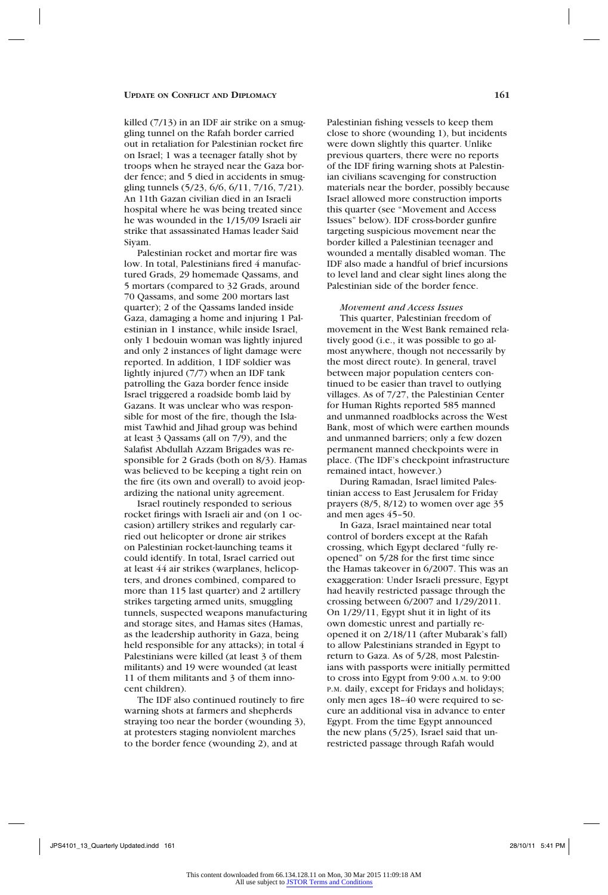## **Update on Conflict and Diplomacy 161**

killed (7/13) in an IDF air strike on a smuggling tunnel on the Rafah border carried out in retaliation for Palestinian rocket fire on Israel; 1 was a teenager fatally shot by troops when he strayed near the Gaza border fence; and 5 died in accidents in smuggling tunnels (5/23, 6/6, 6/11, 7/16, 7/21). An 11th Gazan civilian died in an Israeli hospital where he was being treated since he was wounded in the 1/15/09 Israeli air strike that assassinated Hamas leader Said Siyam.

Palestinian rocket and mortar fire was low. In total, Palestinians fired 4 manufactured Grads, 29 homemade Qassams, and 5 mortars (compared to 32 Grads, around 70 Qassams, and some 200 mortars last quarter); 2 of the Qassams landed inside Gaza, damaging a home and injuring 1 Palestinian in 1 instance, while inside Israel, only 1 bedouin woman was lightly injured and only 2 instances of light damage were reported. In addition, 1 IDF soldier was lightly injured (7/7) when an IDF tank patrolling the Gaza border fence inside Israel triggered a roadside bomb laid by Gazans. It was unclear who was responsible for most of the fire, though the Islamist Tawhid and Jihad group was behind at least 3 Qassams (all on 7/9), and the Salafist Abdullah Azzam Brigades was responsible for 2 Grads (both on 8/3). Hamas was believed to be keeping a tight rein on the fire (its own and overall) to avoid jeopardizing the national unity agreement.

Israel routinely responded to serious rocket firings with Israeli air and (on 1 occasion) artillery strikes and regularly carried out helicopter or drone air strikes on Palestinian rocket-launching teams it could identify. In total, Israel carried out at least 44 air strikes (warplanes, helicopters, and drones combined, compared to more than 115 last quarter) and 2 artillery strikes targeting armed units, smuggling tunnels, suspected weapons manufacturing and storage sites, and Hamas sites (Hamas, as the leadership authority in Gaza, being held responsible for any attacks); in total 4 Palestinians were killed (at least 3 of them militants) and 19 were wounded (at least 11 of them militants and 3 of them innocent children).

The IDF also continued routinely to fire warning shots at farmers and shepherds straying too near the border (wounding 3), at protesters staging nonviolent marches to the border fence (wounding 2), and at

Palestinian fishing vessels to keep them close to shore (wounding 1), but incidents were down slightly this quarter. Unlike previous quarters, there were no reports of the IDF firing warning shots at Palestinian civilians scavenging for construction materials near the border, possibly because Israel allowed more construction imports this quarter (see "Movement and Access Issues" below). IDF cross-border gunfire targeting suspicious movement near the border killed a Palestinian teenager and wounded a mentally disabled woman. The IDF also made a handful of brief incursions to level land and clear sight lines along the Palestinian side of the border fence.

*Movement and Access Issues*

This quarter, Palestinian freedom of movement in the West Bank remained relatively good (i.e., it was possible to go almost anywhere, though not necessarily by the most direct route). In general, travel between major population centers continued to be easier than travel to outlying villages. As of 7/27, the Palestinian Center for Human Rights reported 585 manned and unmanned roadblocks across the West Bank, most of which were earthen mounds and unmanned barriers; only a few dozen permanent manned checkpoints were in place. (The IDF's checkpoint infrastructure remained intact, however.)

During Ramadan, Israel limited Palestinian access to East Jerusalem for Friday prayers (8/5, 8/12) to women over age 35 and men ages 45–50.

In Gaza, Israel maintained near total control of borders except at the Rafah crossing, which Egypt declared "fully reopened" on 5/28 for the first time since the Hamas takeover in 6/2007. This was an exaggeration: Under Israeli pressure, Egypt had heavily restricted passage through the crossing between 6/2007 and 1/29/2011. On 1/29/11, Egypt shut it in light of its own domestic unrest and partially reopened it on 2/18/11 (after Mubarak's fall) to allow Palestinians stranded in Egypt to return to Gaza. As of 5/28, most Palestinians with passports were initially permitted to cross into Egypt from 9:00 a.m. to 9:00 p.m. daily, except for Fridays and holidays; only men ages 18–40 were required to secure an additional visa in advance to enter Egypt. From the time Egypt announced the new plans (5/25), Israel said that unrestricted passage through Rafah would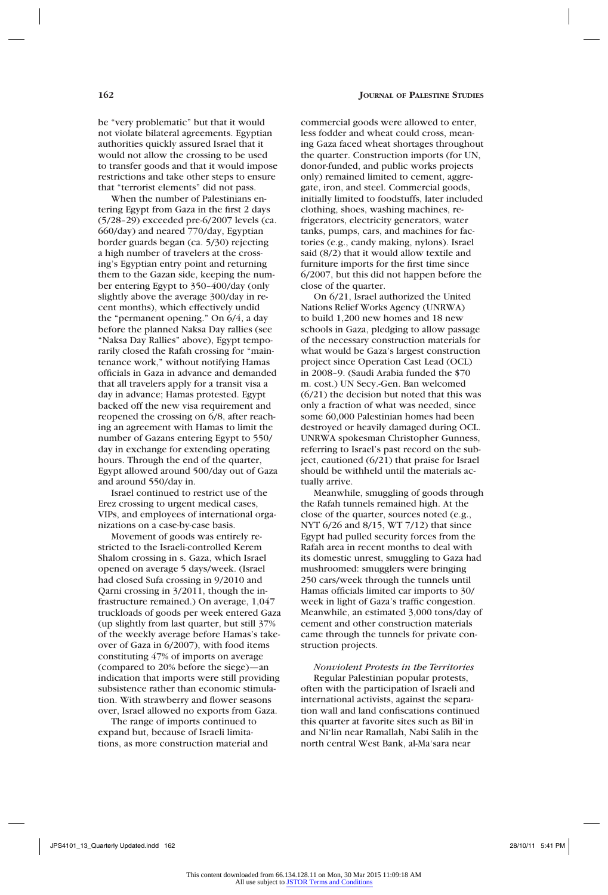be "very problematic" but that it would not violate bilateral agreements. Egyptian authorities quickly assured Israel that it would not allow the crossing to be used to transfer goods and that it would impose restrictions and take other steps to ensure that "terrorist elements" did not pass.

When the number of Palestinians entering Egypt from Gaza in the first 2 days (5/28–29) exceeded pre-6/2007 levels (ca. 660/day) and neared 770/day, Egyptian border guards began (ca. 5/30) rejecting a high number of travelers at the crossing's Egyptian entry point and returning them to the Gazan side, keeping the number entering Egypt to 350–400/day (only slightly above the average 300/day in recent months), which effectively undid the "permanent opening." On 6/4, a day before the planned Naksa Day rallies (see "Naksa Day Rallies" above), Egypt temporarily closed the Rafah crossing for "maintenance work," without notifying Hamas officials in Gaza in advance and demanded that all travelers apply for a transit visa a day in advance; Hamas protested. Egypt backed off the new visa requirement and reopened the crossing on 6/8, after reaching an agreement with Hamas to limit the number of Gazans entering Egypt to 550/ day in exchange for extending operating hours. Through the end of the quarter, Egypt allowed around 500/day out of Gaza and around 550/day in.

Israel continued to restrict use of the Erez crossing to urgent medical cases, VIPs, and employees of international organizations on a case-by-case basis.

Movement of goods was entirely restricted to the Israeli-controlled Kerem Shalom crossing in s. Gaza, which Israel opened on average 5 days/week. (Israel had closed Sufa crossing in 9/2010 and Qarni crossing in 3/2011, though the infrastructure remained.) On average, 1,047 truckloads of goods per week entered Gaza (up slightly from last quarter, but still 37% of the weekly average before Hamas's takeover of Gaza in 6/2007), with food items constituting 47% of imports on average (compared to 20% before the siege)—an indication that imports were still providing subsistence rather than economic stimulation. With strawberry and flower seasons over, Israel allowed no exports from Gaza.

The range of imports continued to expand but, because of Israeli limitations, as more construction material and commercial goods were allowed to enter, less fodder and wheat could cross, meaning Gaza faced wheat shortages throughout the quarter. Construction imports (for UN, donor-funded, and public works projects only) remained limited to cement, aggregate, iron, and steel. Commercial goods, initially limited to foodstuffs, later included clothing, shoes, washing machines, refrigerators, electricity generators, water tanks, pumps, cars, and machines for factories (e.g., candy making, nylons). Israel said (8/2) that it would allow textile and furniture imports for the first time since 6/2007, but this did not happen before the close of the quarter.

On 6/21, Israel authorized the United Nations Relief Works Agency (UNRWA) to build 1,200 new homes and 18 new schools in Gaza, pledging to allow passage of the necessary construction materials for what would be Gaza's largest construction project since Operation Cast Lead (OCL) in 2008–9. (Saudi Arabia funded the \$70 m. cost.) UN Secy.-Gen. Ban welcomed (6/21) the decision but noted that this was only a fraction of what was needed, since some 60,000 Palestinian homes had been destroyed or heavily damaged during OCL. UNRWA spokesman Christopher Gunness, referring to Israel's past record on the subject, cautioned (6/21) that praise for Israel should be withheld until the materials actually arrive.

Meanwhile, smuggling of goods through the Rafah tunnels remained high. At the close of the quarter, sources noted (e.g., NYT 6/26 and 8/15, WT 7/12) that since Egypt had pulled security forces from the Rafah area in recent months to deal with its domestic unrest, smuggling to Gaza had mushroomed: smugglers were bringing 250 cars/week through the tunnels until Hamas officials limited car imports to 30/ week in light of Gaza's traffic congestion. Meanwhile, an estimated 3,000 tons/day of cement and other construction materials came through the tunnels for private construction projects.

*Nonviolent Protests in the Territories* Regular Palestinian popular protests, often with the participation of Israeli and international activists, against the separation wall and land confiscations continued this quarter at favorite sites such as Bil'in and Ni'lin near Ramallah, Nabi Salih in the north central West Bank, al-Ma'sara near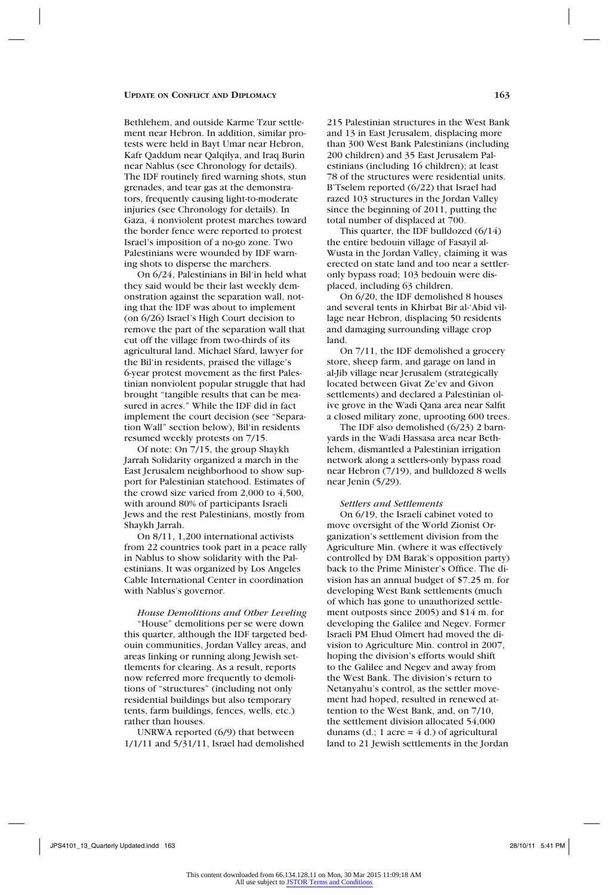Bethlehem, and outside Karme Tzur settlement near Hebron. In addition, similar protests were held in Bayt Umar near Hebron, Kafr Qaddum near Qalqilya, and Iraq Burin near Nablus (see Chronology for details). The IDF routinely fired warning shots, stun grenades, and tear gas at the demonstrators, frequently causing light-to-moderate injuries (see Chronology for details). In Gaza, 4 nonviolent protest marches toward the border fence were reported to protest Israel's imposition of a no-go zone. Two Palestinians were wounded by IDF warning shots to disperse the marchers.

On 6/24, Palestinians in Bil'in held what they said would be their last weekly demonstration against the separation wall, noting that the IDF was about to implement (on 6/26) Israel's High Court decision to remove the part of the separation wall that cut off the village from two-thirds of its agricultural land. Michael Sfard, lawyer for the Bil'in residents, praised the village's 6-year protest movement as the first Palestinian nonviolent popular struggle that had brought "tangible results that can be measured in acres." While the IDF did in fact implement the court decision (see "Separation Wall" section below), Bil'in residents resumed weekly protests on 7/15.

Of note: On 7/15, the group Shaykh Jarrah Solidarity organized a march in the East Jerusalem neighborhood to show support for Palestinian statehood. Estimates of the crowd size varied from 2,000 to 4,500, with around 80% of participants Israeli Jews and the rest Palestinians, mostly from Shaykh Jarrah.

On 8/11, 1,200 international activists from 22 countries took part in a peace rally in Nablus to show solidarity with the Palestinians. It was organized by Los Angeles Cable International Center in coordination with Nablus's governor.

*House Demolitions and Other Leveling* "House" demolitions per se were down this quarter, although the IDF targeted bedouin communities, Jordan Valley areas, and areas linking or running along Jewish settlements for clearing. As a result, reports now referred more frequently to demolitions of "structures" (including not only residential buildings but also temporary tents, farm buildings, fences, wells, etc.) rather than houses.

UNRWA reported (6/9) that between 1/1/11 and 5/31/11, Israel had demolished 215 Palestinian structures in the West Bank and 13 in East Jerusalem, displacing more than 300 West Bank Palestinians (including 200 children) and 35 East Jerusalem Palestinians (including 16 children); at least 78 of the structures were residential units. B'Tselem reported (6/22) that Israel had razed 103 structures in the Jordan Valley since the beginning of 2011, putting the total number of displaced at 700.

This quarter, the IDF bulldozed (6/14) the entire bedouin village of Fasayil al-Wusta in the Jordan Valley, claiming it was erected on state land and too near a settleronly bypass road; 103 bedouin were displaced, including 63 children.

On 6/20, the IDF demolished 8 houses and several tents in Khirbat Bir al-'Abid village near Hebron, displacing 50 residents and damaging surrounding village crop land.

On 7/11, the IDF demolished a grocery store, sheep farm, and garage on land in al-Jib village near Jerusalem (strategically located between Givat Ze'ev and Givon settlements) and declared a Palestinian olive grove in the Wadi Qana area near Salfit a closed military zone, uprooting 600 trees.

The IDF also demolished (6/23) 2 barnyards in the Wadi Hassasa area near Bethlehem, dismantled a Palestinian irrigation network along a settlers-only bypass road near Hebron (7/19), and bulldozed 8 wells near Jenin (5/29).

#### *Settlers and Settlements*

On 6/19, the Israeli cabinet voted to move oversight of the World Zionist Organization's settlement division from the Agriculture Min. (where it was effectively controlled by DM Barak's opposition party) back to the Prime Minister's Office. The division has an annual budget of \$7.25 m. for developing West Bank settlements (much of which has gone to unauthorized settlement outposts since 2005) and \$14 m. for developing the Galilee and Negev. Former Israeli PM Ehud Olmert had moved the division to Agriculture Min. control in 2007, hoping the division's efforts would shift to the Galilee and Negev and away from the West Bank. The division's return to Netanyahu's control, as the settler movement had hoped, resulted in renewed attention to the West Bank, and, on 7/10, the settlement division allocated 54,000 dunams (d.; 1 acre =  $4$  d.) of agricultural land to 21 Jewish settlements in the Jordan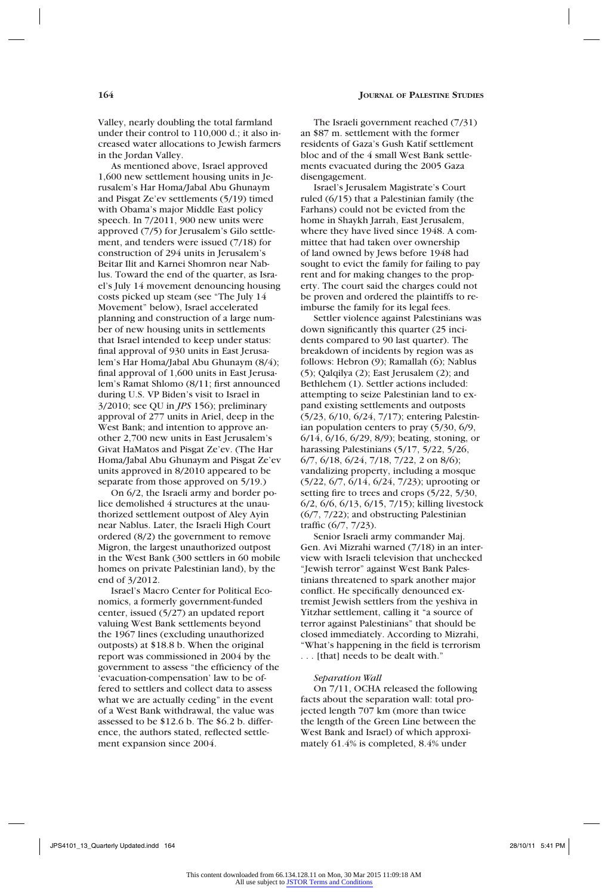Valley, nearly doubling the total farmland under their control to 110,000 d.; it also increased water allocations to Jewish farmers in the Jordan Valley.

As mentioned above, Israel approved 1,600 new settlement housing units in Jerusalem's Har Homa/Jabal Abu Ghunaym and Pisgat Ze'ev settlements (5/19) timed with Obama's major Middle East policy speech. In 7/2011, 900 new units were approved (7/5) for Jerusalem's Gilo settlement, and tenders were issued (7/18) for construction of 294 units in Jerusalem's Beitar Ilit and Karnei Shomron near Nablus. Toward the end of the quarter, as Israel's July 14 movement denouncing housing costs picked up steam (see "The July 14 Movement" below), Israel accelerated planning and construction of a large number of new housing units in settlements that Israel intended to keep under status: final approval of 930 units in East Jerusalem's Har Homa/Jabal Abu Ghunaym (8/4); final approval of 1,600 units in East Jerusalem's Ramat Shlomo (8/11; first announced during U.S. VP Biden's visit to Israel in 3/2010; see QU in *JPS* 156); preliminary approval of 277 units in Ariel, deep in the West Bank; and intention to approve another 2,700 new units in East Jerusalem's Givat HaMatos and Pisgat Ze'ev. (The Har Homa/Jabal Abu Ghunaym and Pisgat Ze'ev units approved in 8/2010 appeared to be separate from those approved on 5/19.)

On 6/2, the Israeli army and border police demolished 4 structures at the unauthorized settlement outpost of Aley Ayin near Nablus. Later, the Israeli High Court ordered (8/2) the government to remove Migron, the largest unauthorized outpost in the West Bank (300 settlers in 60 mobile homes on private Palestinian land), by the end of 3/2012.

Israel's Macro Center for Political Economics, a formerly government-funded center, issued (5/27) an updated report valuing West Bank settlements beyond the 1967 lines (excluding unauthorized outposts) at \$18.8 b. When the original report was commissioned in 2004 by the government to assess "the efficiency of the 'evacuation-compensation' law to be offered to settlers and collect data to assess what we are actually ceding" in the event of a West Bank withdrawal, the value was assessed to be \$12.6 b. The \$6.2 b. difference, the authors stated, reflected settlement expansion since 2004.

The Israeli government reached (7/31) an \$87 m. settlement with the former residents of Gaza's Gush Katif settlement bloc and of the 4 small West Bank settlements evacuated during the 2005 Gaza disengagement.

Israel's Jerusalem Magistrate's Court ruled (6/15) that a Palestinian family (the Farhans) could not be evicted from the home in Shaykh Jarrah, East Jerusalem, where they have lived since 1948. A committee that had taken over ownership of land owned by Jews before 1948 had sought to evict the family for failing to pay rent and for making changes to the property. The court said the charges could not be proven and ordered the plaintiffs to reimburse the family for its legal fees.

Settler violence against Palestinians was down significantly this quarter (25 incidents compared to 90 last quarter). The breakdown of incidents by region was as follows: Hebron (9); Ramallah (6); Nablus (5); Qalqilya (2); East Jerusalem (2); and Bethlehem (1). Settler actions included: attempting to seize Palestinian land to expand existing settlements and outposts (5/23, 6/10, 6/24, 7/17); entering Palestinian population centers to pray (5/30, 6/9, 6/14, 6/16, 6/29, 8/9); beating, stoning, or harassing Palestinians (5/17, 5/22, 5/26, 6/7, 6/18, 6/24, 7/18, 7/22, 2 on 8/6); vandalizing property, including a mosque (5/22, 6/7, 6/14, 6/24, 7/23); uprooting or setting fire to trees and crops (5/22, 5/30, 6/2, 6/6, 6/13, 6/15, 7/15); killing livestock (6/7, 7/22); and obstructing Palestinian traffic (6/7, 7/23).

Senior Israeli army commander Maj. Gen. Avi Mizrahi warned (7/18) in an interview with Israeli television that unchecked "Jewish terror" against West Bank Palestinians threatened to spark another major conflict. He specifically denounced extremist Jewish settlers from the yeshiva in Yitzhar settlement, calling it "a source of terror against Palestinians" that should be closed immediately. According to Mizrahi, "What's happening in the field is terrorism . . . [that] needs to be dealt with."

#### *Separation Wall*

On 7/11, OCHA released the following facts about the separation wall: total projected length 707 km (more than twice the length of the Green Line between the West Bank and Israel) of which approximately 61.4% is completed, 8.4% under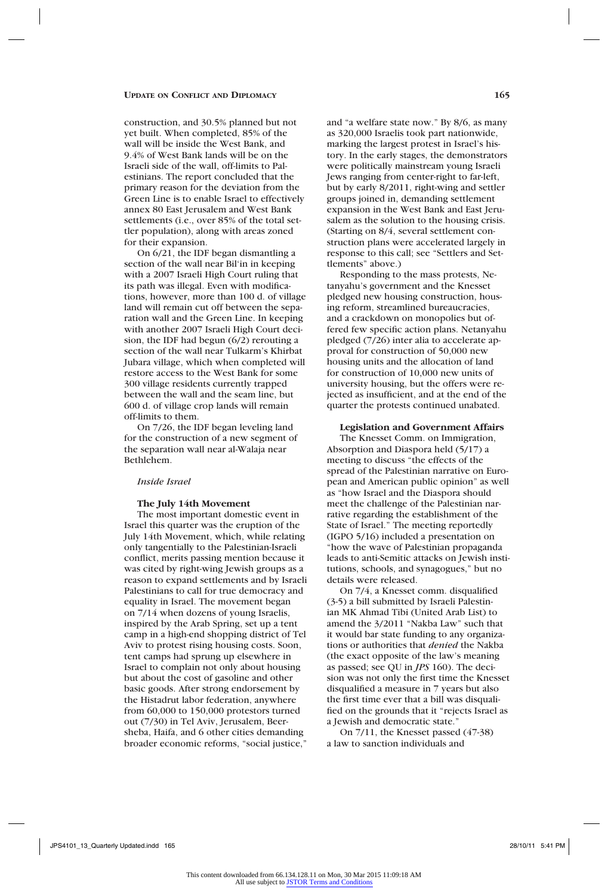construction, and 30.5% planned but not yet built. When completed, 85% of the wall will be inside the West Bank, and 9.4% of West Bank lands will be on the Israeli side of the wall, off-limits to Palestinians. The report concluded that the primary reason for the deviation from the Green Line is to enable Israel to effectively annex 80 East Jerusalem and West Bank settlements (i.e., over 85% of the total settler population), along with areas zoned for their expansion.

On 6/21, the IDF began dismantling a section of the wall near Bil'in in keeping with a 2007 Israeli High Court ruling that its path was illegal. Even with modifications, however, more than 100 d. of village land will remain cut off between the separation wall and the Green Line. In keeping with another 2007 Israeli High Court decision, the IDF had begun (6/2) rerouting a section of the wall near Tulkarm's Khirbat Jubara village, which when completed will restore access to the West Bank for some 300 village residents currently trapped between the wall and the seam line, but 600 d. of village crop lands will remain off-limits to them.

On 7/26, the IDF began leveling land for the construction of a new segment of the separation wall near al-Walaja near Bethlehem.

#### *Inside Israel*

#### **The July 14th Movement**

The most important domestic event in Israel this quarter was the eruption of the July 14th Movement, which, while relating only tangentially to the Palestinian-Israeli conflict, merits passing mention because it was cited by right-wing Jewish groups as a reason to expand settlements and by Israeli Palestinians to call for true democracy and equality in Israel. The movement began on 7/14 when dozens of young Israelis, inspired by the Arab Spring, set up a tent camp in a high-end shopping district of Tel Aviv to protest rising housing costs. Soon, tent camps had sprung up elsewhere in Israel to complain not only about housing but about the cost of gasoline and other basic goods. After strong endorsement by the Histadrut labor federation, anywhere from 60,000 to 150,000 protestors turned out (7/30) in Tel Aviv, Jerusalem, Beersheba, Haifa, and 6 other cities demanding broader economic reforms, "social justice,"

and "a welfare state now." By 8/6, as many as 320,000 Israelis took part nationwide, marking the largest protest in Israel's history. In the early stages, the demonstrators were politically mainstream young Israeli Jews ranging from center-right to far-left, but by early 8/2011, right-wing and settler groups joined in, demanding settlement expansion in the West Bank and East Jerusalem as the solution to the housing crisis. (Starting on 8/4, several settlement construction plans were accelerated largely in response to this call; see "Settlers and Settlements" above.)

Responding to the mass protests, Netanyahu's government and the Knesset pledged new housing construction, housing reform, streamlined bureaucracies, and a crackdown on monopolies but offered few specific action plans. Netanyahu pledged (7/26) inter alia to accelerate approval for construction of 50,000 new housing units and the allocation of land for construction of 10,000 new units of university housing, but the offers were rejected as insufficient, and at the end of the quarter the protests continued unabated.

#### **Legislation and Government Affairs**

The Knesset Comm. on Immigration, Absorption and Diaspora held (5/17) a meeting to discuss "the effects of the spread of the Palestinian narrative on European and American public opinion" as well as "how Israel and the Diaspora should meet the challenge of the Palestinian narrative regarding the establishment of the State of Israel." The meeting reportedly (IGPO 5/16) included a presentation on "how the wave of Palestinian propaganda leads to anti-Semitic attacks on Jewish institutions, schools, and synagogues," but no details were released.

On 7/4, a Knesset comm. disqualified (3-5) a bill submitted by Israeli Palestinian MK Ahmad Tibi (United Arab List) to amend the 3/2011 "Nakba Law" such that it would bar state funding to any organizations or authorities that *denied* the Nakba (the exact opposite of the law's meaning as passed; see QU in *JPS* 160). The decision was not only the first time the Knesset disqualified a measure in 7 years but also the first time ever that a bill was disqualified on the grounds that it "rejects Israel as a Jewish and democratic state."

On 7/11, the Knesset passed (47-38) a law to sanction individuals and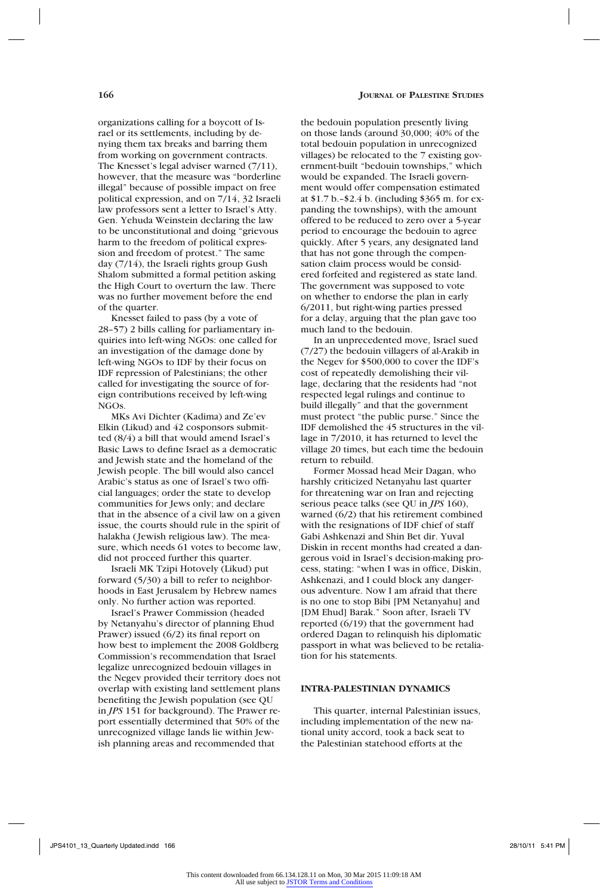organizations calling for a boycott of Israel or its settlements, including by denying them tax breaks and barring them from working on government contracts. The Knesset's legal adviser warned (7/11), however, that the measure was "borderline illegal" because of possible impact on free political expression, and on 7/14, 32 Israeli law professors sent a letter to Israel's Atty. Gen. Yehuda Weinstein declaring the law to be unconstitutional and doing "grievous harm to the freedom of political expression and freedom of protest." The same day (7/14), the Israeli rights group Gush Shalom submitted a formal petition asking the High Court to overturn the law. There was no further movement before the end of the quarter.

Knesset failed to pass (by a vote of 28–57) 2 bills calling for parliamentary inquiries into left-wing NGOs: one called for an investigation of the damage done by left-wing NGOs to IDF by their focus on IDF repression of Palestinians; the other called for investigating the source of foreign contributions received by left-wing NGOs.

MKs Avi Dichter (Kadima) and Ze'ev Elkin (Likud) and 42 cosponsors submitted (8/4) a bill that would amend Israel's Basic Laws to define Israel as a democratic and Jewish state and the homeland of the Jewish people. The bill would also cancel Arabic's status as one of Israel's two official languages; order the state to develop communities for Jews only; and declare that in the absence of a civil law on a given issue, the courts should rule in the spirit of halakha (Jewish religious law). The measure, which needs 61 votes to become law, did not proceed further this quarter.

Israeli MK Tzipi Hotovely (Likud) put forward (5/30) a bill to refer to neighborhoods in East Jerusalem by Hebrew names only. No further action was reported.

Israel's Prawer Commission (headed by Netanyahu's director of planning Ehud Prawer) issued (6/2) its final report on how best to implement the 2008 Goldberg Commission's recommendation that Israel legalize unrecognized bedouin villages in the Negev provided their territory does not overlap with existing land settlement plans benefiting the Jewish population (see QU in *JPS* 151 for background). The Prawer report essentially determined that 50% of the unrecognized village lands lie within Jewish planning areas and recommended that

the bedouin population presently living on those lands (around 30,000; 40% of the total bedouin population in unrecognized villages) be relocated to the 7 existing government-built "bedouin townships," which would be expanded. The Israeli government would offer compensation estimated at \$1.7 b.–\$2.4 b. (including \$365 m. for expanding the townships), with the amount offered to be reduced to zero over a 5-year period to encourage the bedouin to agree quickly. After 5 years, any designated land that has not gone through the compensation claim process would be considered forfeited and registered as state land. The government was supposed to vote on whether to endorse the plan in early 6/2011, but right-wing parties pressed for a delay, arguing that the plan gave too much land to the bedouin.

In an unprecedented move, Israel sued (7/27) the bedouin villagers of al-Arakib in the Negev for \$500,000 to cover the IDF's cost of repeatedly demolishing their village, declaring that the residents had "not respected legal rulings and continue to build illegally" and that the government must protect "the public purse." Since the IDF demolished the 45 structures in the village in 7/2010, it has returned to level the village 20 times, but each time the bedouin return to rebuild.

Former Mossad head Meir Dagan, who harshly criticized Netanyahu last quarter for threatening war on Iran and rejecting serious peace talks (see QU in *JPS* 160), warned (6/2) that his retirement combined with the resignations of IDF chief of staff Gabi Ashkenazi and Shin Bet dir. Yuval Diskin in recent months had created a dangerous void in Israel's decision-making process, stating: "when I was in office, Diskin, Ashkenazi, and I could block any dangerous adventure. Now I am afraid that there is no one to stop Bibi [PM Netanyahu] and [DM Ehud] Barak." Soon after, Israeli TV reported (6/19) that the government had ordered Dagan to relinquish his diplomatic passport in what was believed to be retaliation for his statements.

## **Intra -Palestinian Dynamics**

This quarter, internal Palestinian issues, including implementation of the new national unity accord, took a back seat to the Palestinian statehood efforts at the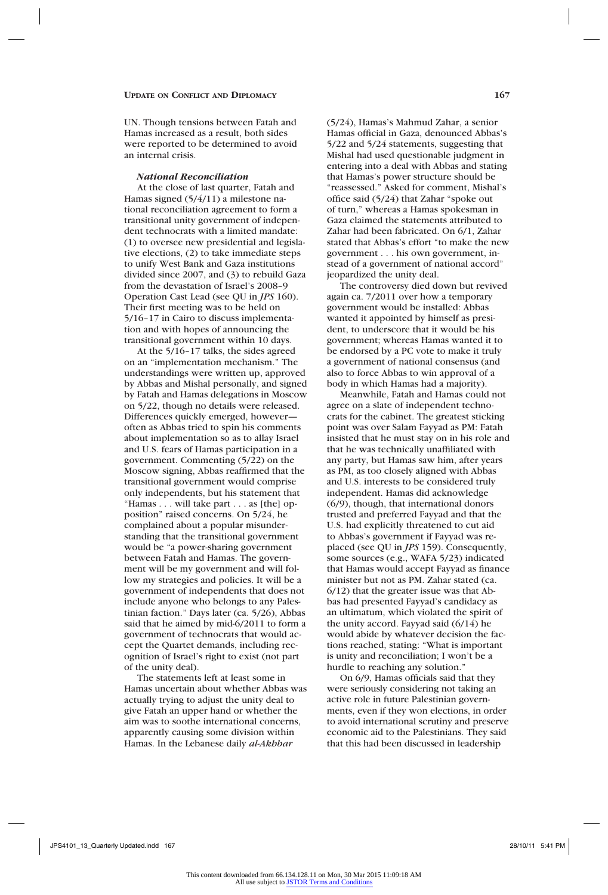UN. Though tensions between Fatah and Hamas increased as a result, both sides were reported to be determined to avoid an internal crisis.

#### *National Reconciliation*

At the close of last quarter, Fatah and Hamas signed (5/4/11) a milestone national reconciliation agreement to form a transitional unity government of independent technocrats with a limited mandate: (1) to oversee new presidential and legislative elections, (2) to take immediate steps to unify West Bank and Gaza institutions divided since 2007, and (3) to rebuild Gaza from the devastation of Israel's 2008–9 Operation Cast Lead (see QU in *JPS* 160). Their first meeting was to be held on 5/16–17 in Cairo to discuss implementation and with hopes of announcing the transitional government within 10 days.

At the 5/16–17 talks, the sides agreed on an "implementation mechanism." The understandings were written up, approved by Abbas and Mishal personally, and signed by Fatah and Hamas delegations in Moscow on 5/22, though no details were released. Differences quickly emerged, however often as Abbas tried to spin his comments about implementation so as to allay Israel and U.S. fears of Hamas participation in a government. Commenting (5/22) on the Moscow signing, Abbas reaffirmed that the transitional government would comprise only independents, but his statement that "Hamas . . . will take part . . . as [the] opposition" raised concerns. On 5/24, he complained about a popular misunderstanding that the transitional government would be "a power-sharing government between Fatah and Hamas. The government will be my government and will follow my strategies and policies. It will be a government of independents that does not include anyone who belongs to any Palestinian faction." Days later (ca. 5/26), Abbas said that he aimed by mid-6/2011 to form a government of technocrats that would accept the Quartet demands, including recognition of Israel's right to exist (not part of the unity deal).

The statements left at least some in Hamas uncertain about whether Abbas was actually trying to adjust the unity deal to give Fatah an upper hand or whether the aim was to soothe international concerns, apparently causing some division within Hamas. In the Lebanese daily *al-Akhbar* 

(5/24), Hamas's Mahmud Zahar, a senior Hamas official in Gaza, denounced Abbas's 5/22 and 5/24 statements, suggesting that Mishal had used questionable judgment in entering into a deal with Abbas and stating that Hamas's power structure should be "reassessed." Asked for comment, Mishal's office said (5/24) that Zahar "spoke out of turn," whereas a Hamas spokesman in Gaza claimed the statements attributed to Zahar had been fabricated. On 6/1, Zahar stated that Abbas's effort "to make the new government . . . his own government, instead of a government of national accord" jeopardized the unity deal.

The controversy died down but revived again ca. 7/2011 over how a temporary government would be installed: Abbas wanted it appointed by himself as president, to underscore that it would be his government; whereas Hamas wanted it to be endorsed by a PC vote to make it truly a government of national consensus (and also to force Abbas to win approval of a body in which Hamas had a majority).

Meanwhile, Fatah and Hamas could not agree on a slate of independent technocrats for the cabinet. The greatest sticking point was over Salam Fayyad as PM: Fatah insisted that he must stay on in his role and that he was technically unaffiliated with any party, but Hamas saw him, after years as PM, as too closely aligned with Abbas and U.S. interests to be considered truly independent. Hamas did acknowledge (6/9), though, that international donors trusted and preferred Fayyad and that the U.S. had explicitly threatened to cut aid to Abbas's government if Fayyad was replaced (see QU in *JPS* 159). Consequently, some sources (e.g., WAFA 5/23) indicated that Hamas would accept Fayyad as finance minister but not as PM. Zahar stated (ca. 6/12) that the greater issue was that Abbas had presented Fayyad's candidacy as an ultimatum, which violated the spirit of the unity accord. Fayyad said (6/14) he would abide by whatever decision the factions reached, stating: "What is important is unity and reconciliation; I won't be a hurdle to reaching any solution."

On 6/9, Hamas officials said that they were seriously considering not taking an active role in future Palestinian governments, even if they won elections, in order to avoid international scrutiny and preserve economic aid to the Palestinians. They said that this had been discussed in leadership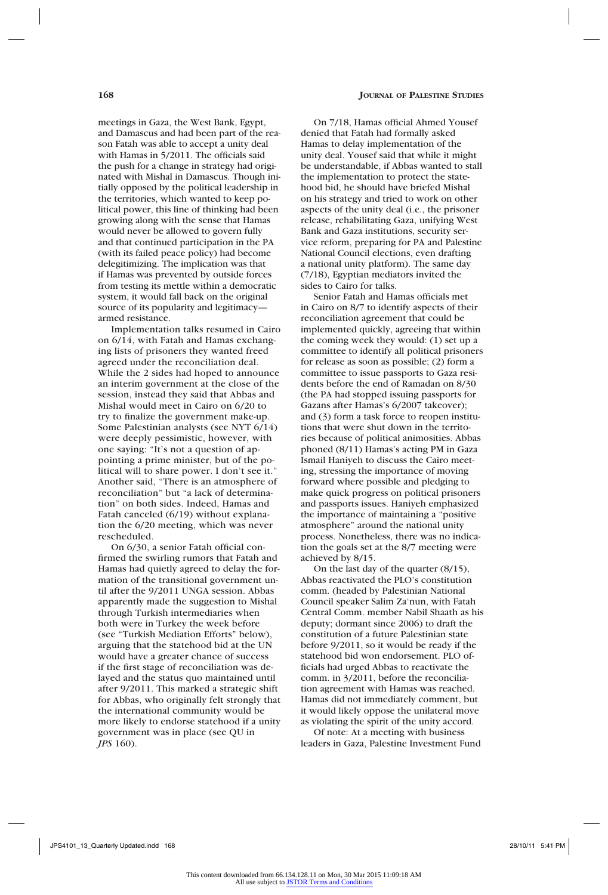meetings in Gaza, the West Bank, Egypt, and Damascus and had been part of the reason Fatah was able to accept a unity deal with Hamas in 5/2011. The officials said the push for a change in strategy had originated with Mishal in Damascus. Though initially opposed by the political leadership in the territories, which wanted to keep political power, this line of thinking had been growing along with the sense that Hamas would never be allowed to govern fully and that continued participation in the PA (with its failed peace policy) had become delegitimizing. The implication was that if Hamas was prevented by outside forces from testing its mettle within a democratic system, it would fall back on the original source of its popularity and legitimacy armed resistance.

Implementation talks resumed in Cairo on 6/14, with Fatah and Hamas exchanging lists of prisoners they wanted freed agreed under the reconciliation deal. While the 2 sides had hoped to announce an interim government at the close of the session, instead they said that Abbas and Mishal would meet in Cairo on 6/20 to try to finalize the government make-up. Some Palestinian analysts (see NYT 6/14) were deeply pessimistic, however, with one saying: "It's not a question of appointing a prime minister, but of the political will to share power. I don't see it." Another said, "There is an atmosphere of reconciliation" but "a lack of determination" on both sides. Indeed, Hamas and Fatah canceled (6/19) without explanation the 6/20 meeting, which was never rescheduled.

On 6/30, a senior Fatah official confirmed the swirling rumors that Fatah and Hamas had quietly agreed to delay the formation of the transitional government until after the 9/2011 UNGA session. Abbas apparently made the suggestion to Mishal through Turkish intermediaries when both were in Turkey the week before (see "Turkish Mediation Efforts" below), arguing that the statehood bid at the UN would have a greater chance of success if the first stage of reconciliation was delayed and the status quo maintained until after 9/2011. This marked a strategic shift for Abbas, who originally felt strongly that the international community would be more likely to endorse statehood if a unity government was in place (see QU in *JPS* 160).

On 7/18, Hamas official Ahmed Yousef denied that Fatah had formally asked Hamas to delay implementation of the unity deal. Yousef said that while it might be understandable, if Abbas wanted to stall the implementation to protect the statehood bid, he should have briefed Mishal on his strategy and tried to work on other aspects of the unity deal (i.e., the prisoner release, rehabilitating Gaza, unifying West Bank and Gaza institutions, security service reform, preparing for PA and Palestine National Council elections, even drafting a national unity platform). The same day (7/18), Egyptian mediators invited the sides to Cairo for talks.

Senior Fatah and Hamas officials met in Cairo on 8/7 to identify aspects of their reconciliation agreement that could be implemented quickly, agreeing that within the coming week they would: (1) set up a committee to identify all political prisoners for release as soon as possible; (2) form a committee to issue passports to Gaza residents before the end of Ramadan on 8/30 (the PA had stopped issuing passports for Gazans after Hamas's 6/2007 takeover); and (3) form a task force to reopen institutions that were shut down in the territories because of political animosities. Abbas phoned (8/11) Hamas's acting PM in Gaza Ismail Haniyeh to discuss the Cairo meeting, stressing the importance of moving forward where possible and pledging to make quick progress on political prisoners and passports issues. Haniyeh emphasized the importance of maintaining a "positive atmosphere" around the national unity process. Nonetheless, there was no indication the goals set at the 8/7 meeting were achieved by 8/15.

On the last day of the quarter (8/15), Abbas reactivated the PLO's constitution comm. (headed by Palestinian National Council speaker Salim Za'nun, with Fatah Central Comm. member Nabil Shaath as his deputy; dormant since 2006) to draft the constitution of a future Palestinian state before 9/2011, so it would be ready if the statehood bid won endorsement. PLO officials had urged Abbas to reactivate the comm. in 3/2011, before the reconciliation agreement with Hamas was reached. Hamas did not immediately comment, but it would likely oppose the unilateral move as violating the spirit of the unity accord.

Of note: At a meeting with business leaders in Gaza, Palestine Investment Fund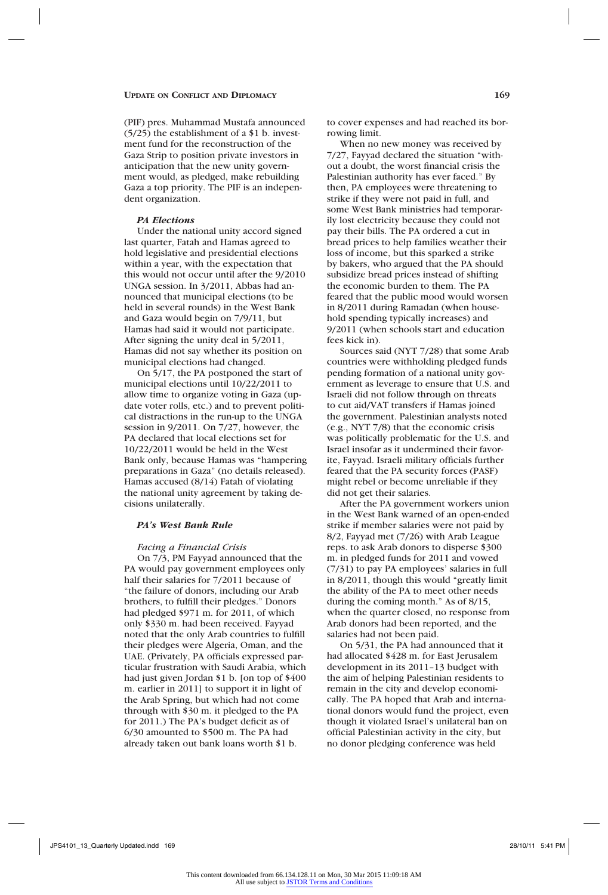(PIF) pres. Muhammad Mustafa announced (5/25) the establishment of a \$1 b. investment fund for the reconstruction of the Gaza Strip to position private investors in anticipation that the new unity government would, as pledged, make rebuilding Gaza a top priority. The PIF is an independent organization.

#### *PA Elections*

Under the national unity accord signed last quarter, Fatah and Hamas agreed to hold legislative and presidential elections within a year, with the expectation that this would not occur until after the 9/2010 UNGA session. In 3/2011, Abbas had announced that municipal elections (to be held in several rounds) in the West Bank and Gaza would begin on 7/9/11, but Hamas had said it would not participate. After signing the unity deal in 5/2011, Hamas did not say whether its position on municipal elections had changed.

On 5/17, the PA postponed the start of municipal elections until 10/22/2011 to allow time to organize voting in Gaza (update voter rolls, etc.) and to prevent political distractions in the run-up to the UNGA session in 9/2011. On 7/27, however, the PA declared that local elections set for 10/22/2011 would be held in the West Bank only, because Hamas was "hampering preparations in Gaza" (no details released). Hamas accused (8/14) Fatah of violating the national unity agreement by taking decisions unilaterally.

## *PA's West Bank Rule*

## *Facing a Financial Crisis*

On 7/3, PM Fayyad announced that the PA would pay government employees only half their salaries for 7/2011 because of "the failure of donors, including our Arab brothers, to fulfill their pledges." Donors had pledged \$971 m. for 2011, of which only \$330 m. had been received. Fayyad noted that the only Arab countries to fulfill their pledges were Algeria, Oman, and the UAE. (Privately, PA officials expressed particular frustration with Saudi Arabia, which had just given Jordan \$1 b. [on top of \$400 m. earlier in 2011] to support it in light of the Arab Spring, but which had not come through with \$30 m. it pledged to the PA for 2011.) The PA's budget deficit as of 6/30 amounted to \$500 m. The PA had already taken out bank loans worth \$1 b.

to cover expenses and had reached its borrowing limit.

When no new money was received by 7/27, Fayyad declared the situation "without a doubt, the worst financial crisis the Palestinian authority has ever faced." By then, PA employees were threatening to strike if they were not paid in full, and some West Bank ministries had temporarily lost electricity because they could not pay their bills. The PA ordered a cut in bread prices to help families weather their loss of income, but this sparked a strike by bakers, who argued that the PA should subsidize bread prices instead of shifting the economic burden to them. The PA feared that the public mood would worsen in 8/2011 during Ramadan (when household spending typically increases) and 9/2011 (when schools start and education fees kick in).

Sources said (NYT 7/28) that some Arab countries were withholding pledged funds pending formation of a national unity government as leverage to ensure that U.S. and Israeli did not follow through on threats to cut aid/VAT transfers if Hamas joined the government. Palestinian analysts noted (e.g., NYT 7/8) that the economic crisis was politically problematic for the U.S. and Israel insofar as it undermined their favorite, Fayyad. Israeli military officials further feared that the PA security forces (PASF) might rebel or become unreliable if they did not get their salaries.

After the PA government workers union in the West Bank warned of an open-ended strike if member salaries were not paid by 8/2, Fayyad met (7/26) with Arab League reps. to ask Arab donors to disperse \$300 m. in pledged funds for 2011 and vowed (7/31) to pay PA employees' salaries in full in 8/2011, though this would "greatly limit the ability of the PA to meet other needs during the coming month." As of 8/15, when the quarter closed, no response from Arab donors had been reported, and the salaries had not been paid.

On 5/31, the PA had announced that it had allocated \$428 m. for East Jerusalem development in its 2011–13 budget with the aim of helping Palestinian residents to remain in the city and develop economically. The PA hoped that Arab and international donors would fund the project, even though it violated Israel's unilateral ban on official Palestinian activity in the city, but no donor pledging conference was held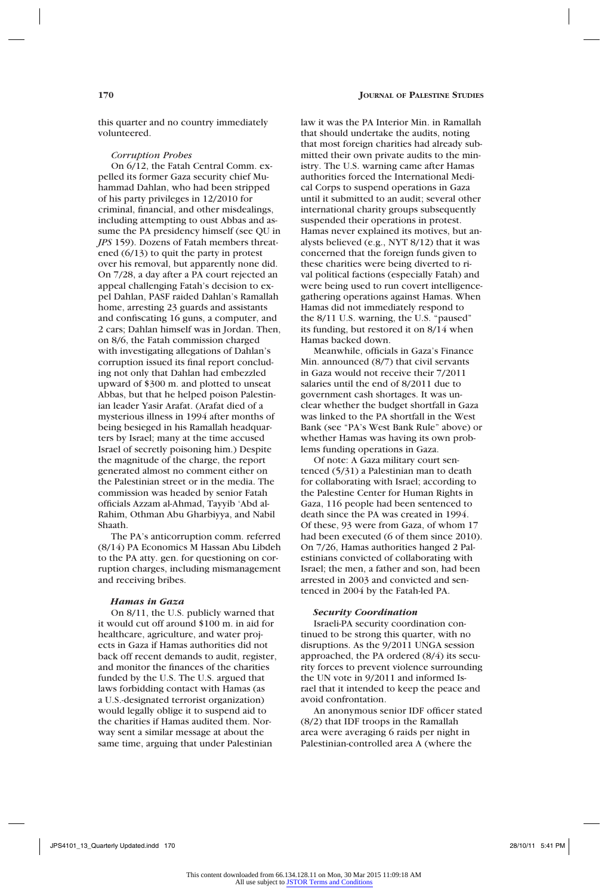this quarter and no country immediately volunteered.

#### *Corruption Probes*

On 6/12, the Fatah Central Comm. expelled its former Gaza security chief Muhammad Dahlan, who had been stripped of his party privileges in 12/2010 for criminal, financial, and other misdealings, including attempting to oust Abbas and assume the PA presidency himself (see QU in *JPS* 159). Dozens of Fatah members threatened (6/13) to quit the party in protest over his removal, but apparently none did. On 7/28, a day after a PA court rejected an appeal challenging Fatah's decision to expel Dahlan, PASF raided Dahlan's Ramallah home, arresting 23 guards and assistants and confiscating 16 guns, a computer, and 2 cars; Dahlan himself was in Jordan. Then, on 8/6, the Fatah commission charged with investigating allegations of Dahlan's corruption issued its final report concluding not only that Dahlan had embezzled upward of \$300 m. and plotted to unseat Abbas, but that he helped poison Palestinian leader Yasir Arafat. (Arafat died of a mysterious illness in 1994 after months of being besieged in his Ramallah headquarters by Israel; many at the time accused Israel of secretly poisoning him.) Despite the magnitude of the charge, the report generated almost no comment either on the Palestinian street or in the media. The commission was headed by senior Fatah officials Azzam al-Ahmad, Tayyib 'Abd al-Rahim, Othman Abu Gharbiyya, and Nabil Shaath.

The PA's anticorruption comm. referred (8/14) PA Economics M Hassan Abu Libdeh to the PA atty. gen. for questioning on corruption charges, including mismanagement and receiving bribes.

## *Hamas in Gaza*

On 8/11, the U.S. publicly warned that it would cut off around \$100 m. in aid for healthcare, agriculture, and water projects in Gaza if Hamas authorities did not back off recent demands to audit, register, and monitor the finances of the charities funded by the U.S. The U.S. argued that laws forbidding contact with Hamas (as a U.S.-designated terrorist organization) would legally oblige it to suspend aid to the charities if Hamas audited them. Norway sent a similar message at about the same time, arguing that under Palestinian

law it was the PA Interior Min. in Ramallah that should undertake the audits, noting that most foreign charities had already submitted their own private audits to the ministry. The U.S. warning came after Hamas authorities forced the International Medical Corps to suspend operations in Gaza until it submitted to an audit; several other international charity groups subsequently suspended their operations in protest. Hamas never explained its motives, but analysts believed (e.g., NYT 8/12) that it was concerned that the foreign funds given to these charities were being diverted to rival political factions (especially Fatah) and were being used to run covert intelligencegathering operations against Hamas. When Hamas did not immediately respond to the 8/11 U.S. warning, the U.S. "paused" its funding, but restored it on 8/14 when Hamas backed down.

Meanwhile, officials in Gaza's Finance Min. announced (8/7) that civil servants in Gaza would not receive their 7/2011 salaries until the end of 8/2011 due to government cash shortages. It was unclear whether the budget shortfall in Gaza was linked to the PA shortfall in the West Bank (see "PA's West Bank Rule" above) or whether Hamas was having its own problems funding operations in Gaza.

Of note: A Gaza military court sentenced (5/31) a Palestinian man to death for collaborating with Israel; according to the Palestine Center for Human Rights in Gaza, 116 people had been sentenced to death since the PA was created in 1994. Of these, 93 were from Gaza, of whom 17 had been executed (6 of them since 2010). On 7/26, Hamas authorities hanged 2 Palestinians convicted of collaborating with Israel; the men, a father and son, had been arrested in 2003 and convicted and sentenced in 2004 by the Fatah-led PA.

## *Security Coordination*

Israeli-PA security coordination continued to be strong this quarter, with no disruptions. As the 9/2011 UNGA session approached, the PA ordered (8/4) its security forces to prevent violence surrounding the UN vote in 9/2011 and informed Israel that it intended to keep the peace and avoid confrontation.

An anonymous senior IDF officer stated (8/2) that IDF troops in the Ramallah area were averaging 6 raids per night in Palestinian-controlled area A (where the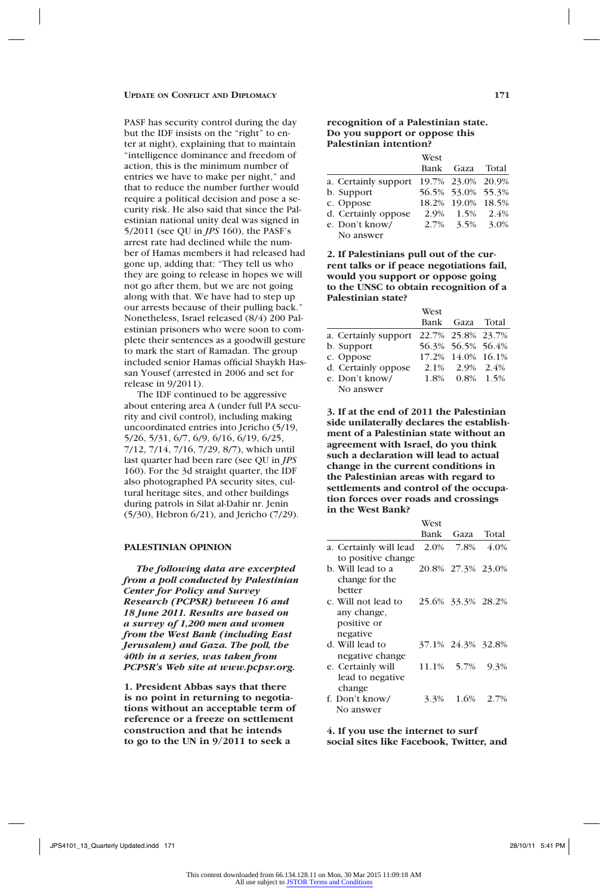#### **Update on Conflict and Diplomacy 171**

PASF has security control during the day but the IDF insists on the "right" to enter at night), explaining that to maintain "intelligence dominance and freedom of action, this is the minimum number of entries we have to make per night," and that to reduce the number further would require a political decision and pose a security risk. He also said that since the Palestinian national unity deal was signed in 5/2011 (see QU in *JPS* 160), the PASF's arrest rate had declined while the number of Hamas members it had released had gone up, adding that: "They tell us who they are going to release in hopes we will not go after them, but we are not going along with that. We have had to step up our arrests because of their pulling back." Nonetheless, Israel released (8/4) 200 Palestinian prisoners who were soon to complete their sentences as a goodwill gesture to mark the start of Ramadan. The group included senior Hamas official Shaykh Hassan Yousef (arrested in 2006 and set for release in 9/2011).

The IDF continued to be aggressive about entering area A (under full PA security and civil control), including making uncoordinated entries into Jericho (5/19, 5/26, 5/31, 6/7, 6/9, 6/16, 6/19, 6/25, 7/12, 7/14, 7/16, 7/29, 8/7), which until last quarter had been rare (see QU in *JPS* 160). For the 3d straight quarter, the IDF also photographed PA security sites, cultural heritage sites, and other buildings during patrols in Silat al-Dahir nr. Jenin (5/30), Hebron 6/21), and Jericho (7/29).

## **Palestinian Opinion**

*The following data are excerpted from a poll conducted by Palestinian Center for Policy and Survey Research (PCPSR) between 16 and 18 June 2011. Results are based on a survey of 1,200 men and women from the West Bank (including East Jerusalem) and Gaza. The poll, the 40th in a series, was taken from PCPSR's Web site at www.pcpsr.org.*

**1. President Abbas says that there is no point in returning to negotiations without an acceptable term of reference or a freeze on settlement construction and that he intends to go to the UN in 9/2011 to seek a** 

## **recognition of a Palestinian state. Do you support or oppose this Palestinian intention?**

|                      | wcst |                   |  |
|----------------------|------|-------------------|--|
|                      |      | Bank Gaza Total   |  |
| a. Certainly support |      | 19.7% 23.0% 20.9% |  |
| b. Support           |      | 56.5% 53.0% 55.3% |  |
| c. Oppose            |      | 18.2% 19.0% 18.5% |  |
| d. Certainly oppose  |      | 2.9% 1.5% 2.4%    |  |
| e. Don't know/       |      | 2.7% 3.5% 3.0%    |  |
| No answer            |      |                   |  |

west in the

**2. If Palestinians pull out of the current talks or if peace negotiations fail, would you support or oppose going to the UNSC to obtain recognition of a Palestinian state?**

|                      | West |                   |  |
|----------------------|------|-------------------|--|
|                      |      | Bank Gaza Total   |  |
| a. Certainly support |      | 22.7% 25.8% 23.7% |  |
| b. Support           |      | 56.3% 56.5% 56.4% |  |
| c. Oppose            |      | 17.2% 14.0% 16.1% |  |
| d. Certainly oppose  |      | 2.1% 2.9% 2.4%    |  |
| e. Don't know/       |      | 1.8% 0.8% 1.5%    |  |
| No answer            |      |                   |  |

**3. If at the end of 2011 the Palestinian side unilaterally declares the establishment of a Palestinian state without an agreement with Israel, do you think such a declaration will lead to actual change in the current conditions in the Palestinian areas with regard to settlements and control of the occupation forces over roads and crossings in the West Bank?**

|                            | West<br>Bank | Gaza              | Total |
|----------------------------|--------------|-------------------|-------|
|                            |              |                   |       |
| a. Certainly will lead     | - 2.0%       | 7.8%              | 4.0%  |
| to positive change         |              |                   |       |
| b. Will lead to a          |              | 20.8% 27.3% 23.0% |       |
| change for the<br>hetter   |              |                   |       |
| c. Will not lead to        |              | 25.6% 33.3% 28.2% |       |
| any change,                |              |                   |       |
| positive or                |              |                   |       |
| negative                   |              |                   |       |
| d. Will lead to            |              | 37.1% 24.3% 32.8% |       |
| negative change            |              |                   |       |
| e. Certainly will          |              | 11.1% 5.7%        | 9.3%  |
| lead to negative<br>change |              |                   |       |
| f. Don't know/             | 3.3%         | 1.6%              | 2.7%  |
| No answer                  |              |                   |       |

**4. If you use the internet to surf social sites like Facebook, Twitter, and**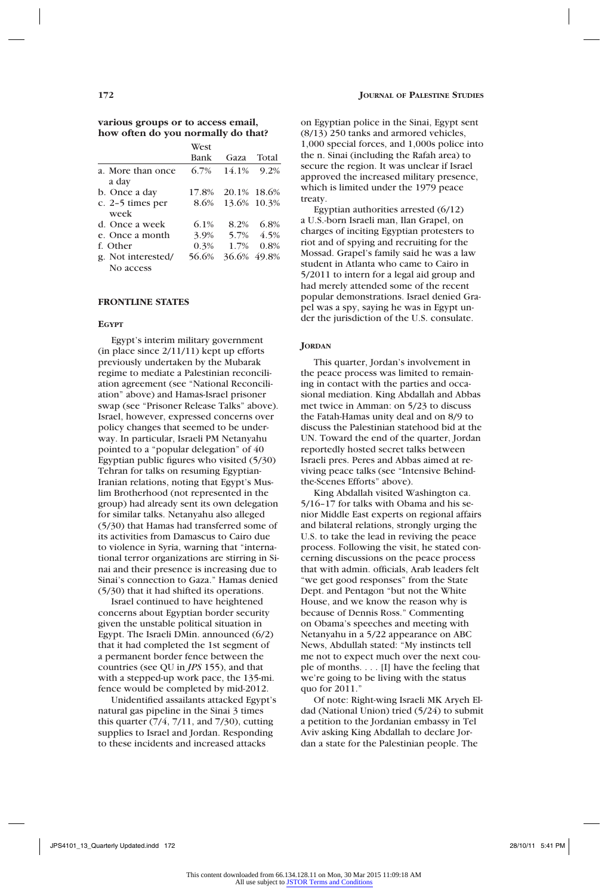|  |  | various groups or to access email, |  |
|--|--|------------------------------------|--|
|  |  | how often do you normally do that? |  |

|                    | West  |                  |             |
|--------------------|-------|------------------|-------------|
|                    | Bank  | Gaza             | Total       |
| a. More than once  | 6.7%  | 14.1%            | 9.2%        |
| a day              |       |                  |             |
| b. Once a day      | 17.8% | 20.1% 18.6%      |             |
| c. $2-5$ times per |       | 8.6% 13.6% 10.3% |             |
| week               |       |                  |             |
| d. Once a week     | 6.1%  | 8.2%             | 6.8%        |
| e. Once a month    | 3.9%  |                  | 5.7% 4.5%   |
| f. Other           | 0.3%  | 1.7%             | 0.8%        |
| g. Not interested/ | 56.6% |                  | 36.6% 49.8% |
| No access          |       |                  |             |

#### **FRONTLINE STATES**

#### **Egypt**

Egypt's interim military government (in place since  $2/11/11$ ) kept up efforts previously undertaken by the Mubarak regime to mediate a Palestinian reconciliation agreement (see "National Reconciliation" above) and Hamas-Israel prisoner swap (see "Prisoner Release Talks" above). Israel, however, expressed concerns over policy changes that seemed to be underway. In particular, Israeli PM Netanyahu pointed to a "popular delegation" of 40 Egyptian public figures who visited (5/30) Tehran for talks on resuming Egyptian-Iranian relations, noting that Egypt's Muslim Brotherhood (not represented in the group) had already sent its own delegation for similar talks. Netanyahu also alleged (5/30) that Hamas had transferred some of its activities from Damascus to Cairo due to violence in Syria, warning that "international terror organizations are stirring in Sinai and their presence is increasing due to Sinai's connection to Gaza." Hamas denied (5/30) that it had shifted its operations.

Israel continued to have heightened concerns about Egyptian border security given the unstable political situation in Egypt. The Israeli DMin. announced (6/2) that it had completed the 1st segment of a permanent border fence between the countries (see QU in *JPS* 155), and that with a stepped-up work pace, the 135-mi. fence would be completed by mid-2012.

Unidentified assailants attacked Egypt's natural gas pipeline in the Sinai 3 times this quarter  $(7/4, 7/11,$  and  $7/30$ ), cutting supplies to Israel and Jordan. Responding to these incidents and increased attacks

on Egyptian police in the Sinai, Egypt sent (8/13) 250 tanks and armored vehicles, 1,000 special forces, and 1,000s police into the n. Sinai (including the Rafah area) to secure the region. It was unclear if Israel approved the increased military presence, which is limited under the 1979 peace treaty.

Egyptian authorities arrested (6/12) a U.S.-born Israeli man, Ilan Grapel, on charges of inciting Egyptian protesters to riot and of spying and recruiting for the Mossad. Grapel's family said he was a law student in Atlanta who came to Cairo in 5/2011 to intern for a legal aid group and had merely attended some of the recent popular demonstrations. Israel denied Grapel was a spy, saying he was in Egypt under the jurisdiction of the U.S. consulate.

## **JORDAN**

This quarter, Jordan's involvement in the peace process was limited to remaining in contact with the parties and occasional mediation. King Abdallah and Abbas met twice in Amman: on 5/23 to discuss the Fatah-Hamas unity deal and on 8/9 to discuss the Palestinian statehood bid at the UN. Toward the end of the quarter, Jordan reportedly hosted secret talks between Israeli pres. Peres and Abbas aimed at reviving peace talks (see "Intensive Behindthe-Scenes Efforts" above).

King Abdallah visited Washington ca. 5/16–17 for talks with Obama and his senior Middle East experts on regional affairs and bilateral relations, strongly urging the U.S. to take the lead in reviving the peace process. Following the visit, he stated concerning discussions on the peace process that with admin. officials, Arab leaders felt "we get good responses" from the State Dept. and Pentagon "but not the White House, and we know the reason why is because of Dennis Ross." Commenting on Obama's speeches and meeting with Netanyahu in a 5/22 appearance on ABC News, Abdullah stated: "My instincts tell me not to expect much over the next couple of months. . . . [I] have the feeling that we're going to be living with the status quo for 2011."

Of note: Right-wing Israeli MK Aryeh Eldad (National Union) tried (5/24) to submit a petition to the Jordanian embassy in Tel Aviv asking King Abdallah to declare Jordan a state for the Palestinian people. The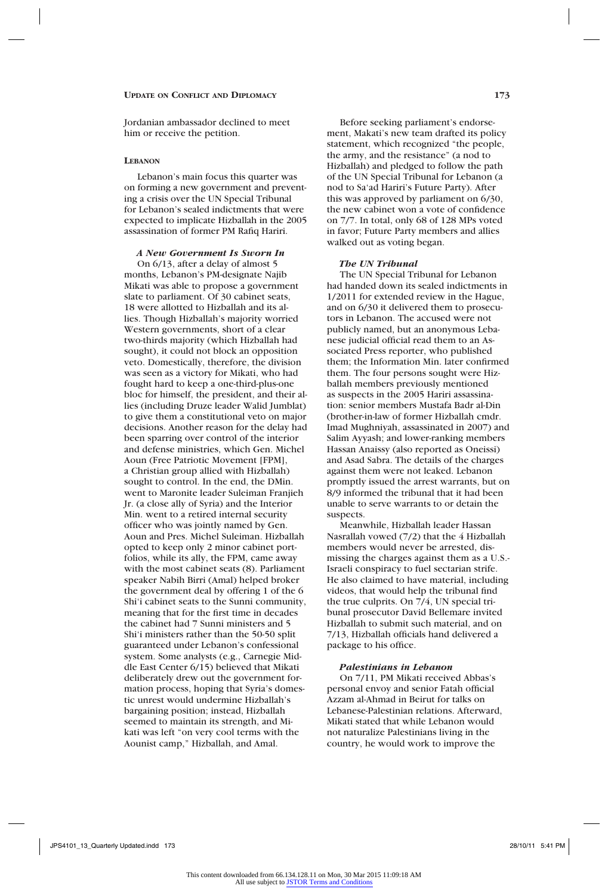Jordanian ambassador declined to meet him or receive the petition.

#### **Lebanon**

Lebanon's main focus this quarter was on forming a new government and preventing a crisis over the UN Special Tribunal for Lebanon's sealed indictments that were expected to implicate Hizballah in the 2005 assassination of former PM Rafiq Hariri.

*A New Government Is Sworn In*

On 6/13, after a delay of almost 5 months, Lebanon's PM-designate Najib Mikati was able to propose a government slate to parliament. Of 30 cabinet seats, 18 were allotted to Hizballah and its allies. Though Hizballah's majority worried Western governments, short of a clear two-thirds majority (which Hizballah had sought), it could not block an opposition veto. Domestically, therefore, the division was seen as a victory for Mikati, who had fought hard to keep a one-third-plus-one bloc for himself, the president, and their allies (including Druze leader Walid Jumblat) to give them a constitutional veto on major decisions. Another reason for the delay had been sparring over control of the interior and defense ministries, which Gen. Michel Aoun (Free Patriotic Movement [FPM], a Christian group allied with Hizballah) sought to control. In the end, the DMin. went to Maronite leader Suleiman Franjieh Jr. (a close ally of Syria) and the Interior Min. went to a retired internal security officer who was jointly named by Gen. Aoun and Pres. Michel Suleiman. Hizballah opted to keep only 2 minor cabinet portfolios, while its ally, the FPM, came away with the most cabinet seats (8). Parliament speaker Nabih Birri (Amal) helped broker the government deal by offering 1 of the 6 Shi'i cabinet seats to the Sunni community, meaning that for the first time in decades the cabinet had 7 Sunni ministers and 5 Shi'i ministers rather than the 50-50 split guaranteed under Lebanon's confessional system. Some analysts (e.g., Carnegie Middle East Center 6/15) believed that Mikati deliberately drew out the government formation process, hoping that Syria's domestic unrest would undermine Hizballah's bargaining position; instead, Hizballah seemed to maintain its strength, and Mikati was left "on very cool terms with the Aounist camp," Hizballah, and Amal.

Before seeking parliament's endorsement, Makati's new team drafted its policy statement, which recognized "the people, the army, and the resistance" (a nod to Hizballah) and pledged to follow the path of the UN Special Tribunal for Lebanon (a nod to Sa'ad Hariri's Future Party). After this was approved by parliament on 6/30, the new cabinet won a vote of confidence on 7/7. In total, only 68 of 128 MPs voted in favor; Future Party members and allies walked out as voting began.

#### *The UN Tribunal*

The UN Special Tribunal for Lebanon had handed down its sealed indictments in 1/2011 for extended review in the Hague, and on 6/30 it delivered them to prosecutors in Lebanon. The accused were not publicly named, but an anonymous Lebanese judicial official read them to an Associated Press reporter, who published them; the Information Min. later confirmed them. The four persons sought were Hizballah members previously mentioned as suspects in the 2005 Hariri assassination: senior members Mustafa Badr al-Din (brother-in-law of former Hizballah cmdr. Imad Mughniyah, assassinated in 2007) and Salim Ayyash; and lower-ranking members Hassan Anaissy (also reported as Oneissi) and Asad Sabra. The details of the charges against them were not leaked. Lebanon promptly issued the arrest warrants, but on 8/9 informed the tribunal that it had been unable to serve warrants to or detain the suspects.

Meanwhile, Hizballah leader Hassan Nasrallah vowed (7/2) that the 4 Hizballah members would never be arrested, dismissing the charges against them as a U.S.- Israeli conspiracy to fuel sectarian strife. He also claimed to have material, including videos, that would help the tribunal find the true culprits. On 7/4, UN special tribunal prosecutor David Bellemare invited Hizballah to submit such material, and on 7/13, Hizballah officials hand delivered a package to his office.

#### *Palestinians in Lebanon*

On 7/11, PM Mikati received Abbas's personal envoy and senior Fatah official Azzam al-Ahmad in Beirut for talks on Lebanese-Palestinian relations. Afterward, Mikati stated that while Lebanon would not naturalize Palestinians living in the country, he would work to improve the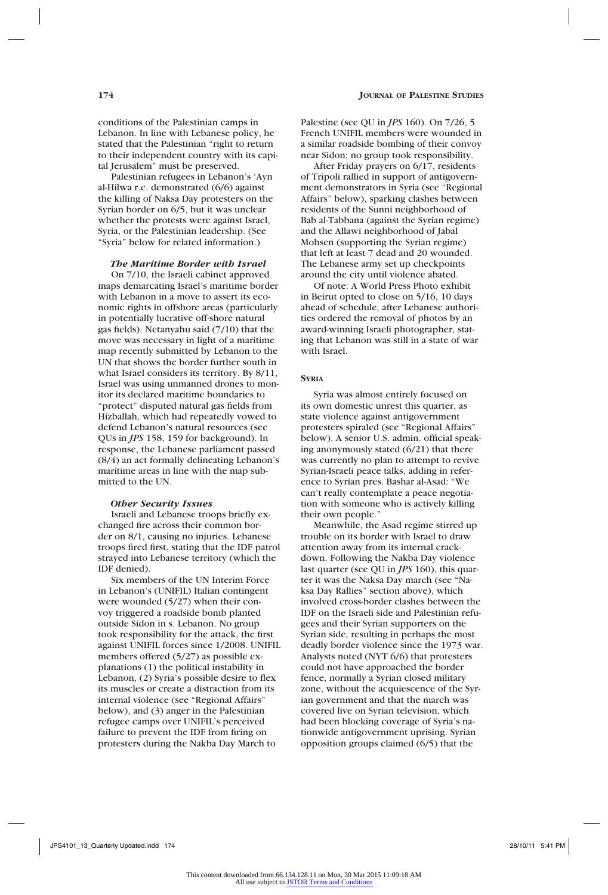conditions of the Palestinian camps in Lebanon. In line with Lebanese policy, he stated that the Palestinian "right to return to their independent country with its capital Jerusalem" must be preserved.

Palestinian refugees in Lebanon's 'Ayn al-Hilwa r.c. demonstrated (6/6) against the killing of Naksa Day protesters on the Syrian border on 6/5, but it was unclear whether the protests were against Israel, Syria, or the Palestinian leadership. (See "Syria" below for related information.)

#### *The Maritime Border with Israel*

On 7/10, the Israeli cabinet approved maps demarcating Israel's maritime border with Lebanon in a move to assert its economic rights in offshore areas (particularly in potentially lucrative off-shore natural gas fields). Netanyahu said (7/10) that the move was necessary in light of a maritime map recently submitted by Lebanon to the UN that shows the border further south in what Israel considers its territory. By 8/11, Israel was using unmanned drones to monitor its declared maritime boundaries to "protect" disputed natural gas fields from Hizballah, which had repeatedly vowed to defend Lebanon's natural resources (see QUs in *JPS* 158, 159 for background). In response, the Lebanese parliament passed (8/4) an act formally delineating Lebanon's maritime areas in line with the map submitted to the UN.

## *Other Security Issues*

Israeli and Lebanese troops briefly exchanged fire across their common border on 8/1, causing no injuries. Lebanese troops fired first, stating that the IDF patrol strayed into Lebanese territory (which the IDF denied).

Six members of the UN Interim Force in Lebanon's (UNIFIL) Italian contingent were wounded (5/27) when their convoy triggered a roadside bomb planted outside Sidon in s. Lebanon. No group took responsibility for the attack, the first against UNIFIL forces since 1/2008. UNIFIL members offered (5/27) as possible explanations (1) the political instability in Lebanon, (2) Syria's possible desire to flex its muscles or create a distraction from its internal violence (see "Regional Affairs" below), and (3) anger in the Palestinian refugee camps over UNIFIL's perceived failure to prevent the IDF from firing on protesters during the Nakba Day March to

Palestine (see QU in *JPS* 160). On 7/26, 5 French UNIFIL members were wounded in a similar roadside bombing of their convoy near Sidon; no group took responsibility.

After Friday prayers on 6/17, residents of Tripoli rallied in support of antigovernment demonstrators in Syria (see "Regional Affairs" below), sparking clashes between residents of the Sunni neighborhood of Bab al-Tabbana (against the Syrian regime) and the Allawi neighborhood of Jabal Mohsen (supporting the Syrian regime) that left at least 7 dead and 20 wounded. The Lebanese army set up checkpoints around the city until violence abated.

Of note: A World Press Photo exhibit in Beirut opted to close on 5/16, 10 days ahead of schedule, after Lebanese authorities ordered the removal of photos by an award-winning Israeli photographer, stating that Lebanon was still in a state of war with Israel.

#### **Syria**

Syria was almost entirely focused on its own domestic unrest this quarter, as state violence against antigovernment protesters spiraled (see "Regional Affairs" below). A senior U.S. admin. official speaking anonymously stated (6/21) that there was currently no plan to attempt to revive Syrian-Israeli peace talks, adding in reference to Syrian pres. Bashar al-Asad: "We can't really contemplate a peace negotiation with someone who is actively killing their own people."

Meanwhile, the Asad regime stirred up trouble on its border with Israel to draw attention away from its internal crackdown. Following the Nakba Day violence last quarter (see QU in *JPS* 160), this quarter it was the Naksa Day march (see "Naksa Day Rallies" section above), which involved cross-border clashes between the IDF on the Israeli side and Palestinian refugees and their Syrian supporters on the Syrian side, resulting in perhaps the most deadly border violence since the 1973 war. Analysts noted (NYT 6/6) that protesters could not have approached the border fence, normally a Syrian closed military zone, without the acquiescence of the Syrian government and that the march was covered live on Syrian television, which had been blocking coverage of Syria's nationwide antigovernment uprising. Syrian opposition groups claimed (6/5) that the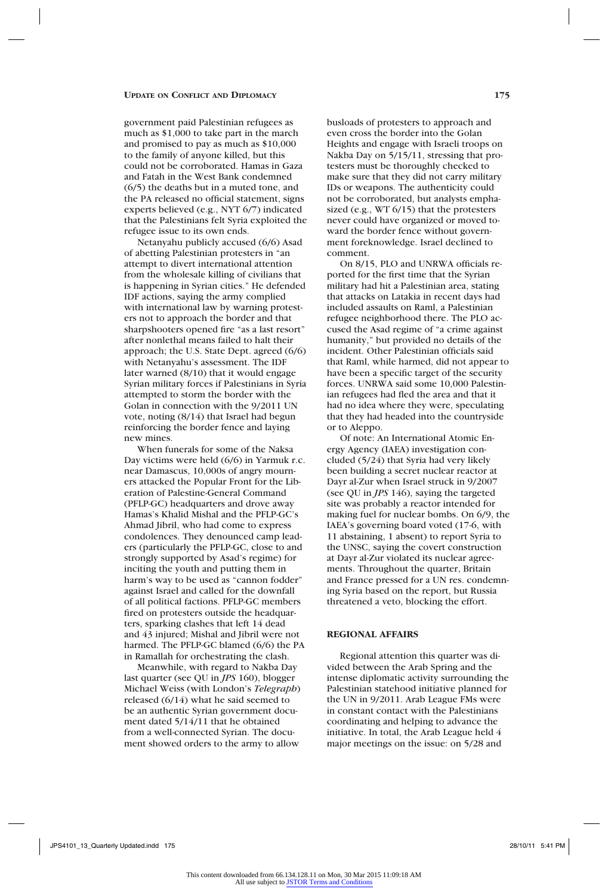government paid Palestinian refugees as much as \$1,000 to take part in the march and promised to pay as much as \$10,000 to the family of anyone killed, but this could not be corroborated. Hamas in Gaza and Fatah in the West Bank condemned (6/5) the deaths but in a muted tone, and the PA released no official statement, signs experts believed (e.g., NYT 6/7) indicated that the Palestinians felt Syria exploited the refugee issue to its own ends.

Netanyahu publicly accused (6/6) Asad of abetting Palestinian protesters in "an attempt to divert international attention from the wholesale killing of civilians that is happening in Syrian cities." He defended IDF actions, saying the army complied with international law by warning protesters not to approach the border and that sharpshooters opened fire "as a last resort" after nonlethal means failed to halt their approach; the U.S. State Dept. agreed (6/6) with Netanyahu's assessment. The IDF later warned (8/10) that it would engage Syrian military forces if Palestinians in Syria attempted to storm the border with the Golan in connection with the 9/2011 UN vote, noting (8/14) that Israel had begun reinforcing the border fence and laying new mines.

When funerals for some of the Naksa Day victims were held (6/6) in Yarmuk r.c. near Damascus, 10,000s of angry mourners attacked the Popular Front for the Liberation of Palestine-General Command (PFLP-GC) headquarters and drove away Hamas's Khalid Mishal and the PFLP-GC's Ahmad Jibril, who had come to express condolences. They denounced camp leaders (particularly the PFLP-GC, close to and strongly supported by Asad's regime) for inciting the youth and putting them in harm's way to be used as "cannon fodder" against Israel and called for the downfall of all political factions. PFLP-GC members fired on protesters outside the headquarters, sparking clashes that left 14 dead and 43 injured; Mishal and Jibril were not harmed. The PFLP-GC blamed (6/6) the PA in Ramallah for orchestrating the clash.

Meanwhile, with regard to Nakba Day last quarter (see QU in *JPS* 160), blogger Michael Weiss (with London's *Telegraph*) released (6/14) what he said seemed to be an authentic Syrian government document dated 5/14/11 that he obtained from a well-connected Syrian. The document showed orders to the army to allow

busloads of protesters to approach and even cross the border into the Golan Heights and engage with Israeli troops on Nakba Day on 5/15/11, stressing that protesters must be thoroughly checked to make sure that they did not carry military IDs or weapons. The authenticity could not be corroborated, but analysts emphasized (e.g., WT 6/15) that the protesters never could have organized or moved toward the border fence without government foreknowledge. Israel declined to comment.

On 8/15, PLO and UNRWA officials reported for the first time that the Syrian military had hit a Palestinian area, stating that attacks on Latakia in recent days had included assaults on Raml, a Palestinian refugee neighborhood there. The PLO accused the Asad regime of "a crime against humanity," but provided no details of the incident. Other Palestinian officials said that Raml, while harmed, did not appear to have been a specific target of the security forces. UNRWA said some 10,000 Palestinian refugees had fled the area and that it had no idea where they were, speculating that they had headed into the countryside or to Aleppo.

Of note: An International Atomic Energy Agency (IAEA) investigation concluded (5/24) that Syria had very likely been building a secret nuclear reactor at Dayr al-Zur when Israel struck in 9/2007 (see QU in *JPS* 146), saying the targeted site was probably a reactor intended for making fuel for nuclear bombs. On 6/9, the IAEA's governing board voted (17-6, with 11 abstaining, 1 absent) to report Syria to the UNSC, saying the covert construction at Dayr al-Zur violated its nuclear agreements. Throughout the quarter, Britain and France pressed for a UN res. condemning Syria based on the report, but Russia threatened a veto, blocking the effort.

## **REGIONAL AFFAIRS**

Regional attention this quarter was divided between the Arab Spring and the intense diplomatic activity surrounding the Palestinian statehood initiative planned for the UN in 9/2011. Arab League FMs were in constant contact with the Palestinians coordinating and helping to advance the initiative. In total, the Arab League held 4 major meetings on the issue: on 5/28 and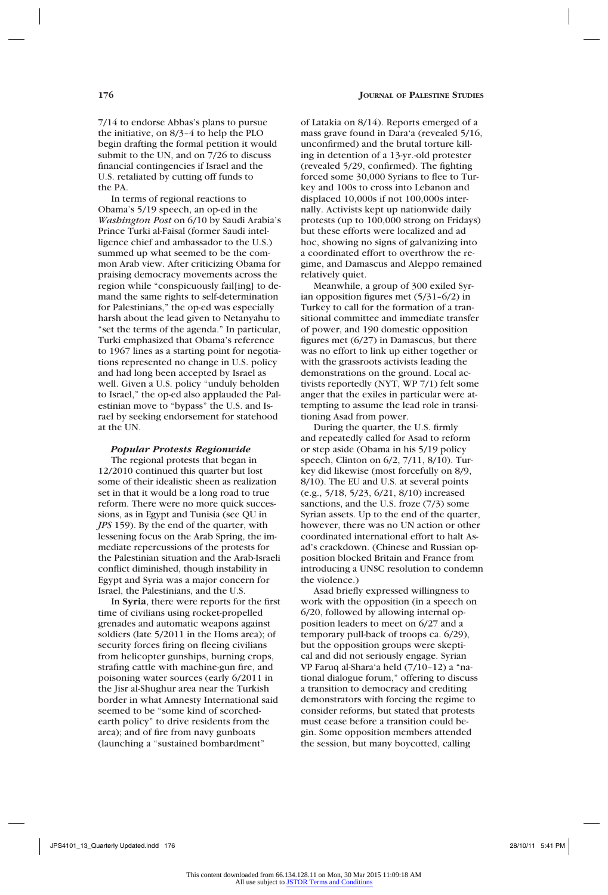7/14 to endorse Abbas's plans to pursue the initiative, on 8/3–4 to help the PLO begin drafting the formal petition it would submit to the UN, and on 7/26 to discuss financial contingencies if Israel and the U.S. retaliated by cutting off funds to the PA.

In terms of regional reactions to Obama's 5/19 speech, an op-ed in the *Washington Post* on 6/10 by Saudi Arabia's Prince Turki al-Faisal (former Saudi intelligence chief and ambassador to the U.S.) summed up what seemed to be the common Arab view. After criticizing Obama for praising democracy movements across the region while "conspicuously fail[ing] to demand the same rights to self-determination for Palestinians," the op-ed was especially harsh about the lead given to Netanyahu to "set the terms of the agenda." In particular, Turki emphasized that Obama's reference to 1967 lines as a starting point for negotiations represented no change in U.S. policy and had long been accepted by Israel as well. Given a U.S. policy "unduly beholden to Israel," the op-ed also applauded the Palestinian move to "bypass" the U.S. and Israel by seeking endorsement for statehood at the UN.

## *Popular Protests Regionwide*

The regional protests that began in 12/2010 continued this quarter but lost some of their idealistic sheen as realization set in that it would be a long road to true reform. There were no more quick successions, as in Egypt and Tunisia (see QU in *JPS* 159). By the end of the quarter, with lessening focus on the Arab Spring, the immediate repercussions of the protests for the Palestinian situation and the Arab-Israeli conflict diminished, though instability in Egypt and Syria was a major concern for Israel, the Palestinians, and the U.S.

In **Syria**, there were reports for the first time of civilians using rocket-propelled grenades and automatic weapons against soldiers (late 5/2011 in the Homs area); of security forces firing on fleeing civilians from helicopter gunships, burning crops, strafing cattle with machine-gun fire, and poisoning water sources (early 6/2011 in the Jisr al-Shughur area near the Turkish border in what Amnesty International said seemed to be "some kind of scorchedearth policy" to drive residents from the area); and of fire from navy gunboats (launching a "sustained bombardment"

of Latakia on 8/14). Reports emerged of a mass grave found in Dara'a (revealed 5/16, unconfirmed) and the brutal torture killing in detention of a 13-yr.-old protester (revealed 5/29, confirmed). The fighting forced some 30,000 Syrians to flee to Turkey and 100s to cross into Lebanon and displaced 10,000s if not 100,000s internally. Activists kept up nationwide daily protests (up to 100,000 strong on Fridays) but these efforts were localized and ad hoc, showing no signs of galvanizing into a coordinated effort to overthrow the regime, and Damascus and Aleppo remained relatively quiet.

Meanwhile, a group of 300 exiled Syrian opposition figures met (5/31–6/2) in Turkey to call for the formation of a transitional committee and immediate transfer of power, and 190 domestic opposition figures met (6/27) in Damascus, but there was no effort to link up either together or with the grassroots activists leading the demonstrations on the ground. Local activists reportedly (NYT, WP 7/1) felt some anger that the exiles in particular were attempting to assume the lead role in transitioning Asad from power.

During the quarter, the U.S. firmly and repeatedly called for Asad to reform or step aside (Obama in his 5/19 policy speech, Clinton on 6/2, 7/11, 8/10). Turkey did likewise (most forcefully on 8/9, 8/10). The EU and U.S. at several points (e.g., 5/18, 5/23, 6/21, 8/10) increased sanctions, and the U.S. froze  $(7/3)$  some Syrian assets. Up to the end of the quarter, however, there was no UN action or other coordinated international effort to halt Asad's crackdown. (Chinese and Russian opposition blocked Britain and France from introducing a UNSC resolution to condemn the violence.)

Asad briefly expressed willingness to work with the opposition (in a speech on 6/20, followed by allowing internal opposition leaders to meet on 6/27 and a temporary pull-back of troops ca. 6/29), but the opposition groups were skeptical and did not seriously engage. Syrian VP Faruq al-Shara'a held (7/10–12) a "national dialogue forum," offering to discuss a transition to democracy and crediting demonstrators with forcing the regime to consider reforms, but stated that protests must cease before a transition could begin. Some opposition members attended the session, but many boycotted, calling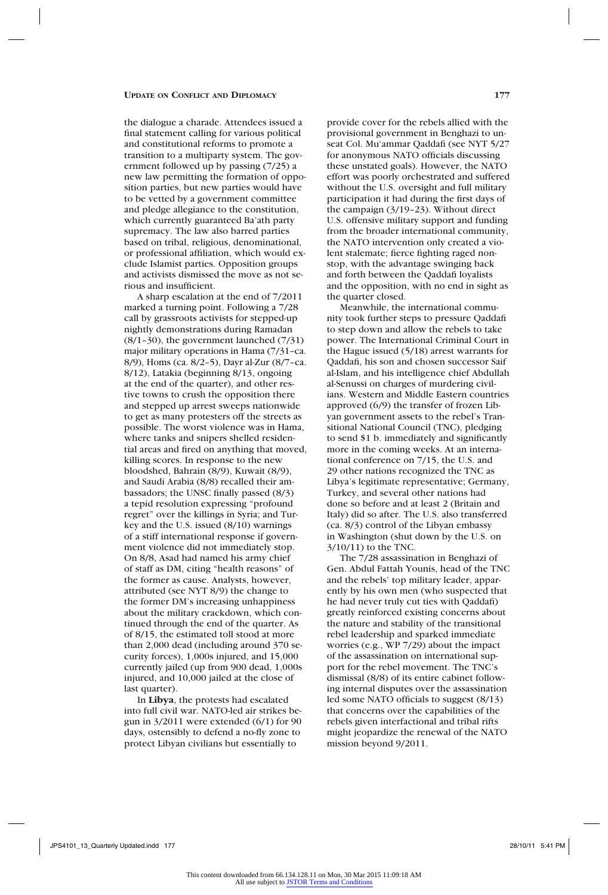the dialogue a charade. Attendees issued a final statement calling for various political and constitutional reforms to promote a transition to a multiparty system. The government followed up by passing (7/25) a new law permitting the formation of opposition parties, but new parties would have to be vetted by a government committee and pledge allegiance to the constitution, which currently guaranteed Ba'ath party supremacy. The law also barred parties based on tribal, religious, denominational, or professional affiliation, which would exclude Islamist parties. Opposition groups and activists dismissed the move as not serious and insufficient.

A sharp escalation at the end of 7/2011 marked a turning point. Following a 7/28 call by grassroots activists for stepped-up nightly demonstrations during Ramadan  $(8/1-30)$ , the government launched  $(7/31)$ major military operations in Hama (7/31–ca. 8/9), Homs (ca. 8/2–5), Dayr al-Zur (8/7–ca. 8/12), Latakia (beginning 8/13, ongoing at the end of the quarter), and other restive towns to crush the opposition there and stepped up arrest sweeps nationwide to get as many protesters off the streets as possible. The worst violence was in Hama, where tanks and snipers shelled residential areas and fired on anything that moved, killing scores. In response to the new bloodshed, Bahrain (8/9), Kuwait (8/9), and Saudi Arabia (8/8) recalled their ambassadors; the UNSC finally passed (8/3) a tepid resolution expressing "profound regret" over the killings in Syria; and Turkey and the U.S. issued (8/10) warnings of a stiff international response if government violence did not immediately stop. On 8/8, Asad had named his army chief of staff as DM, citing "health reasons" of the former as cause. Analysts, however, attributed (see NYT 8/9) the change to the former DM's increasing unhappiness about the military crackdown, which continued through the end of the quarter. As of 8/15, the estimated toll stood at more than 2,000 dead (including around 370 security forces), 1,000s injured, and 15,000 currently jailed (up from 900 dead, 1,000s injured, and 10,000 jailed at the close of last quarter).

In **Libya**, the protests had escalated into full civil war. NATO-led air strikes begun in 3/2011 were extended (6/1) for 90 days, ostensibly to defend a no-fly zone to protect Libyan civilians but essentially to

provide cover for the rebels allied with the provisional government in Benghazi to unseat Col. Mu'ammar Qaddafi (see NYT 5/27 for anonymous NATO officials discussing these unstated goals). However, the NATO effort was poorly orchestrated and suffered without the U.S. oversight and full military participation it had during the first days of the campaign (3/19–23). Without direct U.S. offensive military support and funding from the broader international community, the NATO intervention only created a violent stalemate; fierce fighting raged nonstop, with the advantage swinging back and forth between the Qaddafi loyalists and the opposition, with no end in sight as the quarter closed.

Meanwhile, the international community took further steps to pressure Qaddafi to step down and allow the rebels to take power. The International Criminal Court in the Hague issued (5/18) arrest warrants for Qaddafi, his son and chosen successor Saif al-Islam, and his intelligence chief Abdullah al-Senussi on charges of murdering civilians. Western and Middle Eastern countries approved (6/9) the transfer of frozen Libyan government assets to the rebel's Transitional National Council (TNC), pledging to send \$1 b. immediately and significantly more in the coming weeks. At an international conference on 7/15, the U.S. and 29 other nations recognized the TNC as Libya's legitimate representative; Germany, Turkey, and several other nations had done so before and at least 2 (Britain and Italy) did so after. The U.S. also transferred (ca. 8/3) control of the Libyan embassy in Washington (shut down by the U.S. on 3/10/11) to the TNC.

The 7/28 assassination in Benghazi of Gen. Abdul Fattah Younis, head of the TNC and the rebels' top military leader, apparently by his own men (who suspected that he had never truly cut ties with Qaddafi) greatly reinforced existing concerns about the nature and stability of the transitional rebel leadership and sparked immediate worries (e.g., WP 7/29) about the impact of the assassination on international support for the rebel movement. The TNC's dismissal (8/8) of its entire cabinet following internal disputes over the assassination led some NATO officials to suggest (8/13) that concerns over the capabilities of the rebels given interfactional and tribal rifts might jeopardize the renewal of the NATO mission beyond 9/2011.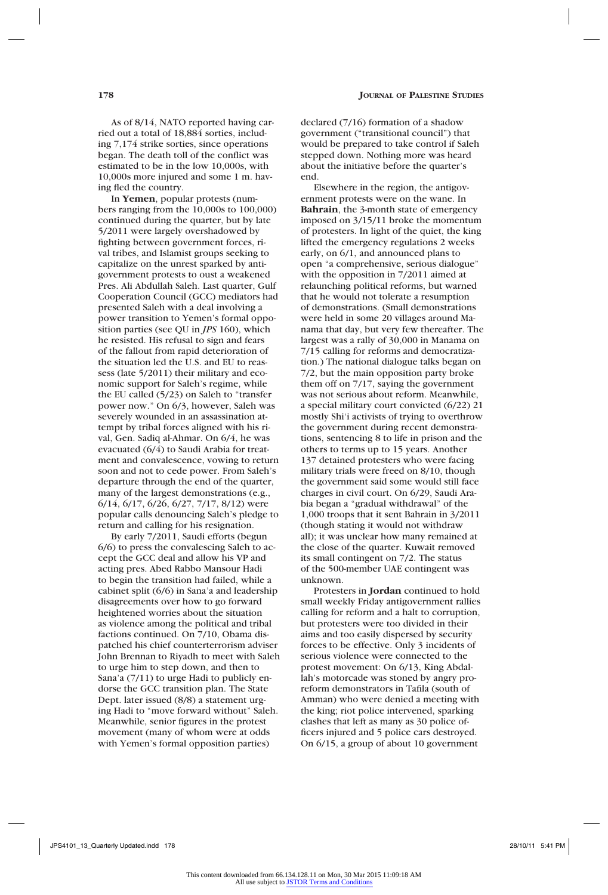As of 8/14, NATO reported having carried out a total of 18,884 sorties, including 7,174 strike sorties, since operations began. The death toll of the conflict was estimated to be in the low 10,000s, with 10,000s more injured and some 1 m. having fled the country.

In **Yemen**, popular protests (numbers ranging from the 10,000s to 100,000) continued during the quarter, but by late 5/2011 were largely overshadowed by fighting between government forces, rival tribes, and Islamist groups seeking to capitalize on the unrest sparked by antigovernment protests to oust a weakened Pres. Ali Abdullah Saleh. Last quarter, Gulf Cooperation Council (GCC) mediators had presented Saleh with a deal involving a power transition to Yemen's formal opposition parties (see QU in *JPS* 160), which he resisted. His refusal to sign and fears of the fallout from rapid deterioration of the situation led the  $\overline{U.S.}$  and EU to reassess (late 5/2011) their military and economic support for Saleh's regime, while the EU called (5/23) on Saleh to "transfer power now." On 6/3, however, Saleh was severely wounded in an assassination attempt by tribal forces aligned with his rival, Gen. Sadiq al-Ahmar. On 6/4, he was evacuated  $(6/4)$  to Saudi Arabia for treatment and convalescence, vowing to return soon and not to cede power. From Saleh's departure through the end of the quarter, many of the largest demonstrations (e.g., 6/14, 6/17, 6/26, 6/27, 7/17, 8/12) were popular calls denouncing Saleh's pledge to return and calling for his resignation.

By early 7/2011, Saudi efforts (begun 6/6) to press the convalescing Saleh to accept the GCC deal and allow his VP and acting pres. Abed Rabbo Mansour Hadi to begin the transition had failed, while a cabinet split (6/6) in Sana'a and leadership disagreements over how to go forward heightened worries about the situation as violence among the political and tribal factions continued. On 7/10, Obama dispatched his chief counterterrorism adviser John Brennan to Riyadh to meet with Saleh to urge him to step down, and then to Sana'a (7/11) to urge Hadi to publicly endorse the GCC transition plan. The State Dept. later issued (8/8) a statement urging Hadi to "move forward without" Saleh. Meanwhile, senior figures in the protest movement (many of whom were at odds with Yemen's formal opposition parties)

declared (7/16) formation of a shadow government ("transitional council") that would be prepared to take control if Saleh stepped down. Nothing more was heard about the initiative before the quarter's end.

Elsewhere in the region, the antigovernment protests were on the wane. In **Bahrain**, the 3-month state of emergency imposed on 3/15/11 broke the momentum of protesters. In light of the quiet, the king lifted the emergency regulations 2 weeks early, on 6/1, and announced plans to open "a comprehensive, serious dialogue" with the opposition in 7/2011 aimed at relaunching political reforms, but warned that he would not tolerate a resumption of demonstrations. (Small demonstrations were held in some 20 villages around Manama that day, but very few thereafter. The largest was a rally of 30,000 in Manama on 7/15 calling for reforms and democratization.) The national dialogue talks began on 7/2, but the main opposition party broke them off on 7/17, saying the government was not serious about reform. Meanwhile, a special military court convicted (6/22) 21 mostly Shi'i activists of trying to overthrow the government during recent demonstrations, sentencing 8 to life in prison and the others to terms up to 15 years. Another 137 detained protesters who were facing military trials were freed on 8/10, though the government said some would still face charges in civil court. On 6/29, Saudi Arabia began a "gradual withdrawal" of the 1,000 troops that it sent Bahrain in 3/2011 (though stating it would not withdraw all); it was unclear how many remained at the close of the quarter. Kuwait removed its small contingent on 7/2. The status of the 500-member UAE contingent was unknown.

Protesters in **Jordan** continued to hold small weekly Friday antigovernment rallies calling for reform and a halt to corruption, but protesters were too divided in their aims and too easily dispersed by security forces to be effective. Only 3 incidents of serious violence were connected to the protest movement: On 6/13, King Abdallah's motorcade was stoned by angry proreform demonstrators in Tafila (south of Amman) who were denied a meeting with the king; riot police intervened, sparking clashes that left as many as 30 police officers injured and 5 police cars destroyed. On 6/15, a group of about 10 government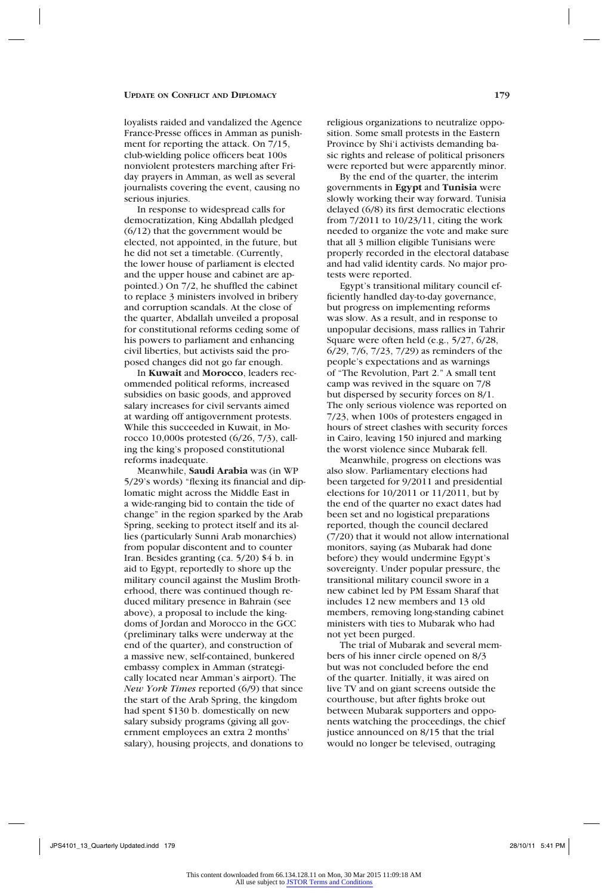loyalists raided and vandalized the Agence France-Presse offices in Amman as punishment for reporting the attack. On 7/15, club-wielding police officers beat 100s nonviolent protesters marching after Friday prayers in Amman, as well as several journalists covering the event, causing no serious injuries.

In response to widespread calls for democratization, King Abdallah pledged (6/12) that the government would be elected, not appointed, in the future, but he did not set a timetable. (Currently, the lower house of parliament is elected and the upper house and cabinet are appointed.) On 7/2, he shuffled the cabinet to replace 3 ministers involved in bribery and corruption scandals. At the close of the quarter, Abdallah unveiled a proposal for constitutional reforms ceding some of his powers to parliament and enhancing civil liberties, but activists said the proposed changes did not go far enough.

In **Kuwait** and **Morocco**, leaders recommended political reforms, increased subsidies on basic goods, and approved salary increases for civil servants aimed at warding off antigovernment protests. While this succeeded in Kuwait, in Morocco 10,000s protested (6/26, 7/3), calling the king's proposed constitutional reforms inadequate.

Meanwhile, **Saudi Arabia** was (in WP 5/29's words) "flexing its financial and diplomatic might across the Middle East in a wide-ranging bid to contain the tide of change" in the region sparked by the Arab Spring, seeking to protect itself and its allies (particularly Sunni Arab monarchies) from popular discontent and to counter Iran. Besides granting (ca. 5/20) \$4 b. in aid to Egypt, reportedly to shore up the military council against the Muslim Brotherhood, there was continued though reduced military presence in Bahrain (see above), a proposal to include the kingdoms of Jordan and Morocco in the GCC (preliminary talks were underway at the end of the quarter), and construction of a massive new, self-contained, bunkered embassy complex in Amman (strategically located near Amman's airport). The *New York Times* reported (6/9) that since the start of the Arab Spring, the kingdom had spent \$130 b. domestically on new salary subsidy programs (giving all government employees an extra 2 months' salary), housing projects, and donations to

religious organizations to neutralize opposition. Some small protests in the Eastern Province by Shi'i activists demanding basic rights and release of political prisoners were reported but were apparently minor.

By the end of the quarter, the interim governments in **Egypt** and **Tunisia** were slowly working their way forward. Tunisia delayed (6/8) its first democratic elections from 7/2011 to 10/23/11, citing the work needed to organize the vote and make sure that all 3 million eligible Tunisians were properly recorded in the electoral database and had valid identity cards. No major protests were reported.

Egypt's transitional military council efficiently handled day-to-day governance, but progress on implementing reforms was slow. As a result, and in response to unpopular decisions, mass rallies in Tahrir Square were often held (e.g., 5/27, 6/28, 6/29, 7/6, 7/23, 7/29) as reminders of the people's expectations and as warnings of "The Revolution, Part 2." A small tent camp was revived in the square on 7/8 but dispersed by security forces on 8/1. The only serious violence was reported on 7/23, when 100s of protesters engaged in hours of street clashes with security forces in Cairo, leaving 150 injured and marking the worst violence since Mubarak fell.

Meanwhile, progress on elections was also slow. Parliamentary elections had been targeted for 9/2011 and presidential elections for 10/2011 or 11/2011, but by the end of the quarter no exact dates had been set and no logistical preparations reported, though the council declared (7/20) that it would not allow international monitors, saying (as Mubarak had done before) they would undermine Egypt's sovereignty. Under popular pressure, the transitional military council swore in a new cabinet led by PM Essam Sharaf that includes 12 new members and 13 old members, removing long-standing cabinet ministers with ties to Mubarak who had not yet been purged.

The trial of Mubarak and several members of his inner circle opened on 8/3 but was not concluded before the end of the quarter. Initially, it was aired on live TV and on giant screens outside the courthouse, but after fights broke out between Mubarak supporters and opponents watching the proceedings, the chief justice announced on 8/15 that the trial would no longer be televised, outraging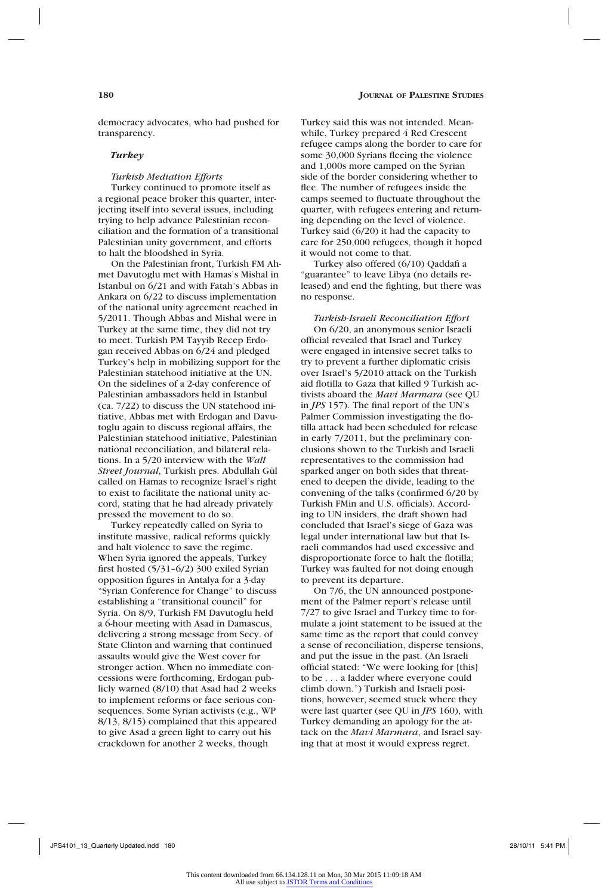democracy advocates, who had pushed for transparency.

#### *Turkey*

#### *Turkish Mediation Efforts*

Turkey continued to promote itself as a regional peace broker this quarter, interjecting itself into several issues, including trying to help advance Palestinian reconciliation and the formation of a transitional Palestinian unity government, and efforts to halt the bloodshed in Syria.

On the Palestinian front, Turkish FM Ahmet Davutoglu met with Hamas's Mishal in Istanbul on 6/21 and with Fatah's Abbas in Ankara on 6/22 to discuss implementation of the national unity agreement reached in 5/2011. Though Abbas and Mishal were in Turkey at the same time, they did not try to meet. Turkish PM Tayyib Recep Erdogan received Abbas on 6/24 and pledged Turkey's help in mobilizing support for the Palestinian statehood initiative at the UN. On the sidelines of a 2-day conference of Palestinian ambassadors held in Istanbul (ca. 7/22) to discuss the UN statehood initiative, Abbas met with Erdogan and Davutoglu again to discuss regional affairs, the Palestinian statehood initiative, Palestinian national reconciliation, and bilateral relations. In a 5/20 interview with the *Wall Street Journal*, Turkish pres. Abdullah Gül called on Hamas to recognize Israel's right to exist to facilitate the national unity accord, stating that he had already privately pressed the movement to do so.

Turkey repeatedly called on Syria to institute massive, radical reforms quickly and halt violence to save the regime. When Syria ignored the appeals, Turkey first hosted (5/31–6/2) 300 exiled Syrian opposition figures in Antalya for a 3-day "Syrian Conference for Change" to discuss establishing a "transitional council" for Syria. On 8/9, Turkish FM Davutoglu held a 6-hour meeting with Asad in Damascus, delivering a strong message from Secy. of State Clinton and warning that continued assaults would give the West cover for stronger action. When no immediate concessions were forthcoming, Erdogan publicly warned (8/10) that Asad had 2 weeks to implement reforms or face serious consequences. Some Syrian activists (e.g., WP 8/13, 8/15) complained that this appeared to give Asad a green light to carry out his crackdown for another 2 weeks, though

Turkey said this was not intended. Meanwhile, Turkey prepared 4 Red Crescent refugee camps along the border to care for some 30,000 Syrians fleeing the violence and 1,000s more camped on the Syrian side of the border considering whether to flee. The number of refugees inside the camps seemed to fluctuate throughout the quarter, with refugees entering and returning depending on the level of violence. Turkey said (6/20) it had the capacity to care for 250,000 refugees, though it hoped it would not come to that.

Turkey also offered (6/10) Qaddafi a "guarantee" to leave Libya (no details released) and end the fighting, but there was no response.

*Turkish-Israeli Reconciliation Effort* On 6/20, an anonymous senior Israeli official revealed that Israel and Turkey were engaged in intensive secret talks to try to prevent a further diplomatic crisis over Israel's 5/2010 attack on the Turkish aid flotilla to Gaza that killed 9 Turkish activists aboard the *Mavi Marmara* (see QU in *JPS* 157). The final report of the UN's Palmer Commission investigating the flotilla attack had been scheduled for release in early 7/2011, but the preliminary conclusions shown to the Turkish and Israeli representatives to the commission had sparked anger on both sides that threatened to deepen the divide, leading to the convening of the talks (confirmed 6/20 by Turkish FMin and U.S. officials). According to UN insiders, the draft shown had concluded that Israel's siege of Gaza was legal under international law but that Israeli commandos had used excessive and disproportionate force to halt the flotilla; Turkey was faulted for not doing enough to prevent its departure.

On 7/6, the UN announced postponement of the Palmer report's release until 7/27 to give Israel and Turkey time to formulate a joint statement to be issued at the same time as the report that could convey a sense of reconciliation, disperse tensions, and put the issue in the past. (An Israeli official stated: "We were looking for [this] to be . . . a ladder where everyone could climb down.") Turkish and Israeli positions, however, seemed stuck where they were last quarter (see QU in *JPS* 160), with Turkey demanding an apology for the attack on the *Mavi Marmara*, and Israel saying that at most it would express regret.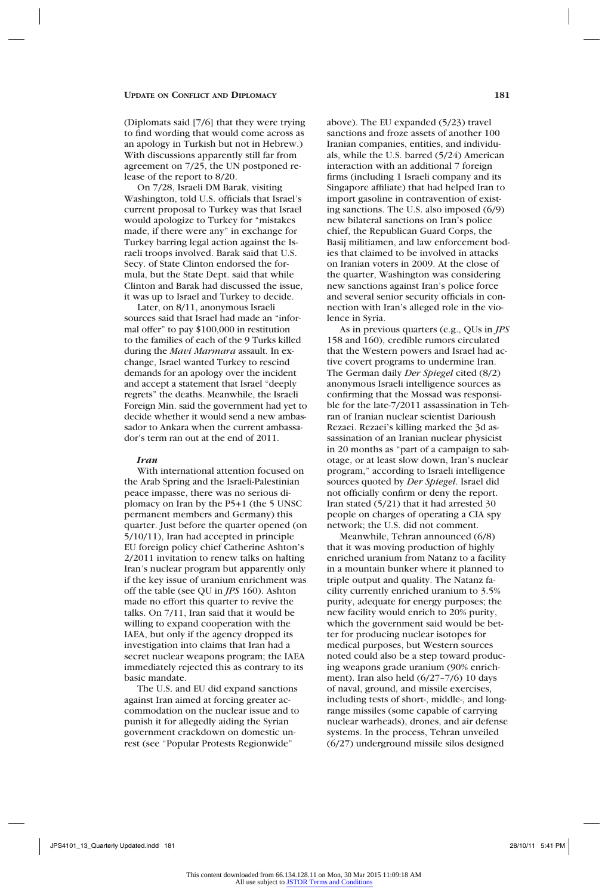(Diplomats said [7/6] that they were trying to find wording that would come across as an apology in Turkish but not in Hebrew.) With discussions apparently still far from agreement on 7/25, the UN postponed release of the report to 8/20.

On 7/28, Israeli DM Barak, visiting Washington, told U.S. officials that Israel's current proposal to Turkey was that Israel would apologize to Turkey for "mistakes made, if there were any" in exchange for Turkey barring legal action against the Israeli troops involved. Barak said that U.S. Secy. of State Clinton endorsed the formula, but the State Dept. said that while Clinton and Barak had discussed the issue, it was up to Israel and Turkey to decide.

Later, on 8/11, anonymous Israeli sources said that Israel had made an "informal offer" to pay \$100,000 in restitution to the families of each of the 9 Turks killed during the *Mavi Marmara* assault. In exchange, Israel wanted Turkey to rescind demands for an apology over the incident and accept a statement that Israel "deeply regrets" the deaths. Meanwhile, the Israeli Foreign Min. said the government had yet to decide whether it would send a new ambassador to Ankara when the current ambassador's term ran out at the end of 2011.

## *Iran*

With international attention focused on the Arab Spring and the Israeli-Palestinian peace impasse, there was no serious diplomacy on Iran by the P5+1 (the 5 UNSC permanent members and Germany) this quarter. Just before the quarter opened (on 5/10/11), Iran had accepted in principle EU foreign policy chief Catherine Ashton's 2/2011 invitation to renew talks on halting Iran's nuclear program but apparently only if the key issue of uranium enrichment was off the table (see QU in *JPS* 160). Ashton made no effort this quarter to revive the talks. On 7/11, Iran said that it would be willing to expand cooperation with the IAEA, but only if the agency dropped its investigation into claims that Iran had a secret nuclear weapons program; the IAEA immediately rejected this as contrary to its basic mandate.

The U.S. and EU did expand sanctions against Iran aimed at forcing greater accommodation on the nuclear issue and to punish it for allegedly aiding the Syrian government crackdown on domestic unrest (see "Popular Protests Regionwide"

above). The EU expanded (5/23) travel sanctions and froze assets of another 100 Iranian companies, entities, and individuals, while the U.S. barred (5/24) American interaction with an additional 7 foreign firms (including 1 Israeli company and its Singapore affiliate) that had helped Iran to import gasoline in contravention of existing sanctions. The U.S. also imposed (6/9) new bilateral sanctions on Iran's police chief, the Republican Guard Corps, the Basij militiamen, and law enforcement bodies that claimed to be involved in attacks on Iranian voters in 2009. At the close of the quarter, Washington was considering new sanctions against Iran's police force and several senior security officials in connection with Iran's alleged role in the violence in Syria.

As in previous quarters (e.g., QUs in *JPS* 158 and 160), credible rumors circulated that the Western powers and Israel had active covert programs to undermine Iran. The German daily *Der Spiegel* cited (8/2) anonymous Israeli intelligence sources as confirming that the Mossad was responsible for the late-7/2011 assassination in Tehran of Iranian nuclear scientist Darioush Rezaei. Rezaei's killing marked the 3d assassination of an Iranian nuclear physicist in 20 months as "part of a campaign to sabotage, or at least slow down, Iran's nuclear program," according to Israeli intelligence sources quoted by *Der Spiegel*. Israel did not officially confirm or deny the report. Iran stated (5/21) that it had arrested 30 people on charges of operating a CIA spy network; the U.S. did not comment.

Meanwhile, Tehran announced (6/8) that it was moving production of highly enriched uranium from Natanz to a facility in a mountain bunker where it planned to triple output and quality. The Natanz facility currently enriched uranium to 3.5% purity, adequate for energy purposes; the new facility would enrich to 20% purity, which the government said would be better for producing nuclear isotopes for medical purposes, but Western sources noted could also be a step toward producing weapons grade uranium (90% enrichment). Iran also held (6/27–7/6) 10 days of naval, ground, and missile exercises, including tests of short-, middle-, and longrange missiles (some capable of carrying nuclear warheads), drones, and air defense systems. In the process, Tehran unveiled (6/27) underground missile silos designed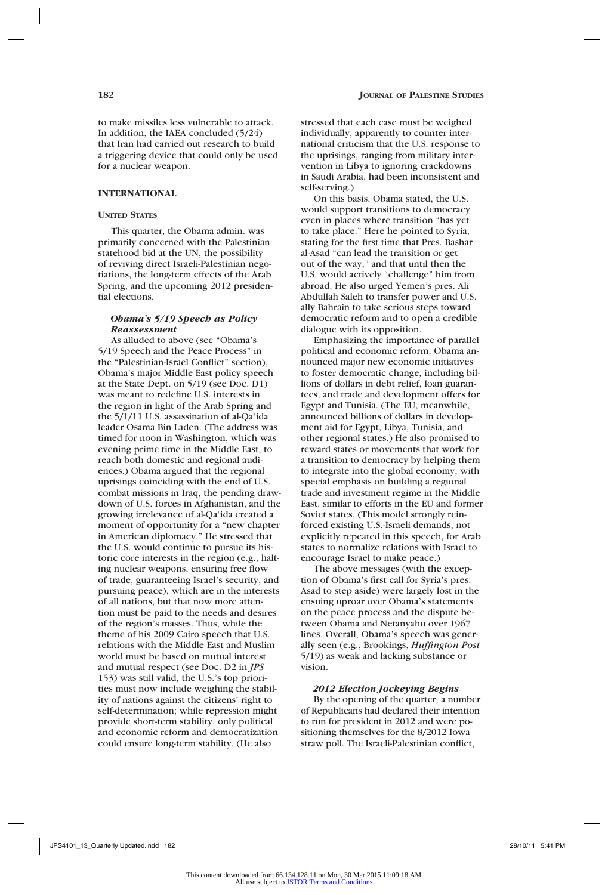to make missiles less vulnerable to attack. In addition, the IAEA concluded (5/24) that Iran had carried out research to build a triggering device that could only be used for a nuclear weapon.

#### **INTERNATIONAL**

#### **United States**

This quarter, the Obama admin. was primarily concerned with the Palestinian statehood bid at the UN, the possibility of reviving direct Israeli-Palestinian negotiations, the long-term effects of the Arab Spring, and the upcoming 2012 presidential elections.

## *Obama's 5/19 Speech as Policy Reassessment*

As alluded to above (see "Obama's 5/19 Speech and the Peace Process" in the "Palestinian-Israel Conflict" section), Obama's major Middle East policy speech at the State Dept. on 5/19 (see Doc. D1) was meant to redefine U.S. interests in the region in light of the Arab Spring and the 5/1/11 U.S. assassination of al-Qa'ida leader Osama Bin Laden. (The address was timed for noon in Washington, which was evening prime time in the Middle East, to reach both domestic and regional audiences.) Obama argued that the regional uprisings coinciding with the end of U.S. combat missions in Iraq, the pending drawdown of U.S. forces in Afghanistan, and the growing irrelevance of al-Qa'ida created a moment of opportunity for a "new chapter in American diplomacy." He stressed that the U.S. would continue to pursue its historic core interests in the region (e.g., halting nuclear weapons, ensuring free flow of trade, guaranteeing Israel's security, and pursuing peace), which are in the interests of all nations, but that now more attention must be paid to the needs and desires of the region's masses. Thus, while the theme of his 2009 Cairo speech that U.S. relations with the Middle East and Muslim world must be based on mutual interest and mutual respect (see Doc. D2 in *JPS* 153) was still valid, the U.S.'s top priorities must now include weighing the stability of nations against the citizens' right to self-determination; while repression might provide short-term stability, only political and economic reform and democratization could ensure long-term stability. (He also

stressed that each case must be weighed individually, apparently to counter international criticism that the U.S. response to the uprisings, ranging from military intervention in Libya to ignoring crackdowns in Saudi Arabia, had been inconsistent and self-serving.)

On this basis, Obama stated, the U.S. would support transitions to democracy even in places where transition "has yet to take place." Here he pointed to Syria, stating for the first time that Pres. Bashar al-Asad "can lead the transition or get out of the way," and that until then the U.S. would actively "challenge" him from abroad. He also urged Yemen's pres. Ali Abdullah Saleh to transfer power and U.S. ally Bahrain to take serious steps toward democratic reform and to open a credible dialogue with its opposition.

Emphasizing the importance of parallel political and economic reform, Obama announced major new economic initiatives to foster democratic change, including billions of dollars in debt relief, loan guarantees, and trade and development offers for Egypt and Tunisia. (The EU, meanwhile, announced billions of dollars in development aid for Egypt, Libya, Tunisia, and other regional states.) He also promised to reward states or movements that work for a transition to democracy by helping them to integrate into the global economy, with special emphasis on building a regional trade and investment regime in the Middle East, similar to efforts in the EU and former Soviet states. (This model strongly reinforced existing U.S.-Israeli demands, not explicitly repeated in this speech, for Arab states to normalize relations with Israel to encourage Israel to make peace.)

The above messages (with the exception of Obama's first call for Syria's pres. Asad to step aside) were largely lost in the ensuing uproar over Obama's statements on the peace process and the dispute between Obama and Netanyahu over 1967 lines. Overall, Obama's speech was generally seen (e.g., Brookings, *Huffington Post* 5/19) as weak and lacking substance or vision.

#### *2012 Election Jockeying Begins*

By the opening of the quarter, a number of Republicans had declared their intention to run for president in 2012 and were positioning themselves for the 8/2012 Iowa straw poll. The Israeli-Palestinian conflict,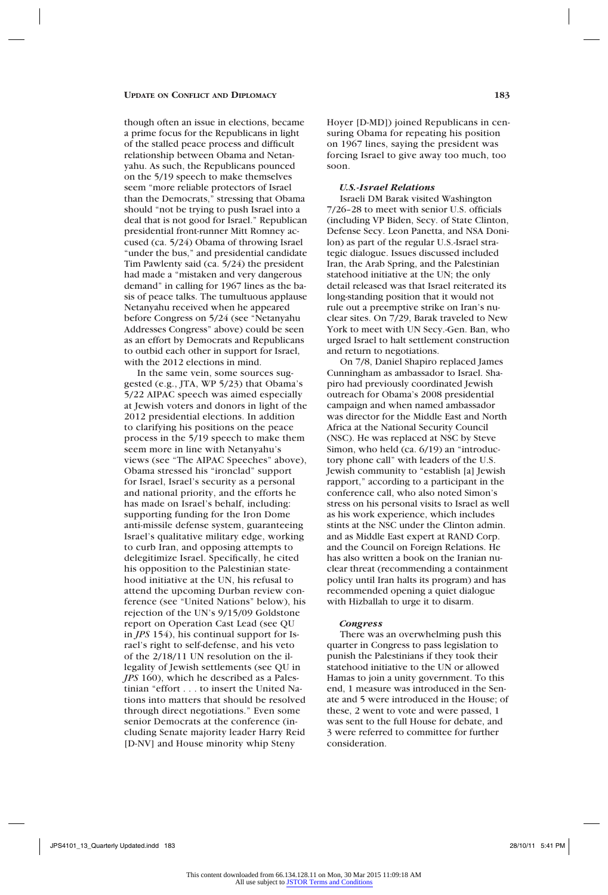though often an issue in elections, became a prime focus for the Republicans in light of the stalled peace process and difficult relationship between Obama and Netanyahu. As such, the Republicans pounced on the 5/19 speech to make themselves seem "more reliable protectors of Israel than the Democrats," stressing that Obama should "not be trying to push Israel into a deal that is not good for Israel." Republican presidential front-runner Mitt Romney accused (ca. 5/24) Obama of throwing Israel "under the bus," and presidential candidate Tim Pawlenty said (ca. 5/24) the president had made a "mistaken and very dangerous demand" in calling for 1967 lines as the basis of peace talks. The tumultuous applause Netanyahu received when he appeared before Congress on 5/24 (see "Netanyahu Addresses Congress" above) could be seen as an effort by Democrats and Republicans to outbid each other in support for Israel, with the 2012 elections in mind.

In the same vein, some sources suggested (e.g., JTA, WP 5/23) that Obama's 5/22 AIPAC speech was aimed especially at Jewish voters and donors in light of the 2012 presidential elections. In addition to clarifying his positions on the peace process in the 5/19 speech to make them seem more in line with Netanyahu's views (see "The AIPAC Speeches" above), Obama stressed his "ironclad" support for Israel, Israel's security as a personal and national priority, and the efforts he has made on Israel's behalf, including: supporting funding for the Iron Dome anti-missile defense system, guaranteeing Israel's qualitative military edge, working to curb Iran, and opposing attempts to delegitimize Israel. Specifically, he cited his opposition to the Palestinian statehood initiative at the UN, his refusal to attend the upcoming Durban review conference (see "United Nations" below), his rejection of the UN's 9/15/09 Goldstone report on Operation Cast Lead (see QU in *JPS* 154), his continual support for Israel's right to self-defense, and his veto of the 2/18/11 UN resolution on the illegality of Jewish settlements (see QU in *JPS* 160), which he described as a Palestinian "effort . . . to insert the United Nations into matters that should be resolved through direct negotiations." Even some senior Democrats at the conference (including Senate majority leader Harry Reid [D-NV] and House minority whip Steny

Hoyer [D-MD]) joined Republicans in censuring Obama for repeating his position on 1967 lines, saying the president was forcing Israel to give away too much, too soon.

#### *U.S.-Israel Relations*

Israeli DM Barak visited Washington 7/26–28 to meet with senior U.S. officials (including VP Biden, Secy. of State Clinton, Defense Secy. Leon Panetta, and NSA Donilon) as part of the regular U.S.-Israel strategic dialogue. Issues discussed included Iran, the Arab Spring, and the Palestinian statehood initiative at the UN; the only detail released was that Israel reiterated its long-standing position that it would not rule out a preemptive strike on Iran's nuclear sites. On 7/29, Barak traveled to New York to meet with UN Secy.-Gen. Ban, who urged Israel to halt settlement construction and return to negotiations.

On 7/8, Daniel Shapiro replaced James Cunningham as ambassador to Israel. Shapiro had previously coordinated Jewish outreach for Obama's 2008 presidential campaign and when named ambassador was director for the Middle East and North Africa at the National Security Council (NSC). He was replaced at NSC by Steve Simon, who held (ca. 6/19) an "introductory phone call" with leaders of the U.S. Jewish community to "establish [a] Jewish rapport," according to a participant in the conference call, who also noted Simon's stress on his personal visits to Israel as well as his work experience, which includes stints at the NSC under the Clinton admin. and as Middle East expert at RAND Corp. and the Council on Foreign Relations. He has also written a book on the Iranian nuclear threat (recommending a containment policy until Iran halts its program) and has recommended opening a quiet dialogue with Hizballah to urge it to disarm.

## *Congress*

There was an overwhelming push this quarter in Congress to pass legislation to punish the Palestinians if they took their statehood initiative to the UN or allowed Hamas to join a unity government. To this end, 1 measure was introduced in the Senate and 5 were introduced in the House; of these, 2 went to vote and were passed, 1 was sent to the full House for debate, and 3 were referred to committee for further consideration.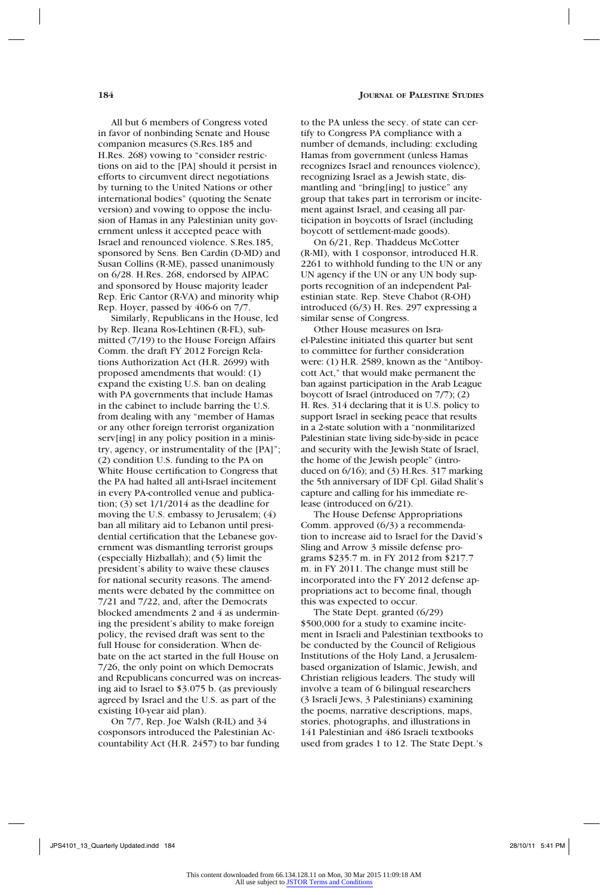All but 6 members of Congress voted in favor of nonbinding Senate and House companion measures (S.Res.185 and H.Res. 268) vowing to "consider restrictions on aid to the [PA] should it persist in efforts to circumvent direct negotiations by turning to the United Nations or other international bodies" (quoting the Senate version) and vowing to oppose the inclusion of Hamas in any Palestinian unity government unless it accepted peace with Israel and renounced violence. S.Res.185, sponsored by Sens. Ben Cardin (D-MD) and Susan Collins (R-ME), passed unanimously on 6/28. H.Res. 268, endorsed by AIPAC and sponsored by House majority leader Rep. Eric Cantor (R-VA) and minority whip Rep. Hoyer, passed by 406-6 on 7/7.

Similarly, Republicans in the House, led by Rep. Ileana Ros-Lehtinen (R-FL), submitted (7/19) to the House Foreign Affairs Comm. the draft FY 2012 Foreign Relations Authorization Act (H.R. 2699) with proposed amendments that would: (1) expand the existing U.S. ban on dealing with PA governments that include Hamas in the cabinet to include barring the U.S. from dealing with any "member of Hamas or any other foreign terrorist organization serv[ing] in any policy position in a ministry, agency, or instrumentality of the [PA]"; (2) condition U.S. funding to the PA on White House certification to Congress that the PA had halted all anti-Israel incitement in every PA-controlled venue and publication; (3) set  $1/1/2014$  as the deadline for moving the U.S. embassy to Jerusalem; (4) ban all military aid to Lebanon until presidential certification that the Lebanese government was dismantling terrorist groups (especially Hizballah); and (5) limit the president's ability to waive these clauses for national security reasons. The amendments were debated by the committee on 7/21 and 7/22, and, after the Democrats blocked amendments 2 and 4 as undermining the president's ability to make foreign policy, the revised draft was sent to the full House for consideration. When debate on the act started in the full House on 7/26, the only point on which Democrats and Republicans concurred was on increasing aid to Israel to \$3.075 b. (as previously agreed by Israel and the U.S. as part of the existing 10-year aid plan).

On 7/7, Rep. Joe Walsh (R-IL) and 34 cosponsors introduced the Palestinian Accountability Act (H.R. 2457) to bar funding to the PA unless the secy. of state can certify to Congress PA compliance with a number of demands, including: excluding Hamas from government (unless Hamas recognizes Israel and renounces violence), recognizing Israel as a Jewish state, dismantling and "bring[ing] to justice" any group that takes part in terrorism or incitement against Israel, and ceasing all participation in boycotts of Israel (including boycott of settlement-made goods).

On 6/21, Rep. Thaddeus McCotter (R-MI), with 1 cosponsor, introduced H.R. 2261 to withhold funding to the UN or any UN agency if the UN or any UN body supports recognition of an independent Palestinian state. Rep. Steve Chabot (R-OH) introduced (6/3) H. Res. 297 expressing a similar sense of Congress.

Other House measures on Israel-Palestine initiated this quarter but sent to committee for further consideration were: (1) H.R. 2589, known as the "Antiboycott Act," that would make permanent the ban against participation in the Arab League boycott of Israel (introduced on 7/7); (2) H. Res. 314 declaring that it is U.S. policy to support Israel in seeking peace that results in a 2-state solution with a "nonmilitarized Palestinian state living side-by-side in peace and security with the Jewish State of Israel, the home of the Jewish people" (introduced on 6/16); and (3) H.Res. 317 marking the 5th anniversary of IDF Cpl. Gilad Shalit's capture and calling for his immediate release (introduced on 6/21).

The House Defense Appropriations Comm. approved (6/3) a recommendation to increase aid to Israel for the David's Sling and Arrow 3 missile defense programs \$235.7 m. in FY 2012 from \$217.7 m. in FY 2011. The change must still be incorporated into the FY 2012 defense appropriations act to become final, though this was expected to occur.

The State Dept. granted (6/29) \$500,000 for a study to examine incitement in Israeli and Palestinian textbooks to be conducted by the Council of Religious Institutions of the Holy Land, a Jerusalembased organization of Islamic, Jewish, and Christian religious leaders. The study will involve a team of 6 bilingual researchers (3 Israeli Jews, 3 Palestinians) examining the poems, narrative descriptions, maps, stories, photographs, and illustrations in 141 Palestinian and 486 Israeli textbooks used from grades 1 to 12. The State Dept.'s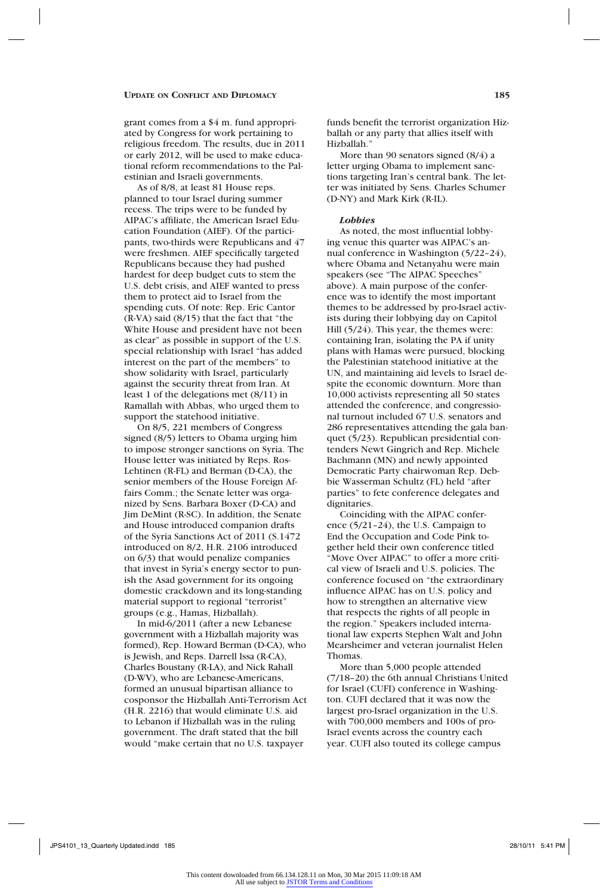grant comes from a \$4 m. fund appropriated by Congress for work pertaining to religious freedom. The results, due in 2011 or early 2012, will be used to make educational reform recommendations to the Palestinian and Israeli governments.

As of 8/8, at least 81 House reps. planned to tour Israel during summer recess. The trips were to be funded by AIPAC's affiliate, the American Israel Education Foundation (AIEF). Of the participants, two-thirds were Republicans and 47 were freshmen. AIEF specifically targeted Republicans because they had pushed hardest for deep budget cuts to stem the U.S. debt crisis, and AIEF wanted to press them to protect aid to Israel from the spending cuts. Of note: Rep. Eric Cantor (R-VA) said (8/15) that the fact that "the White House and president have not been as clear" as possible in support of the U.S. special relationship with Israel "has added interest on the part of the members" to show solidarity with Israel, particularly against the security threat from Iran. At least 1 of the delegations met (8/11) in Ramallah with Abbas, who urged them to support the statehood initiative.

On 8/5, 221 members of Congress signed (8/5) letters to Obama urging him to impose stronger sanctions on Syria. The House letter was initiated by Reps. Ros-Lehtinen (R-FL) and Berman (D-CA), the senior members of the House Foreign Affairs Comm.; the Senate letter was organized by Sens. Barbara Boxer (D-CA) and Jim DeMint (R-SC). In addition, the Senate and House introduced companion drafts of the Syria Sanctions Act of 2011 (S.1472 introduced on 8/2, H.R. 2106 introduced on 6/3) that would penalize companies that invest in Syria's energy sector to punish the Asad government for its ongoing domestic crackdown and its long-standing material support to regional "terrorist" groups (e.g., Hamas, Hizballah).

In mid-6/2011 (after a new Lebanese government with a Hizballah majority was formed), Rep. Howard Berman (D-CA), who is Jewish, and Reps. Darrell Issa (R-CA), Charles Boustany (R-LA), and Nick Rahall (D-WV), who are Lebanese-Americans, formed an unusual bipartisan alliance to cosponsor the Hizballah Anti-Terrorism Act (H.R. 2216) that would eliminate U.S. aid to Lebanon if Hizballah was in the ruling government. The draft stated that the bill would "make certain that no U.S. taxpayer

funds benefit the terrorist organization Hizballah or any party that allies itself with Hizballah."

More than 90 senators signed (8/4) a letter urging Obama to implement sanctions targeting Iran's central bank. The letter was initiated by Sens. Charles Schumer (D-NY) and Mark Kirk (R-IL).

#### *Lobbies*

As noted, the most influential lobbying venue this quarter was AIPAC's annual conference in Washington (5/22–24), where Obama and Netanyahu were main speakers (see "The AIPAC Speeches" above). A main purpose of the conference was to identify the most important themes to be addressed by pro-Israel activists during their lobbying day on Capitol Hill (5/24). This year, the themes were: containing Iran, isolating the PA if unity plans with Hamas were pursued, blocking the Palestinian statehood initiative at the UN, and maintaining aid levels to Israel despite the economic downturn. More than 10,000 activists representing all 50 states attended the conference, and congressional turnout included 67 U.S. senators and 286 representatives attending the gala banquet (5/23). Republican presidential contenders Newt Gingrich and Rep. Michele Bachmann (MN) and newly appointed Democratic Party chairwoman Rep. Debbie Wasserman Schultz (FL) held "after parties" to fete conference delegates and dignitaries.

Coinciding with the AIPAC conference (5/21–24), the U.S. Campaign to End the Occupation and Code Pink together held their own conference titled "Move Over AIPAC" to offer a more critical view of Israeli and U.S. policies. The conference focused on "the extraordinary influence AIPAC has on U.S. policy and how to strengthen an alternative view that respects the rights of all people in the region." Speakers included international law experts Stephen Walt and John Mearsheimer and veteran journalist Helen Thomas.

More than 5,000 people attended (7/18–20) the 6th annual Christians United for Israel (CUFI) conference in Washington. CUFI declared that it was now the largest pro-Israel organization in the U.S. with 700,000 members and 100s of pro-Israel events across the country each year. CUFI also touted its college campus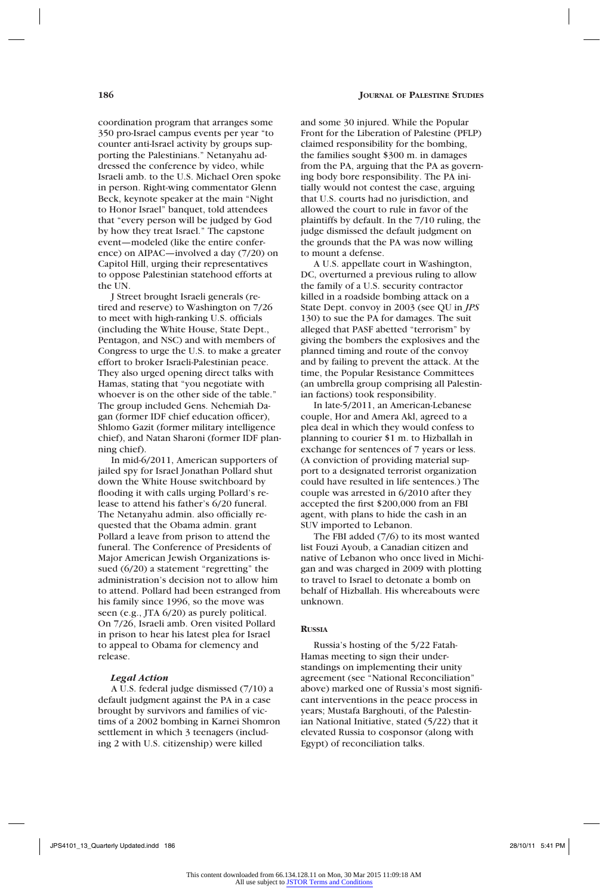coordination program that arranges some 350 pro-Israel campus events per year "to counter anti-Israel activity by groups supporting the Palestinians." Netanyahu addressed the conference by video, while Israeli amb. to the U.S. Michael Oren spoke in person. Right-wing commentator Glenn Beck, keynote speaker at the main "Night to Honor Israel" banquet, told attendees that "every person will be judged by God by how they treat Israel." The capstone event—modeled (like the entire conference) on AIPAC—involved a day (7/20) on Capitol Hill, urging their representatives to oppose Palestinian statehood efforts at the UN.

J Street brought Israeli generals (retired and reserve) to Washington on 7/26 to meet with high-ranking U.S. officials (including the White House, State Dept., Pentagon, and NSC) and with members of Congress to urge the U.S. to make a greater effort to broker Israeli-Palestinian peace. They also urged opening direct talks with Hamas, stating that "you negotiate with whoever is on the other side of the table." The group included Gens. Nehemiah Dagan (former IDF chief education officer), Shlomo Gazit (former military intelligence chief), and Natan Sharoni (former IDF planning chief).

In mid-6/2011, American supporters of jailed spy for Israel Jonathan Pollard shut down the White House switchboard by flooding it with calls urging Pollard's release to attend his father's 6/20 funeral. The Netanyahu admin. also officially requested that the Obama admin. grant Pollard a leave from prison to attend the funeral. The Conference of Presidents of Major American Jewish Organizations issued (6/20) a statement "regretting" the administration's decision not to allow him to attend. Pollard had been estranged from his family since 1996, so the move was seen (e.g., JTA 6/20) as purely political. On 7/26, Israeli amb. Oren visited Pollard in prison to hear his latest plea for Israel to appeal to Obama for clemency and release.

#### *Legal Action*

A U.S. federal judge dismissed (7/10) a default judgment against the PA in a case brought by survivors and families of victims of a 2002 bombing in Karnei Shomron settlement in which 3 teenagers (including 2 with U.S. citizenship) were killed

and some 30 injured. While the Popular Front for the Liberation of Palestine (PFLP) claimed responsibility for the bombing, the families sought \$300 m. in damages from the PA, arguing that the PA as governing body bore responsibility. The PA initially would not contest the case, arguing that U.S. courts had no jurisdiction, and allowed the court to rule in favor of the plaintiffs by default. In the 7/10 ruling, the judge dismissed the default judgment on the grounds that the PA was now willing to mount a defense.

A U.S. appellate court in Washington, DC, overturned a previous ruling to allow the family of a U.S. security contractor killed in a roadside bombing attack on a State Dept. convoy in 2003 (see QU in *JPS* 130) to sue the PA for damages. The suit alleged that PASF abetted "terrorism" by giving the bombers the explosives and the planned timing and route of the convoy and by failing to prevent the attack. At the time, the Popular Resistance Committees (an umbrella group comprising all Palestinian factions) took responsibility.

In late-5/2011, an American-Lebanese couple, Hor and Amera Akl, agreed to a plea deal in which they would confess to planning to courier \$1 m. to Hizballah in exchange for sentences of 7 years or less. (A conviction of providing material support to a designated terrorist organization could have resulted in life sentences.) The couple was arrested in 6/2010 after they accepted the first \$200,000 from an FBI agent, with plans to hide the cash in an SUV imported to Lebanon.

The FBI added (7/6) to its most wanted list Fouzi Ayoub, a Canadian citizen and native of Lebanon who once lived in Michigan and was charged in 2009 with plotting to travel to Israel to detonate a bomb on behalf of Hizballah. His whereabouts were unknown.

#### **Russia**

Russia's hosting of the 5/22 Fatah-Hamas meeting to sign their understandings on implementing their unity agreement (see "National Reconciliation" above) marked one of Russia's most significant interventions in the peace process in years; Mustafa Barghouti, of the Palestinian National Initiative, stated (5/22) that it elevated Russia to cosponsor (along with Egypt) of reconciliation talks.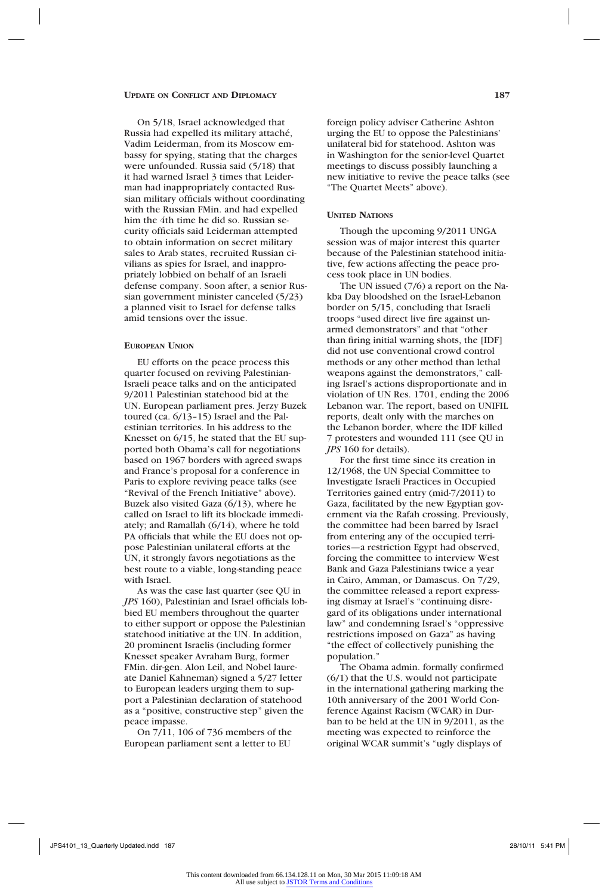On 5/18, Israel acknowledged that Russia had expelled its military attaché, Vadim Leiderman, from its Moscow embassy for spying, stating that the charges were unfounded. Russia said (5/18) that it had warned Israel 3 times that Leiderman had inappropriately contacted Russian military officials without coordinating with the Russian FMin. and had expelled him the 4th time he did so. Russian security officials said Leiderman attempted to obtain information on secret military sales to Arab states, recruited Russian civilians as spies for Israel, and inappropriately lobbied on behalf of an Israeli defense company. Soon after, a senior Russian government minister canceled (5/23) a planned visit to Israel for defense talks amid tensions over the issue.

## **European Union**

EU efforts on the peace process this quarter focused on reviving Palestinian-Israeli peace talks and on the anticipated 9/2011 Palestinian statehood bid at the UN. European parliament pres. Jerzy Buzek toured (ca. 6/13–15) Israel and the Palestinian territories. In his address to the Knesset on 6/15, he stated that the EU supported both Obama's call for negotiations based on 1967 borders with agreed swaps and France's proposal for a conference in Paris to explore reviving peace talks (see "Revival of the French Initiative" above). Buzek also visited Gaza (6/13), where he called on Israel to lift its blockade immediately; and Ramallah (6/14), where he told PA officials that while the EU does not oppose Palestinian unilateral efforts at the UN, it strongly favors negotiations as the best route to a viable, long-standing peace with Israel.

As was the case last quarter (see QU in *JPS* 160), Palestinian and Israel officials lobbied EU members throughout the quarter to either support or oppose the Palestinian statehood initiative at the UN. In addition, 20 prominent Israelis (including former Knesset speaker Avraham Burg, former FMin. dir-gen. Alon Leil, and Nobel laureate Daniel Kahneman) signed a 5/27 letter to European leaders urging them to support a Palestinian declaration of statehood as a "positive, constructive step" given the peace impasse.

On 7/11, 106 of 736 members of the European parliament sent a letter to EU

foreign policy adviser Catherine Ashton urging the EU to oppose the Palestinians' unilateral bid for statehood. Ashton was in Washington for the senior-level Quartet meetings to discuss possibly launching a new initiative to revive the peace talks (see "The Quartet Meets" above).

#### **United Nations**

Though the upcoming 9/2011 UNGA session was of major interest this quarter because of the Palestinian statehood initiative, few actions affecting the peace process took place in UN bodies.

The UN issued (7/6) a report on the Nakba Day bloodshed on the Israel-Lebanon border on 5/15, concluding that Israeli troops "used direct live fire against unarmed demonstrators" and that "other than firing initial warning shots, the [IDF] did not use conventional crowd control methods or any other method than lethal weapons against the demonstrators," calling Israel's actions disproportionate and in violation of UN Res. 1701, ending the 2006 Lebanon war. The report, based on UNIFIL reports, dealt only with the marches on the Lebanon border, where the IDF killed 7 protesters and wounded 111 (see QU in *JPS* 160 for details).

For the first time since its creation in 12/1968, the UN Special Committee to Investigate Israeli Practices in Occupied Territories gained entry (mid-7/2011) to Gaza, facilitated by the new Egyptian government via the Rafah crossing. Previously, the committee had been barred by Israel from entering any of the occupied territories—a restriction Egypt had observed, forcing the committee to interview West Bank and Gaza Palestinians twice a year in Cairo, Amman, or Damascus. On 7/29, the committee released a report expressing dismay at Israel's "continuing disregard of its obligations under international law" and condemning Israel's "oppressive restrictions imposed on Gaza" as having "the effect of collectively punishing the population."

The Obama admin. formally confirmed (6/1) that the U.S. would not participate in the international gathering marking the 10th anniversary of the 2001 World Conference Against Racism (WCAR) in Durban to be held at the UN in 9/2011, as the meeting was expected to reinforce the original WCAR summit's "ugly displays of